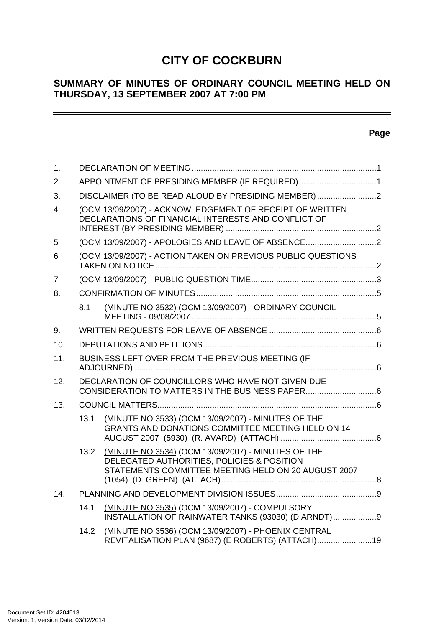# **CITY OF COCKBURN**

# **SUMMARY OF MINUTES OF ORDINARY COUNCIL MEETING HELD ON THURSDAY, 13 SEPTEMBER 2007 AT 7:00 PM**

# **Page**

| $\mathbf{1}$ . |                                                    |                                                                                                                                                         |  |  |  |  |
|----------------|----------------------------------------------------|---------------------------------------------------------------------------------------------------------------------------------------------------------|--|--|--|--|
| 2.             |                                                    | APPOINTMENT OF PRESIDING MEMBER (IF REQUIRED)1                                                                                                          |  |  |  |  |
| 3.             | DISCLAIMER (TO BE READ ALOUD BY PRESIDING MEMBER)2 |                                                                                                                                                         |  |  |  |  |
| 4              |                                                    | (OCM 13/09/2007) - ACKNOWLEDGEMENT OF RECEIPT OF WRITTEN<br>DECLARATIONS OF FINANCIAL INTERESTS AND CONFLICT OF                                         |  |  |  |  |
| 5              |                                                    | (OCM 13/09/2007) - APOLOGIES AND LEAVE OF ABSENCE2                                                                                                      |  |  |  |  |
| 6              |                                                    | (OCM 13/09/2007) - ACTION TAKEN ON PREVIOUS PUBLIC QUESTIONS                                                                                            |  |  |  |  |
| 7              |                                                    |                                                                                                                                                         |  |  |  |  |
| 8.             |                                                    |                                                                                                                                                         |  |  |  |  |
|                | 8.1                                                | (MINUTE NO 3532) (OCM 13/09/2007) - ORDINARY COUNCIL                                                                                                    |  |  |  |  |
| 9.             |                                                    |                                                                                                                                                         |  |  |  |  |
| 10.            |                                                    |                                                                                                                                                         |  |  |  |  |
| 11.            |                                                    | BUSINESS LEFT OVER FROM THE PREVIOUS MEETING (IF                                                                                                        |  |  |  |  |
| 12.            |                                                    | DECLARATION OF COUNCILLORS WHO HAVE NOT GIVEN DUE                                                                                                       |  |  |  |  |
| 13.            |                                                    |                                                                                                                                                         |  |  |  |  |
|                | 13.1                                               | (MINUTE NO 3533) (OCM 13/09/2007) - MINUTES OF THE<br><b>GRANTS AND DONATIONS COMMITTEE MEETING HELD ON 14</b>                                          |  |  |  |  |
|                | 13.2                                               | (MINUTE NO 3534) (OCM 13/09/2007) - MINUTES OF THE<br>DELEGATED AUTHORITIES, POLICIES & POSITION<br>STATEMENTS COMMITTEE MEETING HELD ON 20 AUGUST 2007 |  |  |  |  |
| 14.            |                                                    |                                                                                                                                                         |  |  |  |  |
|                | 14.1                                               | (MINUTE NO 3535) (OCM 13/09/2007) - COMPULSORY<br>INSTALLATION OF RAINWATER TANKS (93030) (D ARNDT)9                                                    |  |  |  |  |
|                | 14.2                                               | (MINUTE NO 3536) (OCM 13/09/2007) - PHOENIX CENTRAL<br>REVITALISATION PLAN (9687) (E ROBERTS) (ATTACH) 19                                               |  |  |  |  |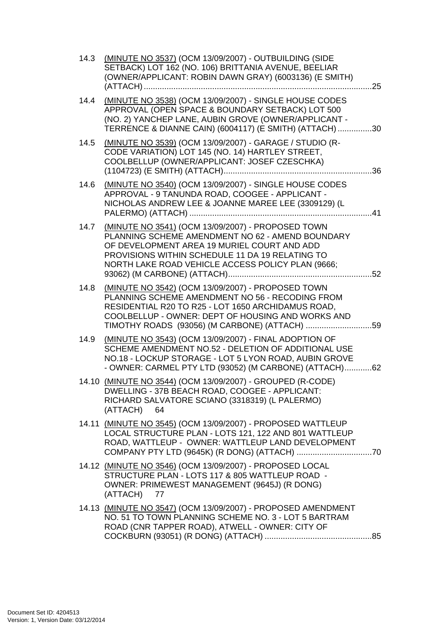| 14.3 | (MINUTE NO 3537) (OCM 13/09/2007) - OUTBUILDING (SIDE<br>SETBACK) LOT 162 (NO. 106) BRITTANIA AVENUE, BEELIAR<br>(OWNER/APPLICANT: ROBIN DAWN GRAY) (6003136) (E SMITH)                                                                                          |  |
|------|------------------------------------------------------------------------------------------------------------------------------------------------------------------------------------------------------------------------------------------------------------------|--|
| 14.4 | (MINUTE NO 3538) (OCM 13/09/2007) - SINGLE HOUSE CODES<br>APPROVAL (OPEN SPACE & BOUNDARY SETBACK) LOT 500<br>(NO. 2) YANCHEP LANE, AUBIN GROVE (OWNER/APPLICANT -<br>TERRENCE & DIANNE CAIN) (6004117) (E SMITH) (ATTACH) 30                                    |  |
| 14.5 | (MINUTE NO 3539) (OCM 13/09/2007) - GARAGE / STUDIO (R-<br>CODE VARIATION) LOT 145 (NO. 14) HARTLEY STREET,<br>COOLBELLUP (OWNER/APPLICANT: JOSEF CZESCHKA)                                                                                                      |  |
| 14.6 | (MINUTE NO 3540) (OCM 13/09/2007) - SINGLE HOUSE CODES<br>APPROVAL - 9 TANUNDA ROAD, COOGEE - APPLICANT -<br>NICHOLAS ANDREW LEE & JOANNE MAREE LEE (3309129) (L                                                                                                 |  |
| 14.7 | (MINUTE NO 3541) (OCM 13/09/2007) - PROPOSED TOWN<br>PLANNING SCHEME AMENDMENT NO 62 - AMEND BOUNDARY<br>OF DEVELOPMENT AREA 19 MURIEL COURT AND ADD<br>PROVISIONS WITHIN SCHEDULE 11 DA 19 RELATING TO<br>NORTH LAKE ROAD VEHICLE ACCESS POLICY PLAN (9666;     |  |
| 14.8 | (MINUTE NO 3542) (OCM 13/09/2007) - PROPOSED TOWN<br>PLANNING SCHEME AMENDMENT NO 56 - RECODING FROM<br>RESIDENTIAL R20 TO R25 - LOT 1650 ARCHIDAMUS ROAD,<br>COOLBELLUP - OWNER: DEPT OF HOUSING AND WORKS AND<br>TIMOTHY ROADS (93056) (M CARBONE) (ATTACH) 59 |  |
| 14.9 | (MINUTE NO 3543) (OCM 13/09/2007) - FINAL ADOPTION OF<br>SCHEME AMENDMENT NO.52 - DELETION OF ADDITIONAL USE<br>NO.18 - LOCKUP STORAGE - LOT 5 LYON ROAD, AUBIN GROVE<br>- OWNER: CARMEL PTY LTD (93052) (M CARBONE) (ATTACH)62                                  |  |
|      | 14.10 (MINUTE NO 3544) (OCM 13/09/2007) - GROUPED (R-CODE)<br>DWELLING - 37B BEACH ROAD, COOGEE - APPLICANT:<br>RICHARD SALVATORE SCIANO (3318319) (L PALERMO)<br>(ATTACH)<br>64                                                                                 |  |
|      | 14.11 (MINUTE NO 3545) (OCM 13/09/2007) - PROPOSED WATTLEUP<br>LOCAL STRUCTURE PLAN - LOTS 121, 122 AND 801 WATTLEUP<br>ROAD, WATTLEUP - OWNER: WATTLEUP LAND DEVELOPMENT                                                                                        |  |
|      | 14.12 (MINUTE NO 3546) (OCM 13/09/2007) - PROPOSED LOCAL<br>STRUCTURE PLAN - LOTS 117 & 805 WATTLEUP ROAD -<br>OWNER: PRIMEWEST MANAGEMENT (9645J) (R DONG)<br>(ATTACH)<br>77                                                                                    |  |
|      | 14.13 (MINUTE NO 3547) (OCM 13/09/2007) - PROPOSED AMENDMENT<br>NO. 51 TO TOWN PLANNING SCHEME NO. 3 - LOT 5 BARTRAM<br>ROAD (CNR TAPPER ROAD), ATWELL - OWNER: CITY OF                                                                                          |  |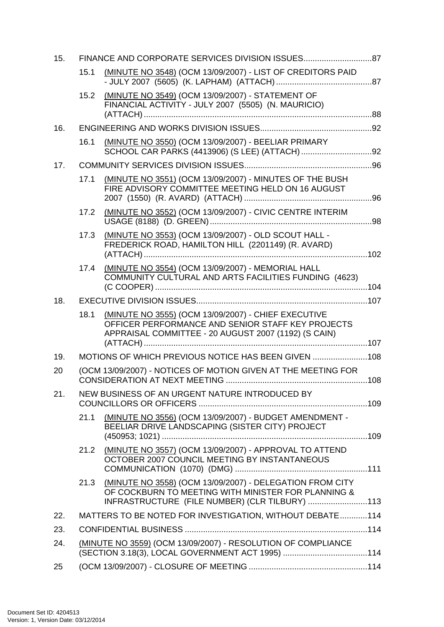| 15. |      |                                                                                                                                                                   |  |
|-----|------|-------------------------------------------------------------------------------------------------------------------------------------------------------------------|--|
|     | 15.1 | (MINUTE NO 3548) (OCM 13/09/2007) - LIST OF CREDITORS PAID                                                                                                        |  |
|     | 15.2 | (MINUTE NO 3549) (OCM 13/09/2007) - STATEMENT OF<br>FINANCIAL ACTIVITY - JULY 2007 (5505) (N. MAURICIO)                                                           |  |
| 16. |      |                                                                                                                                                                   |  |
|     | 16.1 | (MINUTE NO 3550) (OCM 13/09/2007) - BEELIAR PRIMARY                                                                                                               |  |
|     |      |                                                                                                                                                                   |  |
| 17. |      |                                                                                                                                                                   |  |
|     | 17.1 | (MINUTE NO 3551) (OCM 13/09/2007) - MINUTES OF THE BUSH<br>FIRE ADVISORY COMMITTEE MEETING HELD ON 16 AUGUST                                                      |  |
|     | 17.2 | (MINUTE NO 3552) (OCM 13/09/2007) - CIVIC CENTRE INTERIM                                                                                                          |  |
|     | 17.3 | (MINUTE NO 3553) (OCM 13/09/2007) - OLD SCOUT HALL -<br>FREDERICK ROAD, HAMILTON HILL (2201149) (R. AVARD)                                                        |  |
|     | 17.4 | (MINUTE NO 3554) (OCM 13/09/2007) - MEMORIAL HALL<br>COMMUNITY CULTURAL AND ARTS FACILITIES FUNDING (4623)                                                        |  |
| 18. |      |                                                                                                                                                                   |  |
|     | 18.1 | (MINUTE NO 3555) (OCM 13/09/2007) - CHIEF EXECUTIVE<br>OFFICER PERFORMANCE AND SENIOR STAFF KEY PROJECTS<br>APPRAISAL COMMITTEE - 20 AUGUST 2007 (1192) (S CAIN)  |  |
| 19. |      | MOTIONS OF WHICH PREVIOUS NOTICE HAS BEEN GIVEN 108                                                                                                               |  |
| 20  |      | (OCM 13/09/2007) - NOTICES OF MOTION GIVEN AT THE MEETING FOR                                                                                                     |  |
| 21. |      | NEW BUSINESS OF AN URGENT NATURE INTRODUCED BY                                                                                                                    |  |
|     | 21.1 | (MINUTE NO 3556) (OCM 13/09/2007) - BUDGET AMENDMENT -<br>BEELIAR DRIVE LANDSCAPING (SISTER CITY) PROJECT                                                         |  |
|     | 21.2 | (MINUTE NO 3557) (OCM 13/09/2007) - APPROVAL TO ATTEND<br>OCTOBER 2007 COUNCIL MEETING BY INSTANTANEOUS                                                           |  |
|     | 21.3 | (MINUTE NO 3558) (OCM 13/09/2007) - DELEGATION FROM CITY<br>OF COCKBURN TO MEETING WITH MINISTER FOR PLANNING &<br>INFRASTRUCTURE (FILE NUMBER) (CLR TILBURY) 113 |  |
| 22. |      | MATTERS TO BE NOTED FOR INVESTIGATION, WITHOUT DEBATE114                                                                                                          |  |
| 23. |      |                                                                                                                                                                   |  |
| 24. |      | (MINUTE NO 3559) (OCM 13/09/2007) - RESOLUTION OF COMPLIANCE                                                                                                      |  |
| 25  |      |                                                                                                                                                                   |  |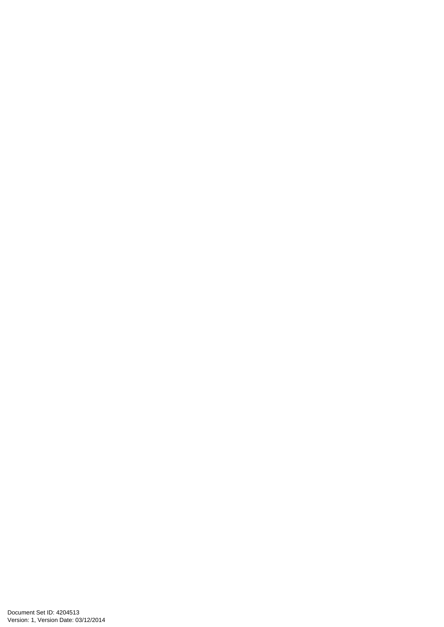Document Set ID: 4204513<br>Version: 1, Version Date: 03/12/2014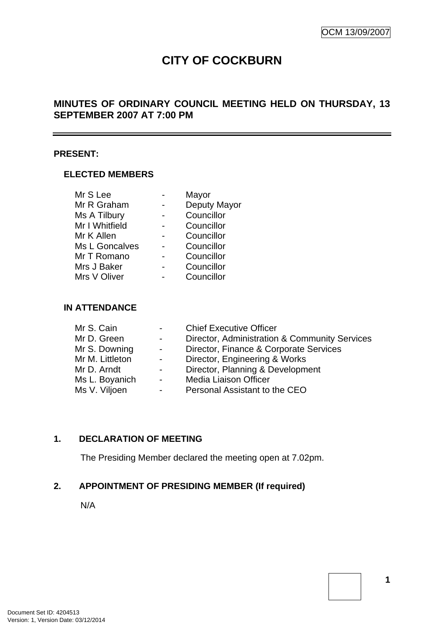# **CITY OF COCKBURN**

# <span id="page-4-0"></span>**MINUTES OF ORDINARY COUNCIL MEETING HELD ON THURSDAY, 13 SEPTEMBER 2007 AT 7:00 PM**

#### **PRESENT:**

#### **ELECTED MEMBERS**

| Mr S Lee       | Mayor        |
|----------------|--------------|
| Mr R Graham    | Deputy Mayor |
| Ms A Tilbury   | Councillor   |
| Mr I Whitfield | Councillor   |
| Mr K Allen     | Councillor   |
| Ms L Goncalves | Councillor   |
| Mr T Romano    | Councillor   |
| Mrs J Baker    | Councillor   |
| Mrs V Oliver   | Councillor   |

#### **IN ATTENDANCE**

| Mr S. Cain         | $\sim 100$      | <b>Chief Executive Officer</b>                |
|--------------------|-----------------|-----------------------------------------------|
| Mr D. Green        | $\sim 100$      | Director, Administration & Community Services |
| Mr S. Downing      | $\sim$          | Director, Finance & Corporate Services        |
| Mr M. Littleton    | $\sim$          | Director, Engineering & Works                 |
| Mr D. Arndt        | $\sim$ 10 $\pm$ | Director, Planning & Development              |
| Ms L. Boyanich     | $\sim 100$      | <b>Media Liaison Officer</b>                  |
| Ms V. Viljoen<br>- |                 | Personal Assistant to the CEO                 |

## **1. DECLARATION OF MEETING**

The Presiding Member declared the meeting open at 7.02pm.

#### **2. APPOINTMENT OF PRESIDING MEMBER (If required)**

N/A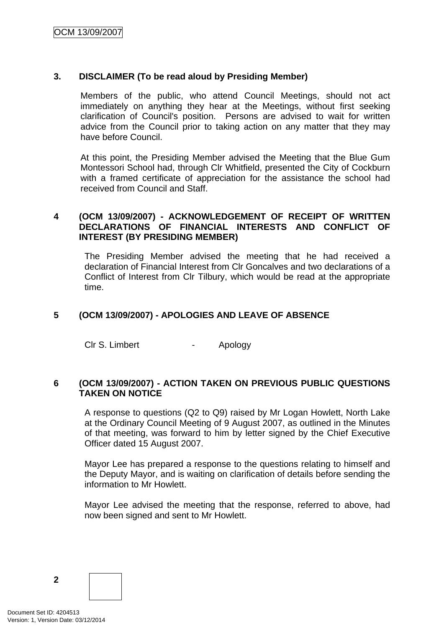## <span id="page-5-0"></span>**3. DISCLAIMER (To be read aloud by Presiding Member)**

Members of the public, who attend Council Meetings, should not act immediately on anything they hear at the Meetings, without first seeking clarification of Council's position. Persons are advised to wait for written advice from the Council prior to taking action on any matter that they may have before Council.

At this point, the Presiding Member advised the Meeting that the Blue Gum Montessori School had, through Clr Whitfield, presented the City of Cockburn with a framed certificate of appreciation for the assistance the school had received from Council and Staff.

## **4 (OCM 13/09/2007) - ACKNOWLEDGEMENT OF RECEIPT OF WRITTEN DECLARATIONS OF FINANCIAL INTERESTS AND CONFLICT OF INTEREST (BY PRESIDING MEMBER)**

The Presiding Member advised the meeting that he had received a declaration of Financial Interest from Clr Goncalves and two declarations of a Conflict of Interest from Clr Tilbury, which would be read at the appropriate time.

## **5 (OCM 13/09/2007) - APOLOGIES AND LEAVE OF ABSENCE**

Clr S. Limbert **-** Apology

#### **6 (OCM 13/09/2007) - ACTION TAKEN ON PREVIOUS PUBLIC QUESTIONS TAKEN ON NOTICE**

A response to questions (Q2 to Q9) raised by Mr Logan Howlett, North Lake at the Ordinary Council Meeting of 9 August 2007, as outlined in the Minutes of that meeting, was forward to him by letter signed by the Chief Executive Officer dated 15 August 2007.

Mayor Lee has prepared a response to the questions relating to himself and the Deputy Mayor, and is waiting on clarification of details before sending the information to Mr Howlett.

Mayor Lee advised the meeting that the response, referred to above, had now been signed and sent to Mr Howlett.

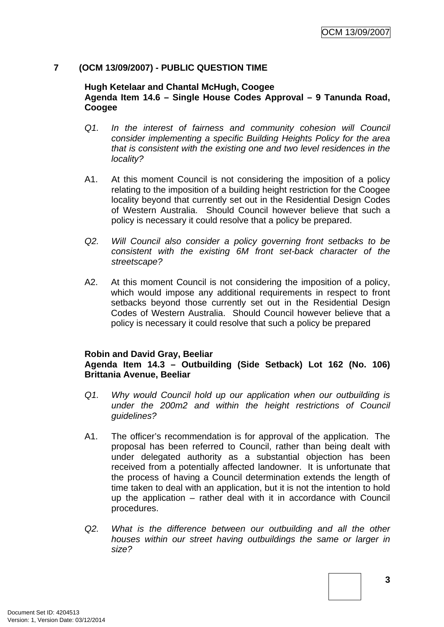### <span id="page-6-0"></span>**7 (OCM 13/09/2007) - PUBLIC QUESTION TIME**

#### **Hugh Ketelaar and Chantal McHugh, Coogee Agenda Item 14.6 – Single House Codes Approval – 9 Tanunda Road, Coogee**

- *Q1. In the interest of fairness and community cohesion will Council consider implementing a specific Building Heights Policy for the area that is consistent with the existing one and two level residences in the locality?*
- A1. At this moment Council is not considering the imposition of a policy relating to the imposition of a building height restriction for the Coogee locality beyond that currently set out in the Residential Design Codes of Western Australia. Should Council however believe that such a policy is necessary it could resolve that a policy be prepared.
- *Q2. Will Council also consider a policy governing front setbacks to be consistent with the existing 6M front set-back character of the streetscape?*
- A2. At this moment Council is not considering the imposition of a policy, which would impose any additional requirements in respect to front setbacks beyond those currently set out in the Residential Design Codes of Western Australia. Should Council however believe that a policy is necessary it could resolve that such a policy be prepared

#### **Robin and David Gray, Beeliar**

#### **Agenda Item 14.3 – Outbuilding (Side Setback) Lot 162 (No. 106) Brittania Avenue, Beeliar**

- *Q1. Why would Council hold up our application when our outbuilding is under the 200m2 and within the height restrictions of Council guidelines?*
- A1. The officer's recommendation is for approval of the application. The proposal has been referred to Council, rather than being dealt with under delegated authority as a substantial objection has been received from a potentially affected landowner. It is unfortunate that the process of having a Council determination extends the length of time taken to deal with an application, but it is not the intention to hold up the application – rather deal with it in accordance with Council procedures.
- *Q2. What is the difference between our outbuilding and all the other houses within our street having outbuildings the same or larger in size?*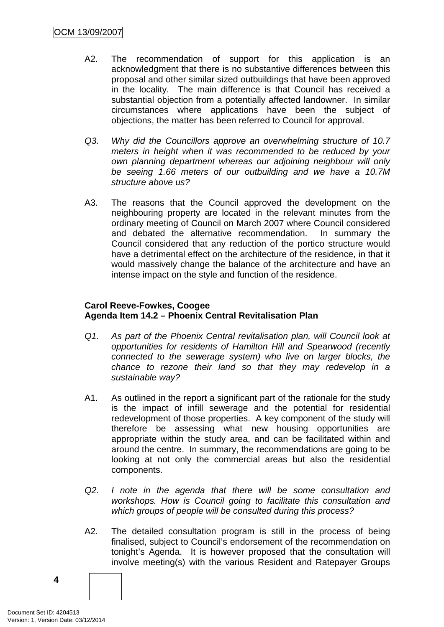- <span id="page-7-0"></span>A2. The recommendation of support for this application is an acknowledgment that there is no substantive differences between this proposal and other similar sized outbuildings that have been approved in the locality. The main difference is that Council has received a substantial objection from a potentially affected landowner. In similar circumstances where applications have been the subject of objections, the matter has been referred to Council for approval.
- *Q3. Why did the Councillors approve an overwhelming structure of 10.7 meters in height when it was recommended to be reduced by your own planning department whereas our adjoining neighbour will only be seeing 1.66 meters of our outbuilding and we have a 10.7M structure above us?*
- A3. The reasons that the Council approved the development on the neighbouring property are located in the relevant minutes from the ordinary meeting of Council on March 2007 where Council considered and debated the alternative recommendation. In summary the Council considered that any reduction of the portico structure would have a detrimental effect on the architecture of the residence, in that it would massively change the balance of the architecture and have an intense impact on the style and function of the residence.

## **Carol Reeve-Fowkes, Coogee Agenda Item 14.2 – Phoenix Central Revitalisation Plan**

- *Q1. As part of the Phoenix Central revitalisation plan, will Council look at opportunities for residents of Hamilton Hill and Spearwood (recently connected to the sewerage system) who live on larger blocks, the chance to rezone their land so that they may redevelop in a sustainable way?*
- A1. As outlined in the report a significant part of the rationale for the study is the impact of infill sewerage and the potential for residential redevelopment of those properties. A key component of the study will therefore be assessing what new housing opportunities are appropriate within the study area, and can be facilitated within and around the centre. In summary, the recommendations are going to be looking at not only the commercial areas but also the residential components.
- *Q2. I note in the agenda that there will be some consultation and workshops. How is Council going to facilitate this consultation and which groups of people will be consulted during this process?*
- A2. The detailed consultation program is still in the process of being finalised, subject to Council's endorsement of the recommendation on tonight's Agenda. It is however proposed that the consultation will involve meeting(s) with the various Resident and Ratepayer Groups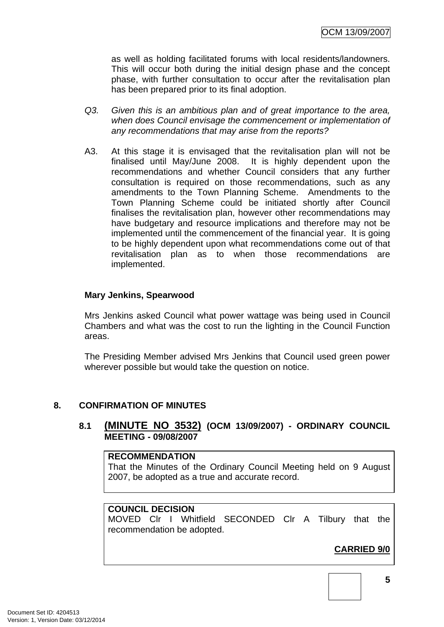as well as holding facilitated forums with local residents/landowners. This will occur both during the initial design phase and the concept phase, with further consultation to occur after the revitalisation plan has been prepared prior to its final adoption.

- *Q3. Given this is an ambitious plan and of great importance to the area, when does Council envisage the commencement or implementation of any recommendations that may arise from the reports?*
- A3. At this stage it is envisaged that the revitalisation plan will not be finalised until May/June 2008. It is highly dependent upon the recommendations and whether Council considers that any further consultation is required on those recommendations, such as any amendments to the Town Planning Scheme. Amendments to the Town Planning Scheme could be initiated shortly after Council finalises the revitalisation plan, however other recommendations may have budgetary and resource implications and therefore may not be implemented until the commencement of the financial year. It is going to be highly dependent upon what recommendations come out of that revitalisation plan as to when those recommendations are implemented.

#### **Mary Jenkins, Spearwood**

Mrs Jenkins asked Council what power wattage was being used in Council Chambers and what was the cost to run the lighting in the Council Function areas.

The Presiding Member advised Mrs Jenkins that Council used green power wherever possible but would take the question on notice.

## **8. CONFIRMATION OF MINUTES**

## **8.1 (MINUTE NO 3532) (OCM 13/09/2007) - ORDINARY COUNCIL MEETING - 09/08/2007**

#### **RECOMMENDATION**

That the Minutes of the Ordinary Council Meeting held on 9 August 2007, be adopted as a true and accurate record.

## **COUNCIL DECISION**

MOVED Clr I Whitfield SECONDED Clr A Tilbury that the recommendation be adopted.

# **CARRIED 9/0**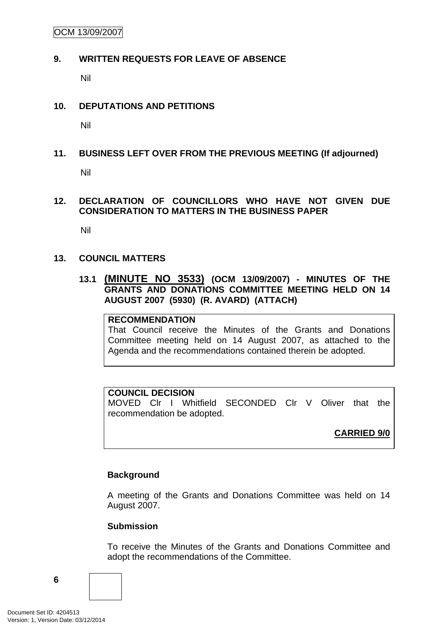<span id="page-9-0"></span>OCM 13/09/2007

#### **9. WRITTEN REQUESTS FOR LEAVE OF ABSENCE**

Nil

#### **10. DEPUTATIONS AND PETITIONS**

Nil

## **11. BUSINESS LEFT OVER FROM THE PREVIOUS MEETING (If adjourned)**

Nil

## **12. DECLARATION OF COUNCILLORS WHO HAVE NOT GIVEN DUE CONSIDERATION TO MATTERS IN THE BUSINESS PAPER**

Nil

#### **13. COUNCIL MATTERS**

## **13.1 (MINUTE NO 3533) (OCM 13/09/2007) - MINUTES OF THE GRANTS AND DONATIONS COMMITTEE MEETING HELD ON 14 AUGUST 2007 (5930) (R. AVARD) (ATTACH)**

#### **RECOMMENDATION**

That Council receive the Minutes of the Grants and Donations Committee meeting held on 14 August 2007, as attached to the Agenda and the recommendations contained therein be adopted.

#### **COUNCIL DECISION**

MOVED Clr I Whitfield SECONDED Clr V Oliver that the recommendation be adopted.

**CARRIED 9/0**

#### **Background**

A meeting of the Grants and Donations Committee was held on 14 August 2007.

#### **Submission**

To receive the Minutes of the Grants and Donations Committee and adopt the recommendations of the Committee.

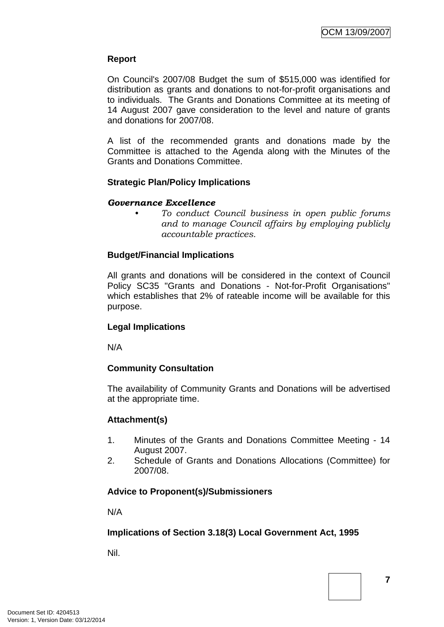## **Report**

On Council's 2007/08 Budget the sum of \$515,000 was identified for distribution as grants and donations to not-for-profit organisations and to individuals. The Grants and Donations Committee at its meeting of 14 August 2007 gave consideration to the level and nature of grants and donations for 2007/08.

A list of the recommended grants and donations made by the Committee is attached to the Agenda along with the Minutes of the Grants and Donations Committee.

## **Strategic Plan/Policy Implications**

## *Governance Excellence*

*• To conduct Council business in open public forums and to manage Council affairs by employing publicly accountable practices.* 

## **Budget/Financial Implications**

All grants and donations will be considered in the context of Council Policy SC35 "Grants and Donations - Not-for-Profit Organisations" which establishes that 2% of rateable income will be available for this purpose.

#### **Legal Implications**

N/A

## **Community Consultation**

The availability of Community Grants and Donations will be advertised at the appropriate time.

#### **Attachment(s)**

- 1. Minutes of the Grants and Donations Committee Meeting 14 August 2007.
- 2. Schedule of Grants and Donations Allocations (Committee) for 2007/08.

## **Advice to Proponent(s)/Submissioners**

N/A

## **Implications of Section 3.18(3) Local Government Act, 1995**

Nil.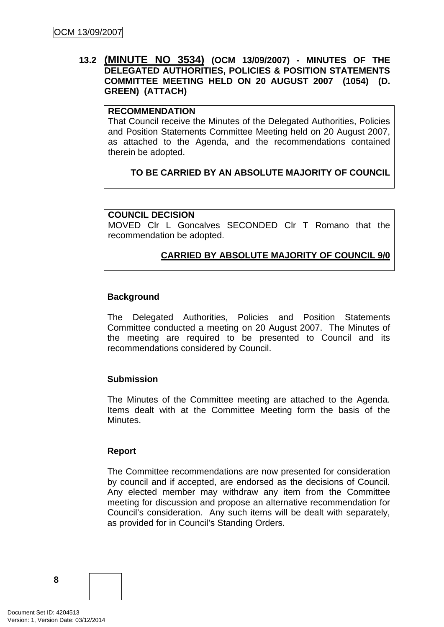## <span id="page-11-0"></span>**13.2 (MINUTE NO 3534) (OCM 13/09/2007) - MINUTES OF THE DELEGATED AUTHORITIES, POLICIES & POSITION STATEMENTS COMMITTEE MEETING HELD ON 20 AUGUST 2007 (1054) (D. GREEN) (ATTACH)**

#### **RECOMMENDATION**

That Council receive the Minutes of the Delegated Authorities, Policies and Position Statements Committee Meeting held on 20 August 2007, as attached to the Agenda, and the recommendations contained therein be adopted.

## **TO BE CARRIED BY AN ABSOLUTE MAJORITY OF COUNCIL**

#### **COUNCIL DECISION**

MOVED Clr L Goncalves SECONDED Clr T Romano that the recommendation be adopted.

#### **CARRIED BY ABSOLUTE MAJORITY OF COUNCIL 9/0**

#### **Background**

The Delegated Authorities, Policies and Position Statements Committee conducted a meeting on 20 August 2007. The Minutes of the meeting are required to be presented to Council and its recommendations considered by Council.

#### **Submission**

The Minutes of the Committee meeting are attached to the Agenda. Items dealt with at the Committee Meeting form the basis of the Minutes.

#### **Report**

The Committee recommendations are now presented for consideration by council and if accepted, are endorsed as the decisions of Council. Any elected member may withdraw any item from the Committee meeting for discussion and propose an alternative recommendation for Council's consideration. Any such items will be dealt with separately, as provided for in Council's Standing Orders.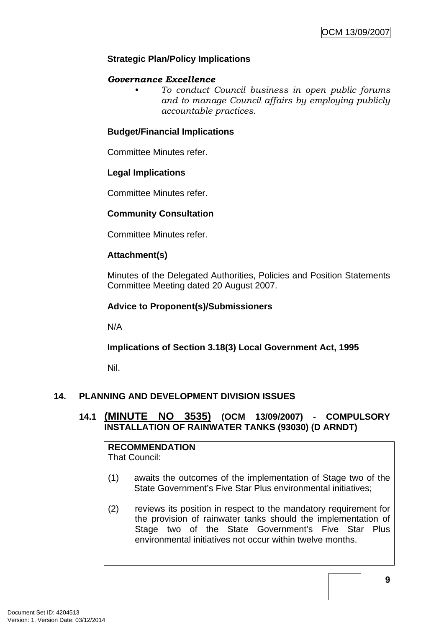## <span id="page-12-0"></span>**Strategic Plan/Policy Implications**

### *Governance Excellence*

*• To conduct Council business in open public forums and to manage Council affairs by employing publicly accountable practices.* 

## **Budget/Financial Implications**

Committee Minutes refer.

## **Legal Implications**

Committee Minutes refer.

## **Community Consultation**

Committee Minutes refer.

## **Attachment(s)**

Minutes of the Delegated Authorities, Policies and Position Statements Committee Meeting dated 20 August 2007.

## **Advice to Proponent(s)/Submissioners**

N/A

## **Implications of Section 3.18(3) Local Government Act, 1995**

Nil.

## **14. PLANNING AND DEVELOPMENT DIVISION ISSUES**

**14.1 (MINUTE NO 3535) (OCM 13/09/2007) - COMPULSORY INSTALLATION OF RAINWATER TANKS (93030) (D ARNDT)** 

# **RECOMMENDATION**

That Council:

- (1) awaits the outcomes of the implementation of Stage two of the State Government's Five Star Plus environmental initiatives;
- (2) reviews its position in respect to the mandatory requirement for the provision of rainwater tanks should the implementation of Stage two of the State Government's Five Star Plus environmental initiatives not occur within twelve months.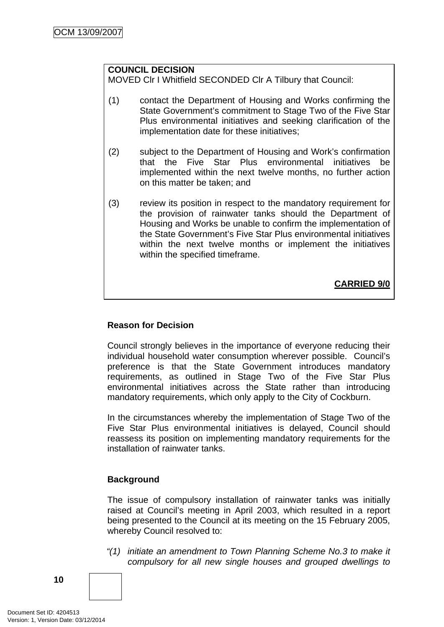## **COUNCIL DECISION**

MOVED Clr I Whitfield SECONDED Clr A Tilbury that Council:

- (1) contact the Department of Housing and Works confirming the State Government's commitment to Stage Two of the Five Star Plus environmental initiatives and seeking clarification of the implementation date for these initiatives;
- (2) subject to the Department of Housing and Work's confirmation that the Five Star Plus environmental initiatives be implemented within the next twelve months, no further action on this matter be taken; and
- (3) review its position in respect to the mandatory requirement for the provision of rainwater tanks should the Department of Housing and Works be unable to confirm the implementation of the State Government's Five Star Plus environmental initiatives within the next twelve months or implement the initiatives within the specified timeframe.

**CARRIED 9/0**

## **Reason for Decision**

Council strongly believes in the importance of everyone reducing their individual household water consumption wherever possible. Council's preference is that the State Government introduces mandatory requirements, as outlined in Stage Two of the Five Star Plus environmental initiatives across the State rather than introducing mandatory requirements, which only apply to the City of Cockburn.

In the circumstances whereby the implementation of Stage Two of the Five Star Plus environmental initiatives is delayed, Council should reassess its position on implementing mandatory requirements for the installation of rainwater tanks.

## **Background**

The issue of compulsory installation of rainwater tanks was initially raised at Council's meeting in April 2003, which resulted in a report being presented to the Council at its meeting on the 15 February 2005, whereby Council resolved to:

*"(1) initiate an amendment to Town Planning Scheme No.3 to make it compulsory for all new single houses and grouped dwellings to*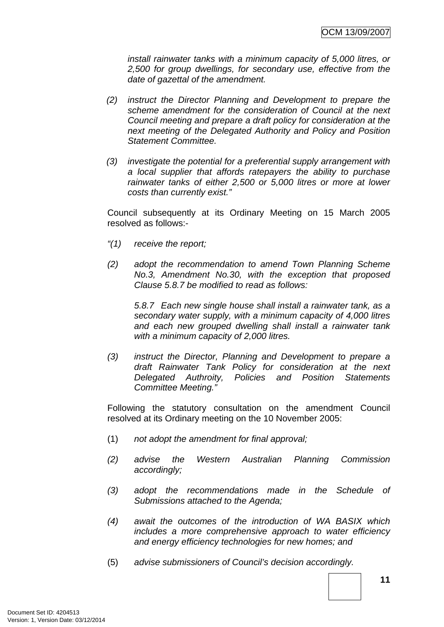*install rainwater tanks with a minimum capacity of 5,000 litres, or 2,500 for group dwellings, for secondary use, effective from the date of gazettal of the amendment.* 

- *(2) instruct the Director Planning and Development to prepare the scheme amendment for the consideration of Council at the next Council meeting and prepare a draft policy for consideration at the next meeting of the Delegated Authority and Policy and Position Statement Committee.*
- *(3) investigate the potential for a preferential supply arrangement with a local supplier that affords ratepayers the ability to purchase rainwater tanks of either 2,500 or 5,000 litres or more at lower costs than currently exist."*

Council subsequently at its Ordinary Meeting on 15 March 2005 resolved as follows:-

- *"(1) receive the report;*
- *(2) adopt the recommendation to amend Town Planning Scheme No.3, Amendment No.30, with the exception that proposed Clause 5.8.7 be modified to read as follows:*

*5.8.7 Each new single house shall install a rainwater tank, as a secondary water supply, with a minimum capacity of 4,000 litres and each new grouped dwelling shall install a rainwater tank with a minimum capacity of 2,000 litres.* 

*(3) instruct the Director, Planning and Development to prepare a draft Rainwater Tank Policy for consideration at the next Delegated Authroity, Policies and Position Statements Committee Meeting."*

Following the statutory consultation on the amendment Council resolved at its Ordinary meeting on the 10 November 2005:

- (1) *not adopt the amendment for final approval;*
- *(2) advise the Western Australian Planning Commission accordingly;*
- *(3) adopt the recommendations made in the Schedule of Submissions attached to the Agenda;*
- *(4) await the outcomes of the introduction of WA BASIX which includes a more comprehensive approach to water efficiency and energy efficiency technologies for new homes; and*
- (5) *advise submissioners of Council's decision accordingly.*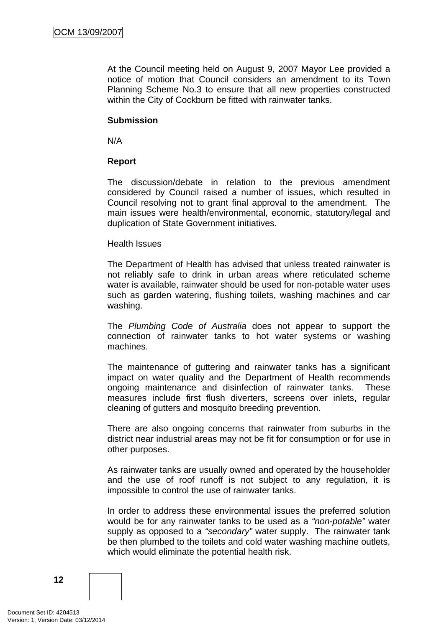At the Council meeting held on August 9, 2007 Mayor Lee provided a notice of motion that Council considers an amendment to its Town Planning Scheme No.3 to ensure that all new properties constructed within the City of Cockburn be fitted with rainwater tanks.

#### **Submission**

N/A

#### **Report**

The discussion/debate in relation to the previous amendment considered by Council raised a number of issues, which resulted in Council resolving not to grant final approval to the amendment. The main issues were health/environmental, economic, statutory/legal and duplication of State Government initiatives.

#### Health Issues

The Department of Health has advised that unless treated rainwater is not reliably safe to drink in urban areas where reticulated scheme water is available, rainwater should be used for non-potable water uses such as garden watering, flushing toilets, washing machines and car washing.

The *Plumbing Code of Australia* does not appear to support the connection of rainwater tanks to hot water systems or washing machines.

The maintenance of guttering and rainwater tanks has a significant impact on water quality and the Department of Health recommends ongoing maintenance and disinfection of rainwater tanks. These measures include first flush diverters, screens over inlets, regular cleaning of gutters and mosquito breeding prevention.

There are also ongoing concerns that rainwater from suburbs in the district near industrial areas may not be fit for consumption or for use in other purposes.

As rainwater tanks are usually owned and operated by the householder and the use of roof runoff is not subject to any regulation, it is impossible to control the use of rainwater tanks.

In order to address these environmental issues the preferred solution would be for any rainwater tanks to be used as a *"non-potable"* water supply as opposed to a *"secondary"* water supply. The rainwater tank be then plumbed to the toilets and cold water washing machine outlets, which would eliminate the potential health risk.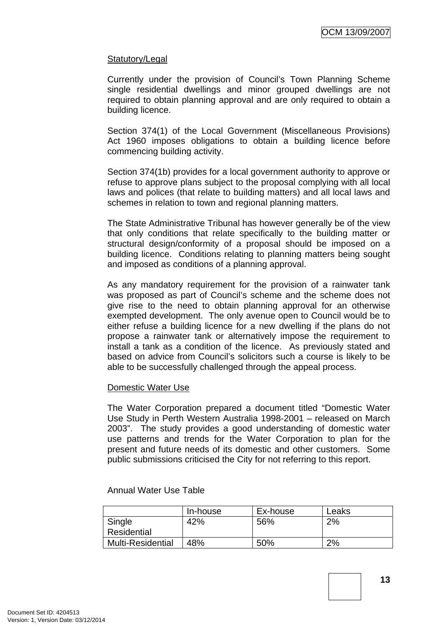#### Statutory/Legal

Currently under the provision of Council's Town Planning Scheme single residential dwellings and minor grouped dwellings are not required to obtain planning approval and are only required to obtain a building licence.

Section 374(1) of the Local Government (Miscellaneous Provisions) Act 1960 imposes obligations to obtain a building licence before commencing building activity.

Section 374(1b) provides for a local government authority to approve or refuse to approve plans subject to the proposal complying with all local laws and polices (that relate to building matters) and all local laws and schemes in relation to town and regional planning matters.

The State Administrative Tribunal has however generally be of the view that only conditions that relate specifically to the building matter or structural design/conformity of a proposal should be imposed on a building licence. Conditions relating to planning matters being sought and imposed as conditions of a planning approval.

As any mandatory requirement for the provision of a rainwater tank was proposed as part of Council's scheme and the scheme does not give rise to the need to obtain planning approval for an otherwise exempted development. The only avenue open to Council would be to either refuse a building licence for a new dwelling if the plans do not propose a rainwater tank or alternatively impose the requirement to install a tank as a condition of the licence. As previously stated and based on advice from Council's solicitors such a course is likely to be able to be successfully challenged through the appeal process.

#### Domestic Water Use

The Water Corporation prepared a document titled "Domestic Water Use Study in Perth Western Australia 1998-2001 – released on March 2003". The study provides a good understanding of domestic water use patterns and trends for the Water Corporation to plan for the present and future needs of its domestic and other customers. Some public submissions criticised the City for not referring to this report.

Annual Water Use Table

|                          | In-house | Ex-house | Leaks |
|--------------------------|----------|----------|-------|
| Single                   | 42%      | 56%      | 2%    |
| Residential              |          |          |       |
| <b>Multi-Residential</b> | 48%      | 50%      | 2%    |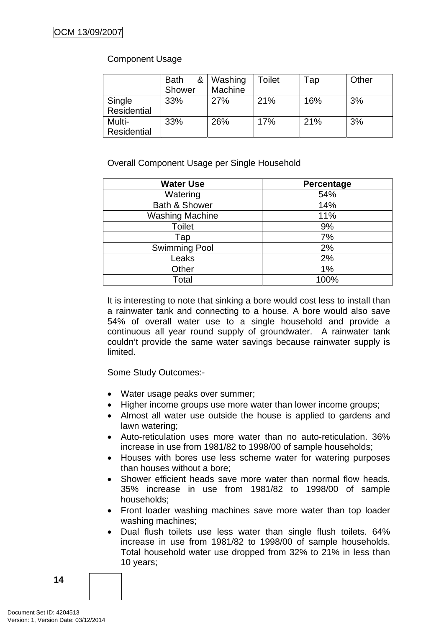## Component Usage

|                       | &<br><b>Bath</b><br>Shower | Washing<br>Machine | Toilet | Гар | Other |
|-----------------------|----------------------------|--------------------|--------|-----|-------|
| Single<br>Residential | 33%                        | 27%                | 21%    | 16% | 3%    |
| Multi-<br>Residential | 33%                        | 26%                | 17%    | 21% | 3%    |

Overall Component Usage per Single Household

| <b>Water Use</b>       | Percentage |
|------------------------|------------|
| Watering               | 54%        |
| Bath & Shower          | 14%        |
| <b>Washing Machine</b> | 11%        |
| <b>Toilet</b>          | 9%         |
| Tap                    | 7%         |
| <b>Swimming Pool</b>   | 2%         |
| Leaks                  | 2%         |
| Other                  | 1%         |
| Total                  | 100%       |

It is interesting to note that sinking a bore would cost less to install than a rainwater tank and connecting to a house. A bore would also save 54% of overall water use to a single household and provide a continuous all year round supply of groundwater. A rainwater tank couldn't provide the same water savings because rainwater supply is limited.

Some Study Outcomes:-

- Water usage peaks over summer;
- Higher income groups use more water than lower income groups;
- Almost all water use outside the house is applied to gardens and lawn watering;
- Auto-reticulation uses more water than no auto-reticulation. 36% increase in use from 1981/82 to 1998/00 of sample households;
- Houses with bores use less scheme water for watering purposes than houses without a bore;
- Shower efficient heads save more water than normal flow heads. 35% increase in use from 1981/82 to 1998/00 of sample households;
- Front loader washing machines save more water than top loader washing machines;
- Dual flush toilets use less water than single flush toilets. 64% increase in use from 1981/82 to 1998/00 of sample households. Total household water use dropped from 32% to 21% in less than 10 years;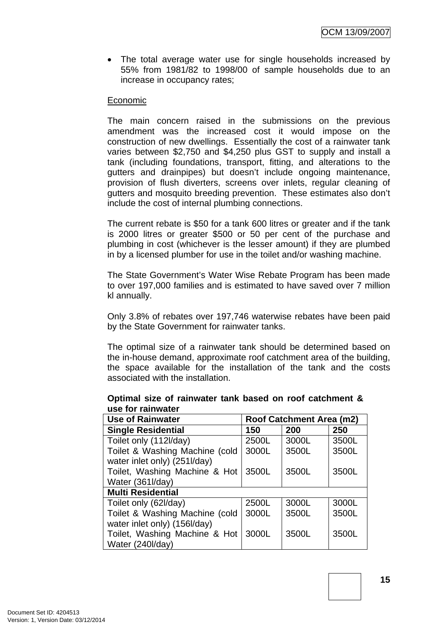• The total average water use for single households increased by 55% from 1981/82 to 1998/00 of sample households due to an increase in occupancy rates;

#### Economic

The main concern raised in the submissions on the previous amendment was the increased cost it would impose on the construction of new dwellings. Essentially the cost of a rainwater tank varies between \$2,750 and \$4,250 plus GST to supply and install a tank (including foundations, transport, fitting, and alterations to the gutters and drainpipes) but doesn't include ongoing maintenance, provision of flush diverters, screens over inlets, regular cleaning of gutters and mosquito breeding prevention. These estimates also don't include the cost of internal plumbing connections.

The current rebate is \$50 for a tank 600 litres or greater and if the tank is 2000 litres or greater \$500 or 50 per cent of the purchase and plumbing in cost (whichever is the lesser amount) if they are plumbed in by a licensed plumber for use in the toilet and/or washing machine.

The State Government's Water Wise Rebate Program has been made to over 197,000 families and is estimated to have saved over 7 million kl annually.

Only 3.8% of rebates over 197,746 waterwise rebates have been paid by the State Government for rainwater tanks.

The optimal size of a rainwater tank should be determined based on the in-house demand, approximate roof catchment area of the building, the space available for the installation of the tank and the costs associated with the installation.

| <b>Use of Rainwater</b>        | Roof Catchment Area (m2) |       |       |  |
|--------------------------------|--------------------------|-------|-------|--|
| <b>Single Residential</b>      | 150                      | 200   | 250   |  |
| Toilet only (112l/day)         | 2500L                    | 3000L | 3500L |  |
| Toilet & Washing Machine (cold | 3000L                    | 3500L | 3500L |  |
| water inlet only) (251l/day)   |                          |       |       |  |
| Toilet, Washing Machine & Hot  | 3500L                    | 3500L | 3500L |  |
| Water (361I/day)               |                          |       |       |  |
| <b>Multi Residential</b>       |                          |       |       |  |
| Toilet only (62l/day)          | 2500L                    | 3000L | 3000L |  |
| Toilet & Washing Machine (cold | 3000L                    | 3500L | 3500L |  |
| water inlet only) (156l/day)   |                          |       |       |  |
| Toilet, Washing Machine & Hot  | 3000L                    | 3500L | 3500L |  |
| Water (240I/day)               |                          |       |       |  |

**Optimal size of rainwater tank based on roof catchment & use for rainwater**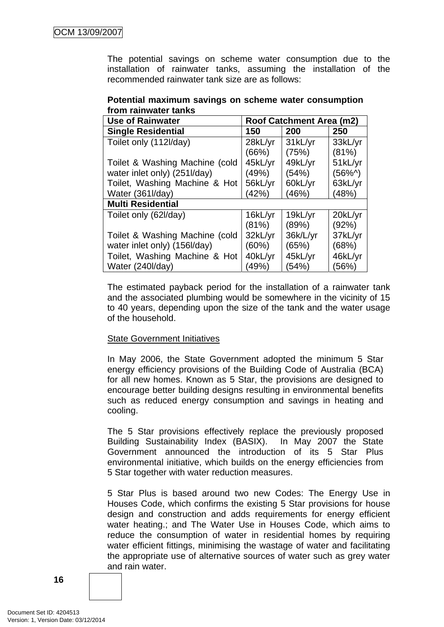The potential savings on scheme water consumption due to the installation of rainwater tanks, assuming the installation of the recommended rainwater tank size are as follows:

| Potential maximum savings on scheme water consumption |  |
|-------------------------------------------------------|--|
| from rainwater tanks                                  |  |

| <b>Use of Rainwater</b>        | Roof Catchment Area (m2) |          |                 |
|--------------------------------|--------------------------|----------|-----------------|
| <b>Single Residential</b>      | 150                      | 200      | 250             |
| Toilet only (112l/day)         | 28kL/yr                  | 31kL/yr  | 33kL/yr         |
|                                | (66%)                    | (75%)    | (81%)           |
| Toilet & Washing Machine (cold | 45kL/yr                  | 49kL/yr  | 51kL/yr         |
| water inlet only) (251l/day)   | (49%)                    | (54%)    | $(56%^{\circ})$ |
| Toilet, Washing Machine & Hot  | 56kL/yr                  | 60kL/yr  | 63kL/yr         |
| Water (361I/day)               | (42%)                    | (46%)    | (48%)           |
| <b>Multi Residential</b>       |                          |          |                 |
| Toilet only (62l/day)          | 16kL/yr                  | 19kL/yr  | 20kL/yr         |
|                                | (81%)                    | (89%)    | (92%)           |
| Toilet & Washing Machine (cold | 32kL/yr                  | 36k/L/yr | 37kL/yr         |
| water inlet only) (156l/day)   | (60%)                    | (65%)    | (68%)           |
| Toilet, Washing Machine & Hot  | 40kL/yr                  | 45kL/yr  | 46kL/yr         |
| Water (240I/day)               | (49%)                    | (54%)    | (56%)           |

The estimated payback period for the installation of a rainwater tank and the associated plumbing would be somewhere in the vicinity of 15 to 40 years, depending upon the size of the tank and the water usage of the household.

#### State Government Initiatives

In May 2006, the State Government adopted the minimum 5 Star energy efficiency provisions of the Building Code of Australia (BCA) for all new homes. Known as 5 Star, the provisions are designed to encourage better building designs resulting in environmental benefits such as reduced energy consumption and savings in heating and cooling.

The 5 Star provisions effectively replace the previously proposed Building Sustainability Index (BASIX). In May 2007 the State Government announced the introduction of its 5 Star Plus environmental initiative, which builds on the energy efficiencies from 5 Star together with water reduction measures.

5 Star Plus is based around two new Codes: The Energy Use in Houses Code, which confirms the existing 5 Star provisions for house design and construction and adds requirements for energy efficient water heating.; and The Water Use in Houses Code, which aims to reduce the consumption of water in residential homes by requiring water efficient fittings, minimising the wastage of water and facilitating the appropriate use of alternative sources of water such as grey water and rain water.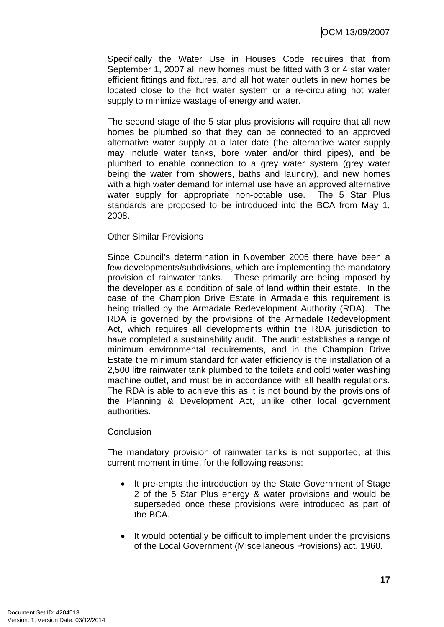Specifically the Water Use in Houses Code requires that from September 1, 2007 all new homes must be fitted with 3 or 4 star water efficient fittings and fixtures, and all hot water outlets in new homes be located close to the hot water system or a re-circulating hot water supply to minimize wastage of energy and water.

The second stage of the 5 star plus provisions will require that all new homes be plumbed so that they can be connected to an approved alternative water supply at a later date (the alternative water supply may include water tanks, bore water and/or third pipes), and be plumbed to enable connection to a grey water system (grey water being the water from showers, baths and laundry), and new homes with a high water demand for internal use have an approved alternative water supply for appropriate non-potable use. The 5 Star Plus standards are proposed to be introduced into the BCA from May 1, 2008.

#### Other Similar Provisions

Since Council's determination in November 2005 there have been a few developments/subdivisions, which are implementing the mandatory provision of rainwater tanks. These primarily are being imposed by the developer as a condition of sale of land within their estate. In the case of the Champion Drive Estate in Armadale this requirement is being trialled by the Armadale Redevelopment Authority (RDA). The RDA is governed by the provisions of the Armadale Redevelopment Act, which requires all developments within the RDA jurisdiction to have completed a sustainability audit. The audit establishes a range of minimum environmental requirements, and in the Champion Drive Estate the minimum standard for water efficiency is the installation of a 2,500 litre rainwater tank plumbed to the toilets and cold water washing machine outlet, and must be in accordance with all health regulations. The RDA is able to achieve this as it is not bound by the provisions of the Planning & Development Act, unlike other local government authorities.

#### **Conclusion**

The mandatory provision of rainwater tanks is not supported, at this current moment in time, for the following reasons:

- It pre-empts the introduction by the State Government of Stage 2 of the 5 Star Plus energy & water provisions and would be superseded once these provisions were introduced as part of the BCA.
- It would potentially be difficult to implement under the provisions of the Local Government (Miscellaneous Provisions) act, 1960.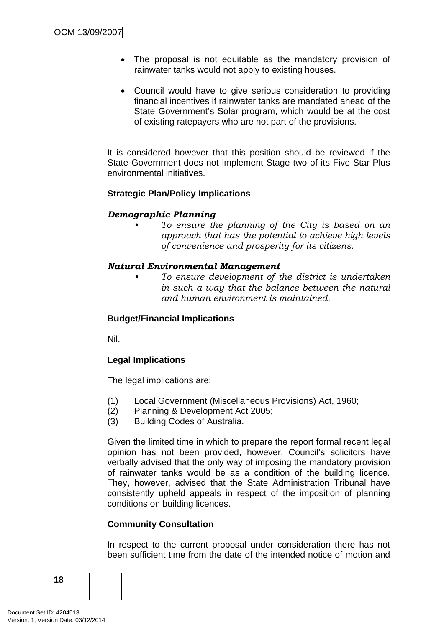- The proposal is not equitable as the mandatory provision of rainwater tanks would not apply to existing houses.
- Council would have to give serious consideration to providing financial incentives if rainwater tanks are mandated ahead of the State Government's Solar program, which would be at the cost of existing ratepayers who are not part of the provisions.

It is considered however that this position should be reviewed if the State Government does not implement Stage two of its Five Star Plus environmental initiatives.

## **Strategic Plan/Policy Implications**

## *Demographic Planning*

*• To ensure the planning of the City is based on an approach that has the potential to achieve high levels of convenience and prosperity for its citizens.* 

#### *Natural Environmental Management*

*• To ensure development of the district is undertaken in such a way that the balance between the natural and human environment is maintained.* 

#### **Budget/Financial Implications**

Nil.

#### **Legal Implications**

The legal implications are:

- (1) Local Government (Miscellaneous Provisions) Act, 1960;
- (2) Planning & Development Act 2005;
- (3) Building Codes of Australia.

Given the limited time in which to prepare the report formal recent legal opinion has not been provided, however, Council's solicitors have verbally advised that the only way of imposing the mandatory provision of rainwater tanks would be as a condition of the building licence. They, however, advised that the State Administration Tribunal have consistently upheld appeals in respect of the imposition of planning conditions on building licences.

#### **Community Consultation**

In respect to the current proposal under consideration there has not been sufficient time from the date of the intended notice of motion and

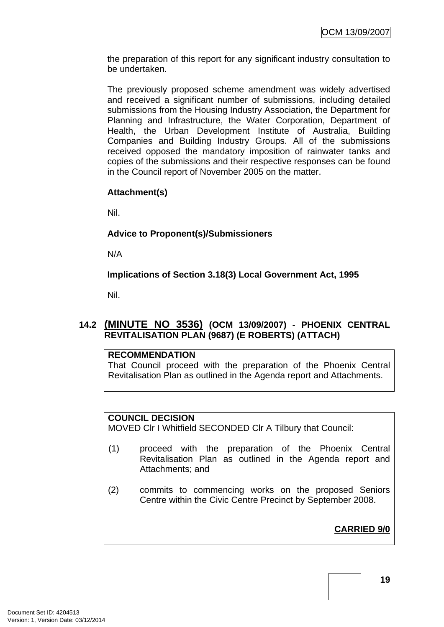<span id="page-22-0"></span>the preparation of this report for any significant industry consultation to be undertaken.

The previously proposed scheme amendment was widely advertised and received a significant number of submissions, including detailed submissions from the Housing Industry Association, the Department for Planning and Infrastructure, the Water Corporation, Department of Health, the Urban Development Institute of Australia, Building Companies and Building Industry Groups. All of the submissions received opposed the mandatory imposition of rainwater tanks and copies of the submissions and their respective responses can be found in the Council report of November 2005 on the matter.

# **Attachment(s)**

Nil.

# **Advice to Proponent(s)/Submissioners**

N/A

**Implications of Section 3.18(3) Local Government Act, 1995**

Nil.

# **14.2 (MINUTE NO 3536) (OCM 13/09/2007) - PHOENIX CENTRAL REVITALISATION PLAN (9687) (E ROBERTS) (ATTACH)**

### **RECOMMENDATION**

That Council proceed with the preparation of the Phoenix Central Revitalisation Plan as outlined in the Agenda report and Attachments.

## **COUNCIL DECISION**

MOVED Clr I Whitfield SECONDED Clr A Tilbury that Council:

- (1) proceed with the preparation of the Phoenix Central Revitalisation Plan as outlined in the Agenda report and Attachments; and
- (2) commits to commencing works on the proposed Seniors Centre within the Civic Centre Precinct by September 2008.

**CARRIED 9/0**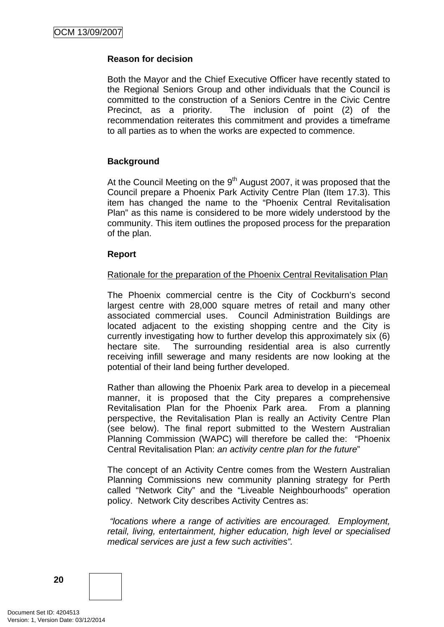### **Reason for decision**

Both the Mayor and the Chief Executive Officer have recently stated to the Regional Seniors Group and other individuals that the Council is committed to the construction of a Seniors Centre in the Civic Centre Precinct, as a priority. The inclusion of point (2) of the recommendation reiterates this commitment and provides a timeframe to all parties as to when the works are expected to commence.

## **Background**

At the Council Meeting on the 9<sup>th</sup> August 2007, it was proposed that the Council prepare a Phoenix Park Activity Centre Plan (Item 17.3). This item has changed the name to the "Phoenix Central Revitalisation Plan" as this name is considered to be more widely understood by the community. This item outlines the proposed process for the preparation of the plan.

#### **Report**

#### Rationale for the preparation of the Phoenix Central Revitalisation Plan

The Phoenix commercial centre is the City of Cockburn's second largest centre with 28,000 square metres of retail and many other associated commercial uses. Council Administration Buildings are located adjacent to the existing shopping centre and the City is currently investigating how to further develop this approximately six (6) hectare site. The surrounding residential area is also currently receiving infill sewerage and many residents are now looking at the potential of their land being further developed.

Rather than allowing the Phoenix Park area to develop in a piecemeal manner, it is proposed that the City prepares a comprehensive Revitalisation Plan for the Phoenix Park area. From a planning perspective, the Revitalisation Plan is really an Activity Centre Plan (see below). The final report submitted to the Western Australian Planning Commission (WAPC) will therefore be called the: "Phoenix Central Revitalisation Plan: *an activity centre plan for the future*"

The concept of an Activity Centre comes from the Western Australian Planning Commissions new community planning strategy for Perth called "Network City" and the "Liveable Neighbourhoods" operation policy. Network City describes Activity Centres as:

 *"locations where a range of activities are encouraged. Employment, retail, living, entertainment, higher education, high level or specialised medical services are just a few such activities".*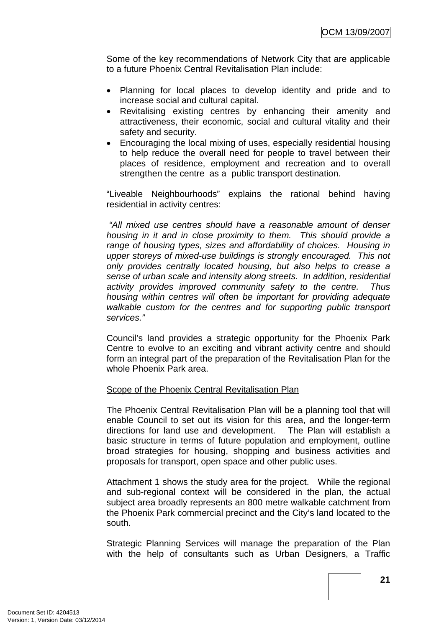Some of the key recommendations of Network City that are applicable to a future Phoenix Central Revitalisation Plan include:

- Planning for local places to develop identity and pride and to increase social and cultural capital.
- Revitalising existing centres by enhancing their amenity and attractiveness, their economic, social and cultural vitality and their safety and security.
- Encouraging the local mixing of uses, especially residential housing to help reduce the overall need for people to travel between their places of residence, employment and recreation and to overall strengthen the centre as a public transport destination.

"Liveable Neighbourhoods" explains the rational behind having residential in activity centres:

 *"All mixed use centres should have a reasonable amount of denser housing in it and in close proximity to them. This should provide a range of housing types, sizes and affordability of choices. Housing in upper storeys of mixed-use buildings is strongly encouraged. This not only provides centrally located housing, but also helps to crease a sense of urban scale and intensity along streets. In addition, residential activity provides improved community safety to the centre. Thus housing within centres will often be important for providing adequate walkable custom for the centres and for supporting public transport services."* 

Council's land provides a strategic opportunity for the Phoenix Park Centre to evolve to an exciting and vibrant activity centre and should form an integral part of the preparation of the Revitalisation Plan for the whole Phoenix Park area.

#### Scope of the Phoenix Central Revitalisation Plan

The Phoenix Central Revitalisation Plan will be a planning tool that will enable Council to set out its vision for this area, and the longer-term directions for land use and development. The Plan will establish a basic structure in terms of future population and employment, outline broad strategies for housing, shopping and business activities and proposals for transport, open space and other public uses.

Attachment 1 shows the study area for the project. While the regional and sub-regional context will be considered in the plan, the actual subject area broadly represents an 800 metre walkable catchment from the Phoenix Park commercial precinct and the City's land located to the south.

Strategic Planning Services will manage the preparation of the Plan with the help of consultants such as Urban Designers, a Traffic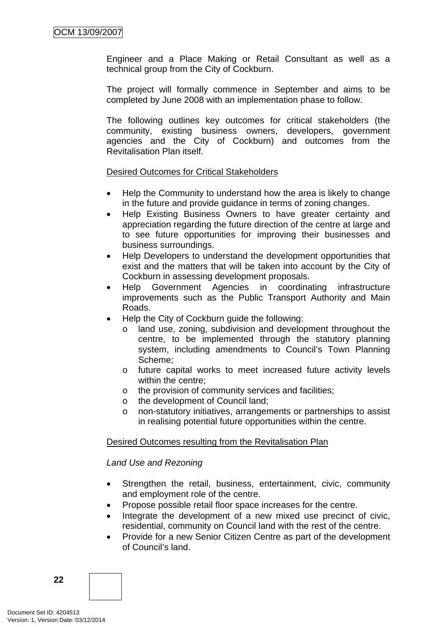Engineer and a Place Making or Retail Consultant as well as a technical group from the City of Cockburn.

The project will formally commence in September and aims to be completed by June 2008 with an implementation phase to follow.

The following outlines key outcomes for critical stakeholders (the community, existing business owners, developers, government agencies and the City of Cockburn) and outcomes from the Revitalisation Plan itself.

#### Desired Outcomes for Critical Stakeholders

- Help the Community to understand how the area is likely to change in the future and provide guidance in terms of zoning changes.
- Help Existing Business Owners to have greater certainty and appreciation regarding the future direction of the centre at large and to see future opportunities for improving their businesses and business surroundings.
- Help Developers to understand the development opportunities that exist and the matters that will be taken into account by the City of Cockburn in assessing development proposals.
- Help Government Agencies in coordinating infrastructure improvements such as the Public Transport Authority and Main Roads.
- Help the City of Cockburn guide the following:
	- o land use, zoning, subdivision and development throughout the centre, to be implemented through the statutory planning system, including amendments to Council's Town Planning Scheme;
	- o future capital works to meet increased future activity levels within the centre;
	- o the provision of community services and facilities;
	- o the development of Council land;
	- o non-statutory initiatives, arrangements or partnerships to assist in realising potential future opportunities within the centre.

#### Desired Outcomes resulting from the Revitalisation Plan

#### *Land Use and Rezoning*

- Strengthen the retail, business, entertainment, civic, community and employment role of the centre.
- Propose possible retail floor space increases for the centre.
- Integrate the development of a new mixed use precinct of civic, residential, community on Council land with the rest of the centre.
- Provide for a new Senior Citizen Centre as part of the development of Council's land.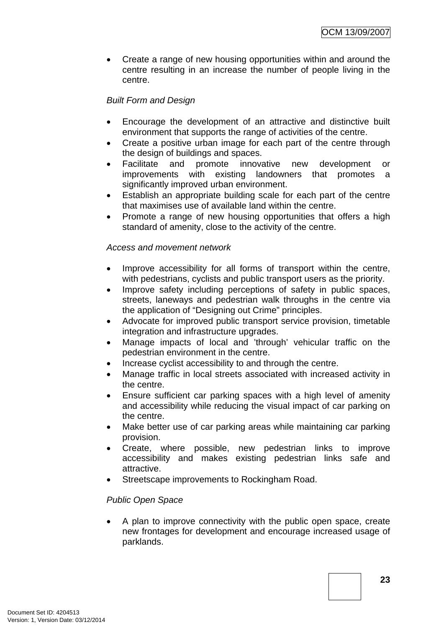• Create a range of new housing opportunities within and around the centre resulting in an increase the number of people living in the centre.

## *Built Form and Design*

- Encourage the development of an attractive and distinctive built environment that supports the range of activities of the centre.
- Create a positive urban image for each part of the centre through the design of buildings and spaces.
- Facilitate and promote innovative new development or improvements with existing landowners that promotes a significantly improved urban environment.
- Establish an appropriate building scale for each part of the centre that maximises use of available land within the centre.
- Promote a range of new housing opportunities that offers a high standard of amenity, close to the activity of the centre.

## *Access and movement network*

- Improve accessibility for all forms of transport within the centre, with pedestrians, cyclists and public transport users as the priority.
- Improve safety including perceptions of safety in public spaces, streets, laneways and pedestrian walk throughs in the centre via the application of "Designing out Crime" principles.
- Advocate for improved public transport service provision, timetable integration and infrastructure upgrades.
- Manage impacts of local and 'through' vehicular traffic on the pedestrian environment in the centre.
- Increase cyclist accessibility to and through the centre.
- Manage traffic in local streets associated with increased activity in the centre.
- Ensure sufficient car parking spaces with a high level of amenity and accessibility while reducing the visual impact of car parking on the centre.
- Make better use of car parking areas while maintaining car parking provision.
- Create, where possible, new pedestrian links to improve accessibility and makes existing pedestrian links safe and attractive.
- Streetscape improvements to Rockingham Road.

## *Public Open Space*

• A plan to improve connectivity with the public open space, create new frontages for development and encourage increased usage of parklands.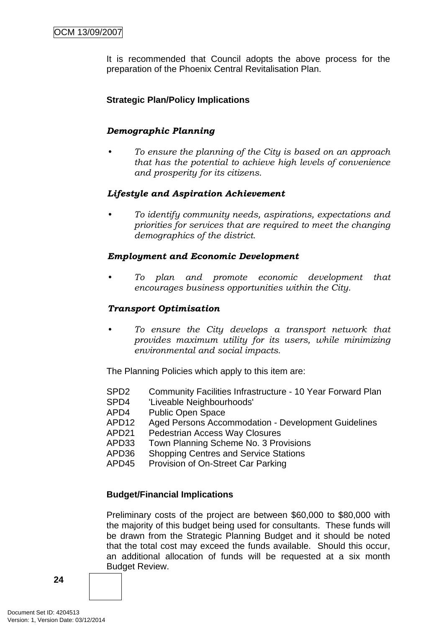It is recommended that Council adopts the above process for the preparation of the Phoenix Central Revitalisation Plan.

## **Strategic Plan/Policy Implications**

### *Demographic Planning*

*• To ensure the planning of the City is based on an approach that has the potential to achieve high levels of convenience and prosperity for its citizens.* 

## *Lifestyle and Aspiration Achievement*

*• To identify community needs, aspirations, expectations and priorities for services that are required to meet the changing demographics of the district.* 

#### *Employment and Economic Development*

*• To plan and promote economic development that encourages business opportunities within the City.* 

## *Transport Optimisation*

*• To ensure the City develops a transport network that provides maximum utility for its users, while minimizing environmental and social impacts.* 

The Planning Policies which apply to this item are:

- SPD2 Community Facilities Infrastructure 10 Year Forward Plan
- SPD4 'Liveable Neighbourhoods'
- APD4 Public Open Space
- APD12 Aged Persons Accommodation Development Guidelines
- APD21 Pedestrian Access Way Closures
- APD33 Town Planning Scheme No. 3 Provisions
- APD36 Shopping Centres and Service Stations
- APD45 Provision of On-Street Car Parking

#### **Budget/Financial Implications**

Preliminary costs of the project are between \$60,000 to \$80,000 with the majority of this budget being used for consultants. These funds will be drawn from the Strategic Planning Budget and it should be noted that the total cost may exceed the funds available. Should this occur, an additional allocation of funds will be requested at a six month Budget Review.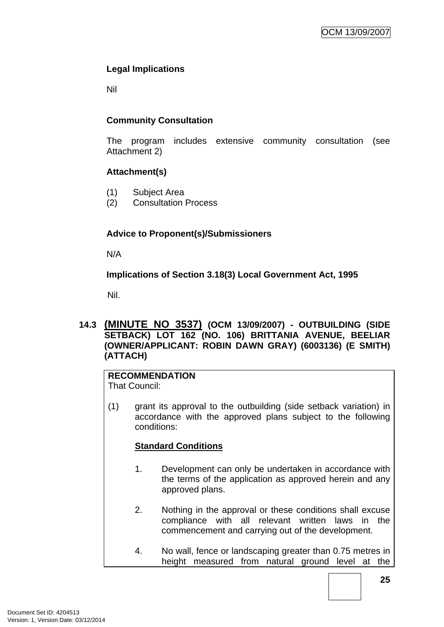# <span id="page-28-0"></span>**Legal Implications**

Nil

## **Community Consultation**

The program includes extensive community consultation (see Attachment 2)

## **Attachment(s)**

- (1) Subject Area
- (2) Consultation Process

# **Advice to Proponent(s)/Submissioners**

N/A

**Implications of Section 3.18(3) Local Government Act, 1995**

Nil.

**14.3 (MINUTE NO 3537) (OCM 13/09/2007) - OUTBUILDING (SIDE SETBACK) LOT 162 (NO. 106) BRITTANIA AVENUE, BEELIAR (OWNER/APPLICANT: ROBIN DAWN GRAY) (6003136) (E SMITH) (ATTACH)** 

# **RECOMMENDATION**

That Council:

(1) grant its approval to the outbuilding (side setback variation) in accordance with the approved plans subject to the following conditions:

## **Standard Conditions**

- 1. Development can only be undertaken in accordance with the terms of the application as approved herein and any approved plans.
- 2. Nothing in the approval or these conditions shall excuse compliance with all relevant written laws in the commencement and carrying out of the development.
- 4. No wall, fence or landscaping greater than 0.75 metres in height measured from natural ground level at the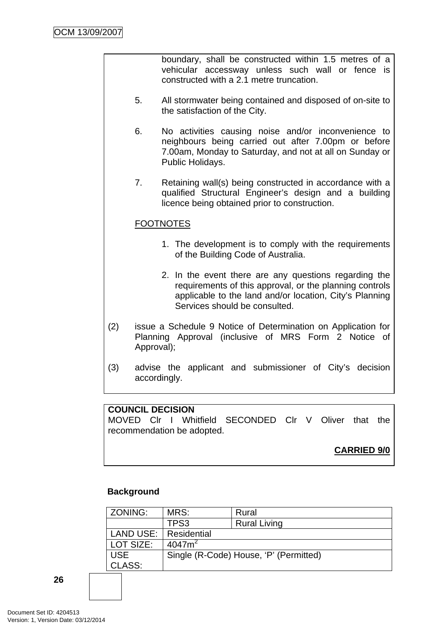boundary, shall be constructed within 1.5 metres of a vehicular accessway unless such wall or fence is constructed with a 2.1 metre truncation.

- 5. All stormwater being contained and disposed of on-site to the satisfaction of the City.
- 6. No activities causing noise and/or inconvenience to neighbours being carried out after 7.00pm or before 7.00am, Monday to Saturday, and not at all on Sunday or Public Holidays.
- 7. Retaining wall(s) being constructed in accordance with a qualified Structural Engineer's design and a building licence being obtained prior to construction.

## FOOTNOTES

- 1. The development is to comply with the requirements of the Building Code of Australia.
- 2. In the event there are any questions regarding the requirements of this approval, or the planning controls applicable to the land and/or location, City's Planning Services should be consulted.
- (2) issue a Schedule 9 Notice of Determination on Application for Planning Approval (inclusive of MRS Form 2 Notice of Approval);
- (3) advise the applicant and submissioner of City's decision accordingly.

## **COUNCIL DECISION**

MOVED Clr I Whitfield SECONDED Clr V Oliver that the recommendation be adopted.

**CARRIED 9/0**

#### **Background**

| ZONING:                | MRS:        | Rural                                  |
|------------------------|-------------|----------------------------------------|
|                        | TPS3        | <b>Rural Living</b>                    |
| LAND USE:              | Residential |                                        |
| $4047m^2$<br>LOT SIZE: |             |                                        |
| <b>USE</b>             |             | Single (R-Code) House, 'P' (Permitted) |
| CLASS:                 |             |                                        |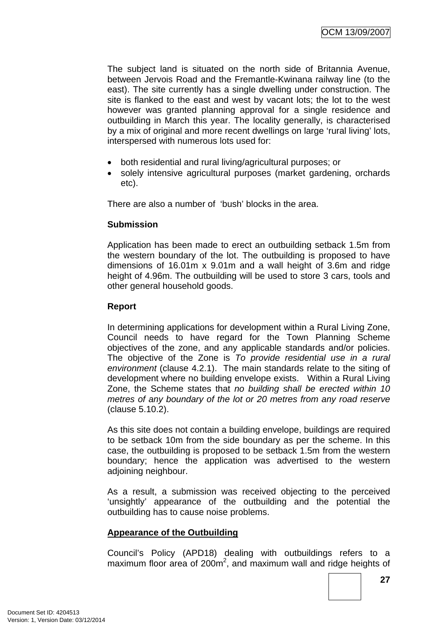The subject land is situated on the north side of Britannia Avenue, between Jervois Road and the Fremantle-Kwinana railway line (to the east). The site currently has a single dwelling under construction. The site is flanked to the east and west by vacant lots; the lot to the west however was granted planning approval for a single residence and outbuilding in March this year. The locality generally, is characterised by a mix of original and more recent dwellings on large 'rural living' lots, interspersed with numerous lots used for:

- both residential and rural living/agricultural purposes; or
- solely intensive agricultural purposes (market gardening, orchards etc).

There are also a number of 'bush' blocks in the area.

#### **Submission**

Application has been made to erect an outbuilding setback 1.5m from the western boundary of the lot. The outbuilding is proposed to have dimensions of 16.01m x 9.01m and a wall height of 3.6m and ridge height of 4.96m. The outbuilding will be used to store 3 cars, tools and other general household goods.

#### **Report**

In determining applications for development within a Rural Living Zone, Council needs to have regard for the Town Planning Scheme objectives of the zone, and any applicable standards and/or policies. The objective of the Zone is *To provide residential use in a rural environment* (clause 4.2.1). The main standards relate to the siting of development where no building envelope exists. Within a Rural Living Zone, the Scheme states that *no building shall be erected within 10 metres of any boundary of the lot or 20 metres from any road reserve*  (clause 5.10.2).

As this site does not contain a building envelope, buildings are required to be setback 10m from the side boundary as per the scheme. In this case, the outbuilding is proposed to be setback 1.5m from the western boundary; hence the application was advertised to the western adjoining neighbour.

As a result, a submission was received objecting to the perceived 'unsightly' appearance of the outbuilding and the potential the outbuilding has to cause noise problems.

#### **Appearance of the Outbuilding**

Council's Policy (APD18) dealing with outbuildings refers to a maximum floor area of  $200<sup>m²</sup>$ , and maximum wall and ridge heights of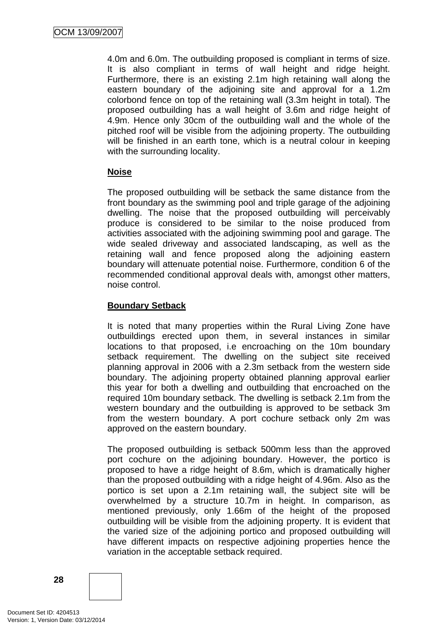4.0m and 6.0m. The outbuilding proposed is compliant in terms of size. It is also compliant in terms of wall height and ridge height. Furthermore, there is an existing 2.1m high retaining wall along the eastern boundary of the adjoining site and approval for a 1.2m colorbond fence on top of the retaining wall (3.3m height in total). The proposed outbuilding has a wall height of 3.6m and ridge height of 4.9m. Hence only 30cm of the outbuilding wall and the whole of the pitched roof will be visible from the adjoining property. The outbuilding will be finished in an earth tone, which is a neutral colour in keeping with the surrounding locality.

#### **Noise**

The proposed outbuilding will be setback the same distance from the front boundary as the swimming pool and triple garage of the adjoining dwelling. The noise that the proposed outbuilding will perceivably produce is considered to be similar to the noise produced from activities associated with the adjoining swimming pool and garage. The wide sealed driveway and associated landscaping, as well as the retaining wall and fence proposed along the adjoining eastern boundary will attenuate potential noise. Furthermore, condition 6 of the recommended conditional approval deals with, amongst other matters, noise control.

## **Boundary Setback**

It is noted that many properties within the Rural Living Zone have outbuildings erected upon them, in several instances in similar locations to that proposed, i.e encroaching on the 10m boundary setback requirement. The dwelling on the subject site received planning approval in 2006 with a 2.3m setback from the western side boundary. The adjoining property obtained planning approval earlier this year for both a dwelling and outbuilding that encroached on the required 10m boundary setback. The dwelling is setback 2.1m from the western boundary and the outbuilding is approved to be setback 3m from the western boundary. A port cochure setback only 2m was approved on the eastern boundary.

The proposed outbuilding is setback 500mm less than the approved port cochure on the adjoining boundary. However, the portico is proposed to have a ridge height of 8.6m, which is dramatically higher than the proposed outbuilding with a ridge height of 4.96m. Also as the portico is set upon a 2.1m retaining wall, the subject site will be overwhelmed by a structure 10.7m in height. In comparison, as mentioned previously, only 1.66m of the height of the proposed outbuilding will be visible from the adjoining property. It is evident that the varied size of the adjoining portico and proposed outbuilding will have different impacts on respective adjoining properties hence the variation in the acceptable setback required.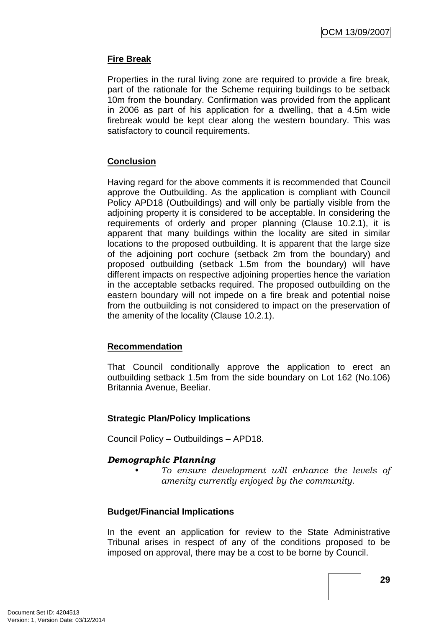## **Fire Break**

Properties in the rural living zone are required to provide a fire break, part of the rationale for the Scheme requiring buildings to be setback 10m from the boundary. Confirmation was provided from the applicant in 2006 as part of his application for a dwelling, that a 4.5m wide firebreak would be kept clear along the western boundary. This was satisfactory to council requirements.

# **Conclusion**

Having regard for the above comments it is recommended that Council approve the Outbuilding. As the application is compliant with Council Policy APD18 (Outbuildings) and will only be partially visible from the adjoining property it is considered to be acceptable. In considering the requirements of orderly and proper planning (Clause 10.2.1), it is apparent that many buildings within the locality are sited in similar locations to the proposed outbuilding. It is apparent that the large size of the adjoining port cochure (setback 2m from the boundary) and proposed outbuilding (setback 1.5m from the boundary) will have different impacts on respective adjoining properties hence the variation in the acceptable setbacks required. The proposed outbuilding on the eastern boundary will not impede on a fire break and potential noise from the outbuilding is not considered to impact on the preservation of the amenity of the locality (Clause 10.2.1).

## **Recommendation**

That Council conditionally approve the application to erect an outbuilding setback 1.5m from the side boundary on Lot 162 (No.106) Britannia Avenue, Beeliar.

## **Strategic Plan/Policy Implications**

Council Policy – Outbuildings – APD18.

#### *Demographic Planning*

*• To ensure development will enhance the levels of amenity currently enjoyed by the community.*

## **Budget/Financial Implications**

In the event an application for review to the State Administrative Tribunal arises in respect of any of the conditions proposed to be imposed on approval, there may be a cost to be borne by Council.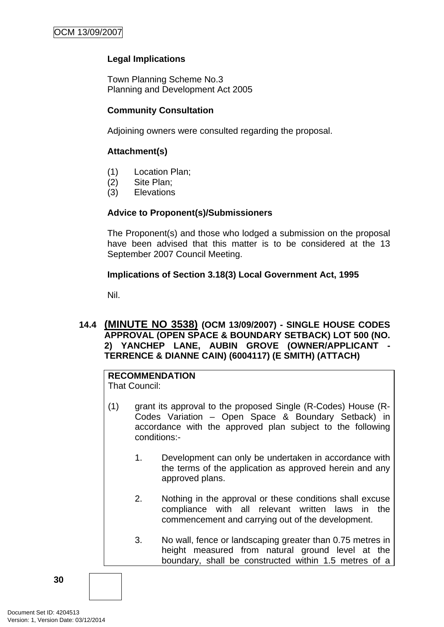## <span id="page-33-0"></span>**Legal Implications**

Town Planning Scheme No.3 Planning and Development Act 2005

## **Community Consultation**

Adjoining owners were consulted regarding the proposal.

## **Attachment(s)**

- (1) Location Plan;
- (2) Site Plan;
- (3) Elevations

#### **Advice to Proponent(s)/Submissioners**

The Proponent(s) and those who lodged a submission on the proposal have been advised that this matter is to be considered at the 13 September 2007 Council Meeting.

## **Implications of Section 3.18(3) Local Government Act, 1995**

Nil.

**14.4 (MINUTE NO 3538) (OCM 13/09/2007) - SINGLE HOUSE CODES APPROVAL (OPEN SPACE & BOUNDARY SETBACK) LOT 500 (NO. 2) YANCHEP LANE, AUBIN GROVE (OWNER/APPLICANT - TERRENCE & DIANNE CAIN) (6004117) (E SMITH) (ATTACH)** 

## **RECOMMENDATION**

That Council:

- (1) grant its approval to the proposed Single (R-Codes) House (R-Codes Variation – Open Space & Boundary Setback) in accordance with the approved plan subject to the following conditions:-
	- 1. Development can only be undertaken in accordance with the terms of the application as approved herein and any approved plans.
	- 2. Nothing in the approval or these conditions shall excuse compliance with all relevant written laws in the commencement and carrying out of the development.
	- 3. No wall, fence or landscaping greater than 0.75 metres in height measured from natural ground level at the boundary, shall be constructed within 1.5 metres of a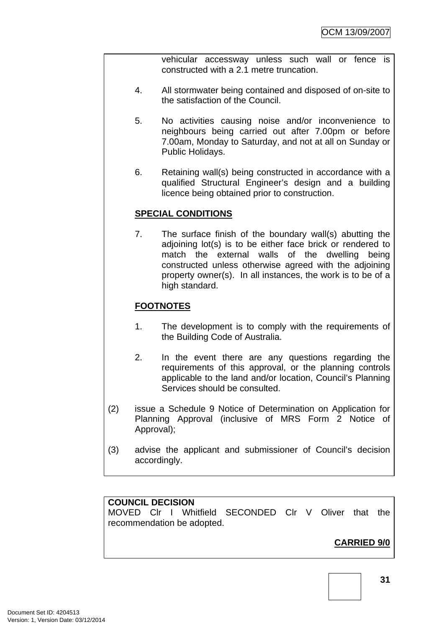vehicular accessway unless such wall or fence is constructed with a 2.1 metre truncation.

- 4. All stormwater being contained and disposed of on-site to the satisfaction of the Council.
- 5. No activities causing noise and/or inconvenience to neighbours being carried out after 7.00pm or before 7.00am, Monday to Saturday, and not at all on Sunday or Public Holidays.
- 6. Retaining wall(s) being constructed in accordance with a qualified Structural Engineer's design and a building licence being obtained prior to construction.

# **SPECIAL CONDITIONS**

7. The surface finish of the boundary wall(s) abutting the adjoining lot(s) is to be either face brick or rendered to match the external walls of the dwelling being constructed unless otherwise agreed with the adjoining property owner(s). In all instances, the work is to be of a high standard.

# **FOOTNOTES**

- 1. The development is to comply with the requirements of the Building Code of Australia.
- 2. In the event there are any questions regarding the requirements of this approval, or the planning controls applicable to the land and/or location, Council's Planning Services should be consulted.
- (2) issue a Schedule 9 Notice of Determination on Application for Planning Approval (inclusive of MRS Form 2 Notice of Approval);
- (3) advise the applicant and submissioner of Council's decision accordingly.

## **COUNCIL DECISION**

MOVED Clr I Whitfield SECONDED Clr V Oliver that the recommendation be adopted.

# **CARRIED 9/0**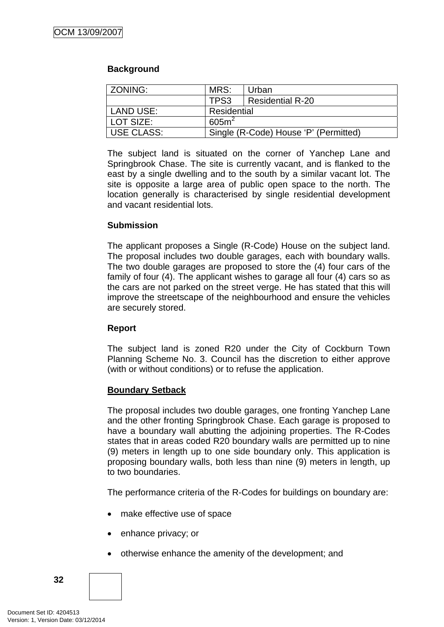## **Background**

| <b>ZONING:</b> | MRS:                                  | Urban            |
|----------------|---------------------------------------|------------------|
|                | TPS3                                  | Residential R-20 |
| LAND USE:      | Residential                           |                  |
| LOT SIZE:      | 605m <sup>2</sup>                     |                  |
| USE CLASS:     | Single (R-Code) House 'P' (Permitted) |                  |

The subject land is situated on the corner of Yanchep Lane and Springbrook Chase. The site is currently vacant, and is flanked to the east by a single dwelling and to the south by a similar vacant lot. The site is opposite a large area of public open space to the north. The location generally is characterised by single residential development and vacant residential lots.

## **Submission**

The applicant proposes a Single (R-Code) House on the subject land. The proposal includes two double garages, each with boundary walls. The two double garages are proposed to store the (4) four cars of the family of four (4). The applicant wishes to garage all four (4) cars so as the cars are not parked on the street verge. He has stated that this will improve the streetscape of the neighbourhood and ensure the vehicles are securely stored.

#### **Report**

The subject land is zoned R20 under the City of Cockburn Town Planning Scheme No. 3. Council has the discretion to either approve (with or without conditions) or to refuse the application.

## **Boundary Setback**

The proposal includes two double garages, one fronting Yanchep Lane and the other fronting Springbrook Chase. Each garage is proposed to have a boundary wall abutting the adjoining properties. The R-Codes states that in areas coded R20 boundary walls are permitted up to nine (9) meters in length up to one side boundary only. This application is proposing boundary walls, both less than nine (9) meters in length, up to two boundaries.

The performance criteria of the R-Codes for buildings on boundary are:

- make effective use of space
- enhance privacy; or
- otherwise enhance the amenity of the development; and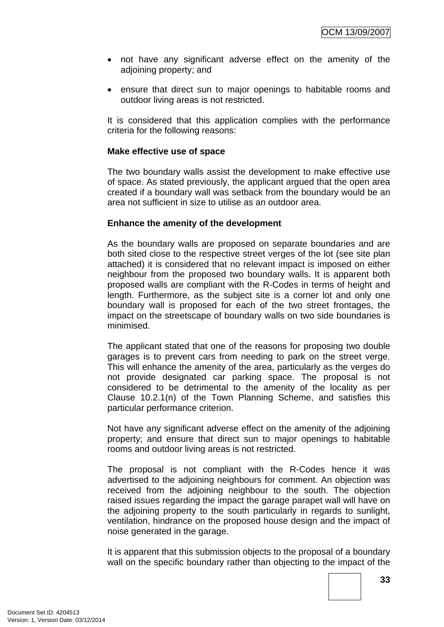- not have any significant adverse effect on the amenity of the adjoining property; and
- ensure that direct sun to major openings to habitable rooms and outdoor living areas is not restricted.

It is considered that this application complies with the performance criteria for the following reasons:

### **Make effective use of space**

The two boundary walls assist the development to make effective use of space. As stated previously, the applicant argued that the open area created if a boundary wall was setback from the boundary would be an area not sufficient in size to utilise as an outdoor area.

#### **Enhance the amenity of the development**

As the boundary walls are proposed on separate boundaries and are both sited close to the respective street verges of the lot (see site plan attached) it is considered that no relevant impact is imposed on either neighbour from the proposed two boundary walls. It is apparent both proposed walls are compliant with the R-Codes in terms of height and length. Furthermore, as the subject site is a corner lot and only one boundary wall is proposed for each of the two street frontages, the impact on the streetscape of boundary walls on two side boundaries is minimised.

The applicant stated that one of the reasons for proposing two double garages is to prevent cars from needing to park on the street verge. This will enhance the amenity of the area, particularly as the verges do not provide designated car parking space. The proposal is not considered to be detrimental to the amenity of the locality as per Clause 10.2.1(n) of the Town Planning Scheme, and satisfies this particular performance criterion.

Not have any significant adverse effect on the amenity of the adjoining property; and ensure that direct sun to major openings to habitable rooms and outdoor living areas is not restricted.

The proposal is not compliant with the R-Codes hence it was advertised to the adjoining neighbours for comment. An objection was received from the adjoining neighbour to the south. The objection raised issues regarding the impact the garage parapet wall will have on the adjoining property to the south particularly in regards to sunlight, ventilation, hindrance on the proposed house design and the impact of noise generated in the garage.

It is apparent that this submission objects to the proposal of a boundary wall on the specific boundary rather than objecting to the impact of the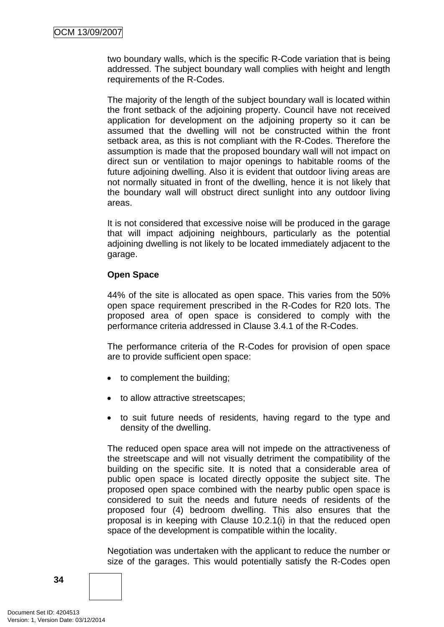two boundary walls, which is the specific R-Code variation that is being addressed. The subject boundary wall complies with height and length requirements of the R-Codes.

The majority of the length of the subject boundary wall is located within the front setback of the adjoining property. Council have not received application for development on the adjoining property so it can be assumed that the dwelling will not be constructed within the front setback area, as this is not compliant with the R-Codes. Therefore the assumption is made that the proposed boundary wall will not impact on direct sun or ventilation to major openings to habitable rooms of the future adjoining dwelling. Also it is evident that outdoor living areas are not normally situated in front of the dwelling, hence it is not likely that the boundary wall will obstruct direct sunlight into any outdoor living areas.

It is not considered that excessive noise will be produced in the garage that will impact adjoining neighbours, particularly as the potential adjoining dwelling is not likely to be located immediately adjacent to the garage.

#### **Open Space**

44% of the site is allocated as open space. This varies from the 50% open space requirement prescribed in the R-Codes for R20 lots. The proposed area of open space is considered to comply with the performance criteria addressed in Clause 3.4.1 of the R-Codes.

The performance criteria of the R-Codes for provision of open space are to provide sufficient open space:

- to complement the building;
- to allow attractive streetscapes;
- to suit future needs of residents, having regard to the type and density of the dwelling.

The reduced open space area will not impede on the attractiveness of the streetscape and will not visually detriment the compatibility of the building on the specific site. It is noted that a considerable area of public open space is located directly opposite the subject site. The proposed open space combined with the nearby public open space is considered to suit the needs and future needs of residents of the proposed four (4) bedroom dwelling. This also ensures that the proposal is in keeping with Clause 10.2.1(i) in that the reduced open space of the development is compatible within the locality.

Negotiation was undertaken with the applicant to reduce the number or size of the garages. This would potentially satisfy the R-Codes open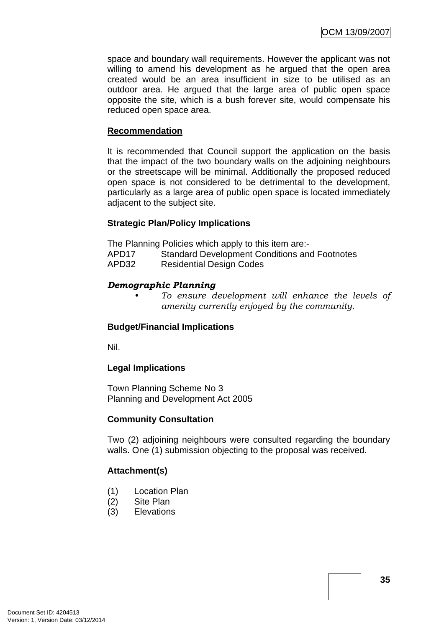space and boundary wall requirements. However the applicant was not willing to amend his development as he argued that the open area created would be an area insufficient in size to be utilised as an outdoor area. He argued that the large area of public open space opposite the site, which is a bush forever site, would compensate his reduced open space area.

### **Recommendation**

It is recommended that Council support the application on the basis that the impact of the two boundary walls on the adjoining neighbours or the streetscape will be minimal. Additionally the proposed reduced open space is not considered to be detrimental to the development, particularly as a large area of public open space is located immediately adjacent to the subject site.

### **Strategic Plan/Policy Implications**

The Planning Policies which apply to this item are:-

APD17 Standard Development Conditions and Footnotes

APD32 Residential Design Codes

# *Demographic Planning*

*• To ensure development will enhance the levels of amenity currently enjoyed by the community.*

#### **Budget/Financial Implications**

Nil.

#### **Legal Implications**

Town Planning Scheme No 3 Planning and Development Act 2005

#### **Community Consultation**

Two (2) adjoining neighbours were consulted regarding the boundary walls. One (1) submission objecting to the proposal was received.

# **Attachment(s)**

- (1) Location Plan
- (2) Site Plan
- (3) Elevations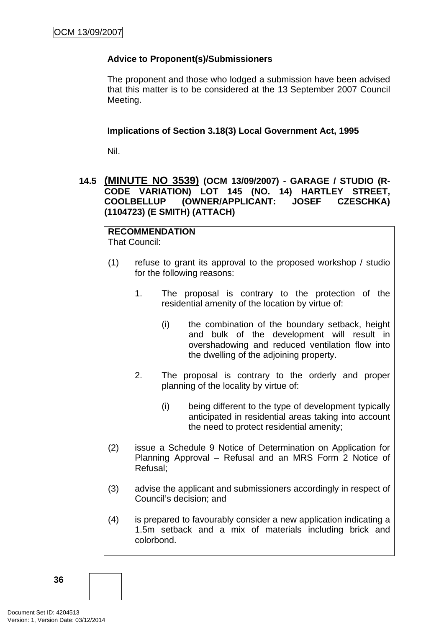### **Advice to Proponent(s)/Submissioners**

The proponent and those who lodged a submission have been advised that this matter is to be considered at the 13 September 2007 Council Meeting.

#### **Implications of Section 3.18(3) Local Government Act, 1995**

Nil.

#### **14.5 (MINUTE NO 3539) (OCM 13/09/2007) - GARAGE / STUDIO (R-CODE VARIATION) LOT 145 (NO. 14) HARTLEY STREET, COOLBELLUP (OWNER/APPLICANT: JOSEF CZESCHKA) (1104723) (E SMITH) (ATTACH)**

# **RECOMMENDATION**

That Council:

- (1) refuse to grant its approval to the proposed workshop / studio for the following reasons:
	- 1. The proposal is contrary to the protection of the residential amenity of the location by virtue of:
		- (i) the combination of the boundary setback, height and bulk of the development will result in overshadowing and reduced ventilation flow into the dwelling of the adjoining property.
	- 2. The proposal is contrary to the orderly and proper planning of the locality by virtue of:
		- (i) being different to the type of development typically anticipated in residential areas taking into account the need to protect residential amenity;
- (2) issue a Schedule 9 Notice of Determination on Application for Planning Approval – Refusal and an MRS Form 2 Notice of Refusal;
- (3) advise the applicant and submissioners accordingly in respect of Council's decision; and
- (4) is prepared to favourably consider a new application indicating a 1.5m setback and a mix of materials including brick and colorbond.

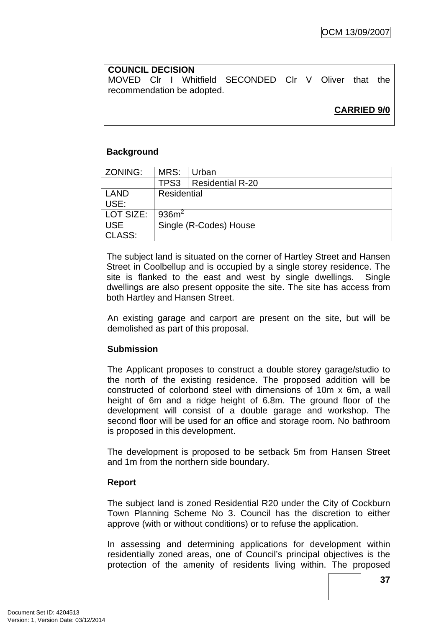# **COUNCIL DECISION** MOVED Clr I Whitfield SECONDED Clr V Oliver that the recommendation be adopted.

**CARRIED 9/0**

# **Background**

| ZONING:       | MRS:               | Urban                   |
|---------------|--------------------|-------------------------|
|               | TPS3               | <b>Residential R-20</b> |
| <b>LAND</b>   | <b>Residential</b> |                         |
| USE:          |                    |                         |
| LOT SIZE:     | 936m <sup>2</sup>  |                         |
| <b>USE</b>    |                    | Single (R-Codes) House  |
| <b>CLASS:</b> |                    |                         |

The subject land is situated on the corner of Hartley Street and Hansen Street in Coolbellup and is occupied by a single storey residence. The site is flanked to the east and west by single dwellings. Single dwellings are also present opposite the site. The site has access from both Hartley and Hansen Street.

An existing garage and carport are present on the site, but will be demolished as part of this proposal.

# **Submission**

The Applicant proposes to construct a double storey garage/studio to the north of the existing residence. The proposed addition will be constructed of colorbond steel with dimensions of 10m x 6m, a wall height of 6m and a ridge height of 6.8m. The ground floor of the development will consist of a double garage and workshop. The second floor will be used for an office and storage room. No bathroom is proposed in this development.

The development is proposed to be setback 5m from Hansen Street and 1m from the northern side boundary.

# **Report**

The subject land is zoned Residential R20 under the City of Cockburn Town Planning Scheme No 3. Council has the discretion to either approve (with or without conditions) or to refuse the application.

In assessing and determining applications for development within residentially zoned areas, one of Council's principal objectives is the protection of the amenity of residents living within. The proposed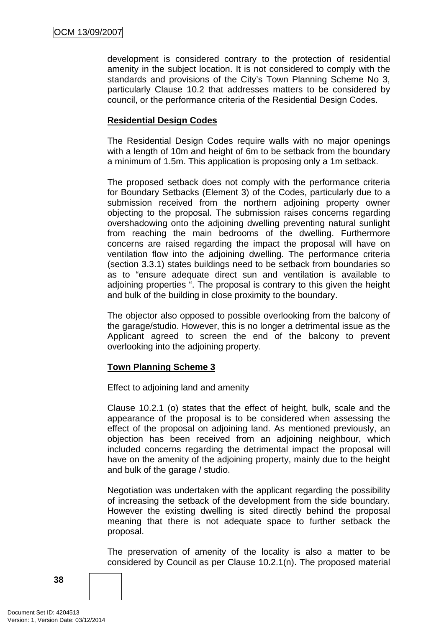development is considered contrary to the protection of residential amenity in the subject location. It is not considered to comply with the standards and provisions of the City's Town Planning Scheme No 3, particularly Clause 10.2 that addresses matters to be considered by council, or the performance criteria of the Residential Design Codes.

### **Residential Design Codes**

The Residential Design Codes require walls with no major openings with a length of 10m and height of 6m to be setback from the boundary a minimum of 1.5m. This application is proposing only a 1m setback.

The proposed setback does not comply with the performance criteria for Boundary Setbacks (Element 3) of the Codes, particularly due to a submission received from the northern adjoining property owner objecting to the proposal. The submission raises concerns regarding overshadowing onto the adjoining dwelling preventing natural sunlight from reaching the main bedrooms of the dwelling. Furthermore concerns are raised regarding the impact the proposal will have on ventilation flow into the adjoining dwelling. The performance criteria (section 3.3.1) states buildings need to be setback from boundaries so as to "ensure adequate direct sun and ventilation is available to adjoining properties ". The proposal is contrary to this given the height and bulk of the building in close proximity to the boundary.

The objector also opposed to possible overlooking from the balcony of the garage/studio. However, this is no longer a detrimental issue as the Applicant agreed to screen the end of the balcony to prevent overlooking into the adjoining property.

#### **Town Planning Scheme 3**

Effect to adjoining land and amenity

Clause 10.2.1 (o) states that the effect of height, bulk, scale and the appearance of the proposal is to be considered when assessing the effect of the proposal on adjoining land. As mentioned previously, an objection has been received from an adjoining neighbour, which included concerns regarding the detrimental impact the proposal will have on the amenity of the adjoining property, mainly due to the height and bulk of the garage / studio.

Negotiation was undertaken with the applicant regarding the possibility of increasing the setback of the development from the side boundary. However the existing dwelling is sited directly behind the proposal meaning that there is not adequate space to further setback the proposal.

The preservation of amenity of the locality is also a matter to be considered by Council as per Clause 10.2.1(n). The proposed material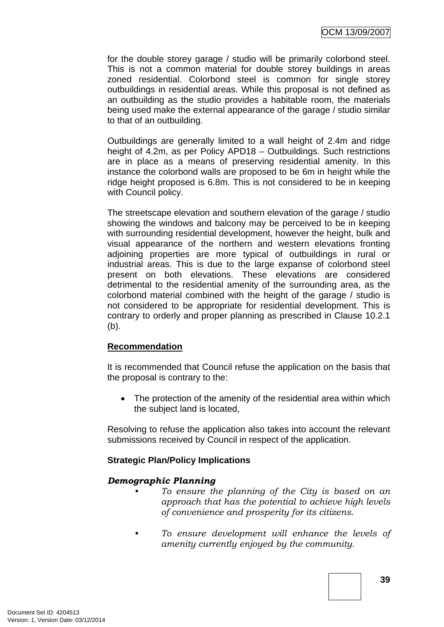for the double storey garage / studio will be primarily colorbond steel. This is not a common material for double storey buildings in areas zoned residential. Colorbond steel is common for single storey outbuildings in residential areas. While this proposal is not defined as an outbuilding as the studio provides a habitable room, the materials being used make the external appearance of the garage / studio similar to that of an outbuilding.

Outbuildings are generally limited to a wall height of 2.4m and ridge height of 4.2m, as per Policy APD18 – Outbuildings. Such restrictions are in place as a means of preserving residential amenity. In this instance the colorbond walls are proposed to be 6m in height while the ridge height proposed is 6.8m. This is not considered to be in keeping with Council policy.

The streetscape elevation and southern elevation of the garage / studio showing the windows and balcony may be perceived to be in keeping with surrounding residential development, however the height, bulk and visual appearance of the northern and western elevations fronting adjoining properties are more typical of outbuildings in rural or industrial areas. This is due to the large expanse of colorbond steel present on both elevations. These elevations are considered detrimental to the residential amenity of the surrounding area, as the colorbond material combined with the height of the garage / studio is not considered to be appropriate for residential development. This is contrary to orderly and proper planning as prescribed in Clause 10.2.1 (b).

#### **Recommendation**

It is recommended that Council refuse the application on the basis that the proposal is contrary to the:

• The protection of the amenity of the residential area within which the subject land is located,

Resolving to refuse the application also takes into account the relevant submissions received by Council in respect of the application.

#### **Strategic Plan/Policy Implications**

#### *Demographic Planning*

- *To ensure the planning of the City is based on an approach that has the potential to achieve high levels of convenience and prosperity for its citizens.*
- *To ensure development will enhance the levels of amenity currently enjoyed by the community.*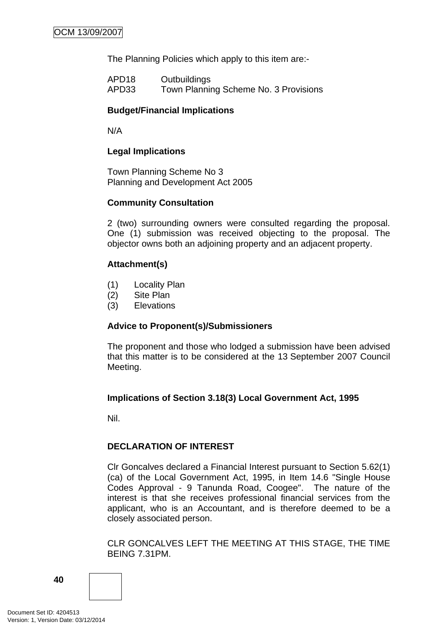The Planning Policies which apply to this item are:-

| APD <sub>18</sub> | Outbuildings                          |
|-------------------|---------------------------------------|
| APD33             | Town Planning Scheme No. 3 Provisions |

#### **Budget/Financial Implications**

N/A

#### **Legal Implications**

Town Planning Scheme No 3 Planning and Development Act 2005

#### **Community Consultation**

2 (two) surrounding owners were consulted regarding the proposal. One (1) submission was received objecting to the proposal. The objector owns both an adjoining property and an adjacent property.

#### **Attachment(s)**

- (1) Locality Plan
- (2) Site Plan
- (3) Elevations

#### **Advice to Proponent(s)/Submissioners**

The proponent and those who lodged a submission have been advised that this matter is to be considered at the 13 September 2007 Council Meeting.

#### **Implications of Section 3.18(3) Local Government Act, 1995**

Nil.

#### **DECLARATION OF INTEREST**

Clr Goncalves declared a Financial Interest pursuant to Section 5.62(1) (ca) of the Local Government Act, 1995, in Item 14.6 "Single House Codes Approval - 9 Tanunda Road, Coogee". The nature of the interest is that she receives professional financial services from the applicant, who is an Accountant, and is therefore deemed to be a closely associated person.

CLR GONCALVES LEFT THE MEETING AT THIS STAGE, THE TIME BEING 7.31PM.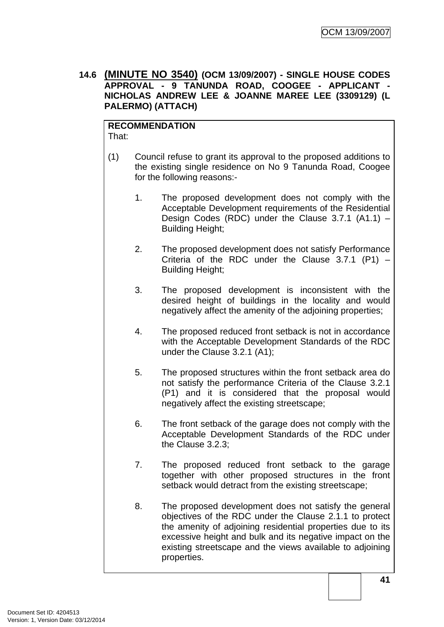### **14.6 (MINUTE NO 3540) (OCM 13/09/2007) - SINGLE HOUSE CODES APPROVAL - 9 TANUNDA ROAD, COOGEE - APPLICANT - NICHOLAS ANDREW LEE & JOANNE MAREE LEE (3309129) (L PALERMO) (ATTACH)**

### **RECOMMENDATION** That:

- (1) Council refuse to grant its approval to the proposed additions to the existing single residence on No 9 Tanunda Road, Coogee for the following reasons:-
	- 1. The proposed development does not comply with the Acceptable Development requirements of the Residential Design Codes (RDC) under the Clause 3.7.1 (A1.1) – Building Height;
	- 2. The proposed development does not satisfy Performance Criteria of the RDC under the Clause 3.7.1 (P1) – Building Height;
	- 3. The proposed development is inconsistent with the desired height of buildings in the locality and would negatively affect the amenity of the adjoining properties;
	- 4. The proposed reduced front setback is not in accordance with the Acceptable Development Standards of the RDC under the Clause 3.2.1 (A1);
	- 5. The proposed structures within the front setback area do not satisfy the performance Criteria of the Clause 3.2.1 (P1) and it is considered that the proposal would negatively affect the existing streetscape;
	- 6. The front setback of the garage does not comply with the Acceptable Development Standards of the RDC under the Clause 3.2.3;
	- 7. The proposed reduced front setback to the garage together with other proposed structures in the front setback would detract from the existing streetscape;
	- 8. The proposed development does not satisfy the general objectives of the RDC under the Clause 2.1.1 to protect the amenity of adjoining residential properties due to its excessive height and bulk and its negative impact on the existing streetscape and the views available to adjoining properties.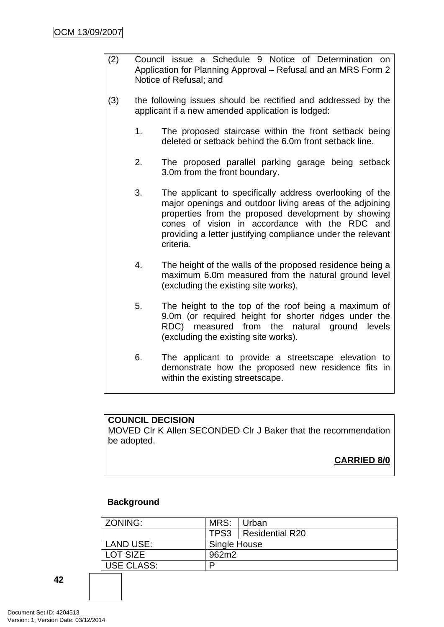- (2) Council issue a Schedule 9 Notice of Determination on Application for Planning Approval – Refusal and an MRS Form 2 Notice of Refusal; and
- (3) the following issues should be rectified and addressed by the applicant if a new amended application is lodged:
	- 1. The proposed staircase within the front setback being deleted or setback behind the 6.0m front setback line.
	- 2. The proposed parallel parking garage being setback 3.0m from the front boundary.
	- 3. The applicant to specifically address overlooking of the major openings and outdoor living areas of the adjoining properties from the proposed development by showing cones of vision in accordance with the RDC and providing a letter justifying compliance under the relevant criteria.
	- 4. The height of the walls of the proposed residence being a maximum 6.0m measured from the natural ground level (excluding the existing site works).
	- 5. The height to the top of the roof being a maximum of 9.0m (or required height for shorter ridges under the RDC) measured from the natural ground levels (excluding the existing site works).
	- 6. The applicant to provide a streetscape elevation to demonstrate how the proposed new residence fits in within the existing streetscape.

#### **COUNCIL DECISION**

MOVED Clr K Allen SECONDED Clr J Baker that the recommendation be adopted.

# **CARRIED 8/0**

#### **Background**

| ZONING:    | MRS:         | ∣Urban                 |
|------------|--------------|------------------------|
|            |              | TPS3   Residential R20 |
| LAND USE:  | Single House |                        |
| l LOT SIZE | 962m2        |                        |
| USE CLASS: | D            |                        |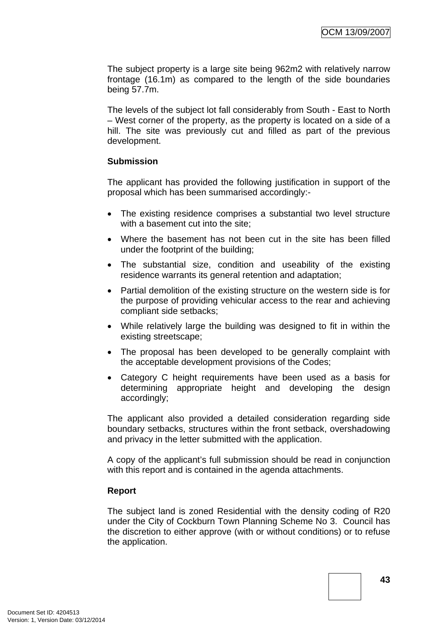The subject property is a large site being 962m2 with relatively narrow frontage (16.1m) as compared to the length of the side boundaries being 57.7m.

The levels of the subject lot fall considerably from South - East to North – West corner of the property, as the property is located on a side of a hill. The site was previously cut and filled as part of the previous development.

### **Submission**

The applicant has provided the following justification in support of the proposal which has been summarised accordingly:-

- The existing residence comprises a substantial two level structure with a basement cut into the site;
- Where the basement has not been cut in the site has been filled under the footprint of the building;
- The substantial size, condition and useability of the existing residence warrants its general retention and adaptation;
- Partial demolition of the existing structure on the western side is for the purpose of providing vehicular access to the rear and achieving compliant side setbacks;
- While relatively large the building was designed to fit in within the existing streetscape;
- The proposal has been developed to be generally complaint with the acceptable development provisions of the Codes;
- Category C height requirements have been used as a basis for determining appropriate height and developing the design accordingly;

The applicant also provided a detailed consideration regarding side boundary setbacks, structures within the front setback, overshadowing and privacy in the letter submitted with the application.

A copy of the applicant's full submission should be read in conjunction with this report and is contained in the agenda attachments.

#### **Report**

The subject land is zoned Residential with the density coding of R20 under the City of Cockburn Town Planning Scheme No 3. Council has the discretion to either approve (with or without conditions) or to refuse the application.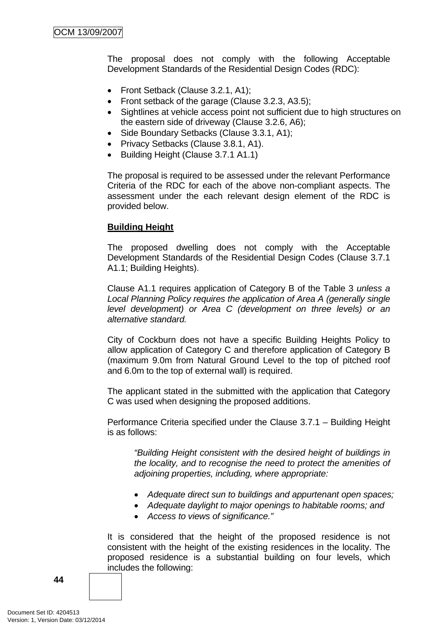The proposal does not comply with the following Acceptable Development Standards of the Residential Design Codes (RDC):

- Front Setback (Clause 3.2.1, A1);
- Front setback of the garage (Clause 3.2.3, A3.5);
- Sightlines at vehicle access point not sufficient due to high structures on the eastern side of driveway (Clause 3.2.6, A6);
- Side Boundary Setbacks (Clause 3.3.1, A1);
- Privacy Setbacks (Clause 3.8.1, A1).
- Building Height (Clause 3.7.1 A1.1)

The proposal is required to be assessed under the relevant Performance Criteria of the RDC for each of the above non-compliant aspects. The assessment under the each relevant design element of the RDC is provided below.

### **Building Height**

The proposed dwelling does not comply with the Acceptable Development Standards of the Residential Design Codes (Clause 3.7.1 A1.1; Building Heights).

Clause A1.1 requires application of Category B of the Table 3 *unless a Local Planning Policy requires the application of Area A (generally single level development) or Area C (development on three levels) or an alternative standard.*

City of Cockburn does not have a specific Building Heights Policy to allow application of Category C and therefore application of Category B (maximum 9.0m from Natural Ground Level to the top of pitched roof and 6.0m to the top of external wall) is required.

The applicant stated in the submitted with the application that Category C was used when designing the proposed additions.

Performance Criteria specified under the Clause 3.7.1 – Building Height is as follows:

 *"Building Height consistent with the desired height of buildings in the locality, and to recognise the need to protect the amenities of adjoining properties, including, where appropriate:*

- *Adequate direct sun to buildings and appurtenant open spaces;*
- *Adequate daylight to major openings to habitable rooms; and*
- *Access to views of significance."*

It is considered that the height of the proposed residence is not consistent with the height of the existing residences in the locality. The proposed residence is a substantial building on four levels, which includes the following: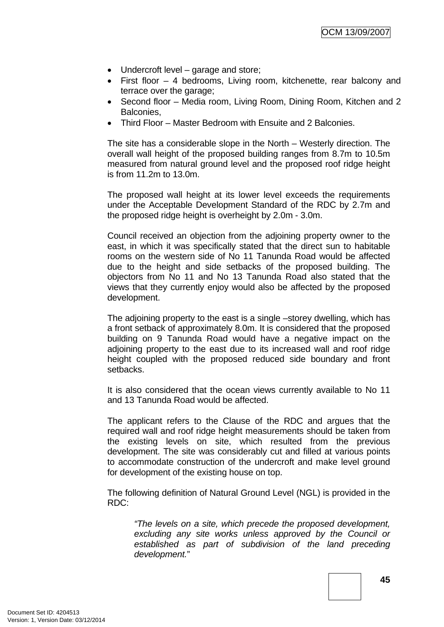- Undercroft level garage and store;
- First floor 4 bedrooms, Living room, kitchenette, rear balcony and terrace over the garage;
- Second floor Media room, Living Room, Dining Room, Kitchen and 2 Balconies,
- Third Floor Master Bedroom with Ensuite and 2 Balconies.

The site has a considerable slope in the North – Westerly direction. The overall wall height of the proposed building ranges from 8.7m to 10.5m measured from natural ground level and the proposed roof ridge height is from 11.2m to 13.0m.

The proposed wall height at its lower level exceeds the requirements under the Acceptable Development Standard of the RDC by 2.7m and the proposed ridge height is overheight by 2.0m - 3.0m.

Council received an objection from the adjoining property owner to the east, in which it was specifically stated that the direct sun to habitable rooms on the western side of No 11 Tanunda Road would be affected due to the height and side setbacks of the proposed building. The objectors from No 11 and No 13 Tanunda Road also stated that the views that they currently enjoy would also be affected by the proposed development.

The adjoining property to the east is a single –storey dwelling, which has a front setback of approximately 8.0m. It is considered that the proposed building on 9 Tanunda Road would have a negative impact on the adjoining property to the east due to its increased wall and roof ridge height coupled with the proposed reduced side boundary and front setbacks.

It is also considered that the ocean views currently available to No 11 and 13 Tanunda Road would be affected.

The applicant refers to the Clause of the RDC and argues that the required wall and roof ridge height measurements should be taken from the existing levels on site, which resulted from the previous development. The site was considerably cut and filled at various points to accommodate construction of the undercroft and make level ground for development of the existing house on top.

The following definition of Natural Ground Level (NGL) is provided in the RDC:

 *"The levels on a site, which precede the proposed development, excluding any site works unless approved by the Council or established as part of subdivision of the land preceding development.*"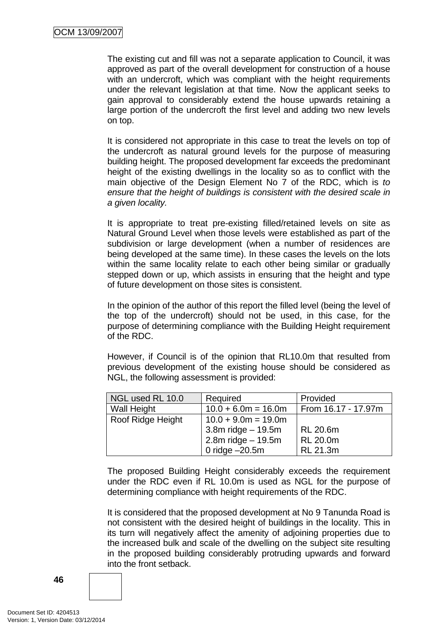The existing cut and fill was not a separate application to Council, it was approved as part of the overall development for construction of a house with an undercroft, which was compliant with the height requirements under the relevant legislation at that time. Now the applicant seeks to gain approval to considerably extend the house upwards retaining a large portion of the undercroft the first level and adding two new levels on top.

It is considered not appropriate in this case to treat the levels on top of the undercroft as natural ground levels for the purpose of measuring building height. The proposed development far exceeds the predominant height of the existing dwellings in the locality so as to conflict with the main objective of the Design Element No 7 of the RDC, which is *to ensure that the height of buildings is consistent with the desired scale in a given locality.*

It is appropriate to treat pre-existing filled/retained levels on site as Natural Ground Level when those levels were established as part of the subdivision or large development (when a number of residences are being developed at the same time). In these cases the levels on the lots within the same locality relate to each other being similar or gradually stepped down or up, which assists in ensuring that the height and type of future development on those sites is consistent.

In the opinion of the author of this report the filled level (being the level of the top of the undercroft) should not be used, in this case, for the purpose of determining compliance with the Building Height requirement of the RDC.

However, if Council is of the opinion that RL10.0m that resulted from previous development of the existing house should be considered as NGL, the following assessment is provided:

| NGL used RL 10.0  | Required                                     | Provided        |  |
|-------------------|----------------------------------------------|-----------------|--|
| Wall Height       | From 16.17 - 17.97m<br>$10.0 + 6.0m = 16.0m$ |                 |  |
| Roof Ridge Height | $10.0 + 9.0m = 19.0m$                        |                 |  |
|                   | $3.8m$ ridge $-19.5m$                        | <b>RL 20.6m</b> |  |
|                   | 2.8 $m$ ridge $-19.5m$                       | <b>RL 20.0m</b> |  |
|                   | 0 ridge $-20.5m$                             | <b>RL 21.3m</b> |  |

The proposed Building Height considerably exceeds the requirement under the RDC even if RL 10.0m is used as NGL for the purpose of determining compliance with height requirements of the RDC.

It is considered that the proposed development at No 9 Tanunda Road is not consistent with the desired height of buildings in the locality. This in its turn will negatively affect the amenity of adjoining properties due to the increased bulk and scale of the dwelling on the subject site resulting in the proposed building considerably protruding upwards and forward into the front setback.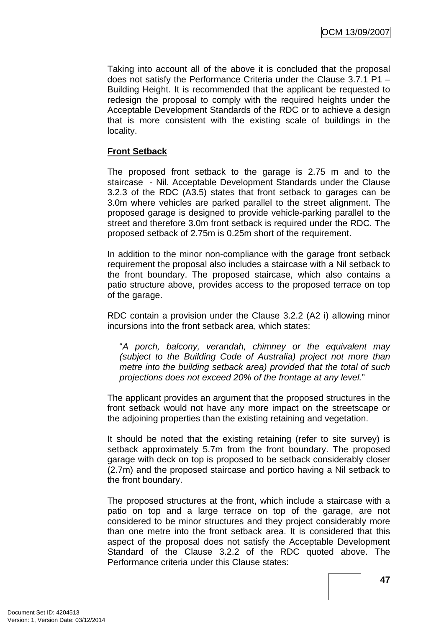Taking into account all of the above it is concluded that the proposal does not satisfy the Performance Criteria under the Clause 3.7.1 P1 – Building Height. It is recommended that the applicant be requested to redesign the proposal to comply with the required heights under the Acceptable Development Standards of the RDC or to achieve a design that is more consistent with the existing scale of buildings in the locality.

### **Front Setback**

The proposed front setback to the garage is 2.75 m and to the staircase - Nil. Acceptable Development Standards under the Clause 3.2.3 of the RDC (A3.5) states that front setback to garages can be 3.0m where vehicles are parked parallel to the street alignment. The proposed garage is designed to provide vehicle-parking parallel to the street and therefore 3.0m front setback is required under the RDC. The proposed setback of 2.75m is 0.25m short of the requirement.

In addition to the minor non-compliance with the garage front setback requirement the proposal also includes a staircase with a Nil setback to the front boundary. The proposed staircase, which also contains a patio structure above, provides access to the proposed terrace on top of the garage.

RDC contain a provision under the Clause 3.2.2 (A2 i) allowing minor incursions into the front setback area, which states:

 "*A porch, balcony, verandah, chimney or the equivalent may (subject to the Building Code of Australia) project not more than metre into the building setback area) provided that the total of such projections does not exceed 20% of the frontage at any level.*"

The applicant provides an argument that the proposed structures in the front setback would not have any more impact on the streetscape or the adjoining properties than the existing retaining and vegetation.

It should be noted that the existing retaining (refer to site survey) is setback approximately 5.7m from the front boundary. The proposed garage with deck on top is proposed to be setback considerably closer (2.7m) and the proposed staircase and portico having a Nil setback to the front boundary.

The proposed structures at the front, which include a staircase with a patio on top and a large terrace on top of the garage, are not considered to be minor structures and they project considerably more than one metre into the front setback area. It is considered that this aspect of the proposal does not satisfy the Acceptable Development Standard of the Clause 3.2.2 of the RDC quoted above. The Performance criteria under this Clause states: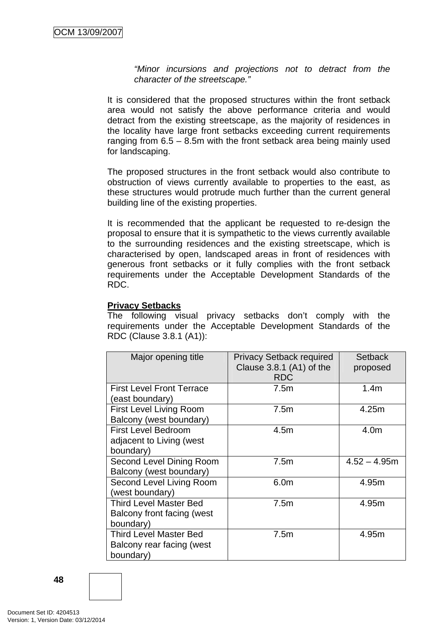*"Minor incursions and projections not to detract from the character of the streetscape."*

It is considered that the proposed structures within the front setback area would not satisfy the above performance criteria and would detract from the existing streetscape, as the majority of residences in the locality have large front setbacks exceeding current requirements ranging from 6.5 – 8.5m with the front setback area being mainly used for landscaping.

The proposed structures in the front setback would also contribute to obstruction of views currently available to properties to the east, as these structures would protrude much further than the current general building line of the existing properties.

It is recommended that the applicant be requested to re-design the proposal to ensure that it is sympathetic to the views currently available to the surrounding residences and the existing streetscape, which is characterised by open, landscaped areas in front of residences with generous front setbacks or it fully complies with the front setback requirements under the Acceptable Development Standards of the RDC.

### **Privacy Setbacks**

The following visual privacy setbacks don't comply with the requirements under the Acceptable Development Standards of the RDC (Clause 3.8.1 (A1)):

| Major opening title              | <b>Privacy Setback required</b><br>Clause $3.8.1$ (A1) of the<br><b>RDC</b> | <b>Setback</b><br>proposed |
|----------------------------------|-----------------------------------------------------------------------------|----------------------------|
| <b>First Level Front Terrace</b> |                                                                             | 1.4 <sub>m</sub>           |
|                                  | 7.5m                                                                        |                            |
| (east boundary)                  |                                                                             |                            |
| <b>First Level Living Room</b>   | 7.5m                                                                        | 4.25m                      |
| Balcony (west boundary)          |                                                                             |                            |
| <b>First Level Bedroom</b>       | 4.5m                                                                        | 4.0m                       |
| adjacent to Living (west         |                                                                             |                            |
| boundary)                        |                                                                             |                            |
| Second Level Dining Room         | 7.5m                                                                        | $4.52 - 4.95m$             |
| Balcony (west boundary)          |                                                                             |                            |
| Second Level Living Room         | 6.0m                                                                        | 4.95m                      |
| (west boundary)                  |                                                                             |                            |
| <b>Third Level Master Bed</b>    | 7.5m                                                                        | 4.95m                      |
| Balcony front facing (west       |                                                                             |                            |
| boundary)                        |                                                                             |                            |
| <b>Third Level Master Bed</b>    | 7.5m                                                                        | 4.95m                      |
| Balcony rear facing (west        |                                                                             |                            |
| boundary)                        |                                                                             |                            |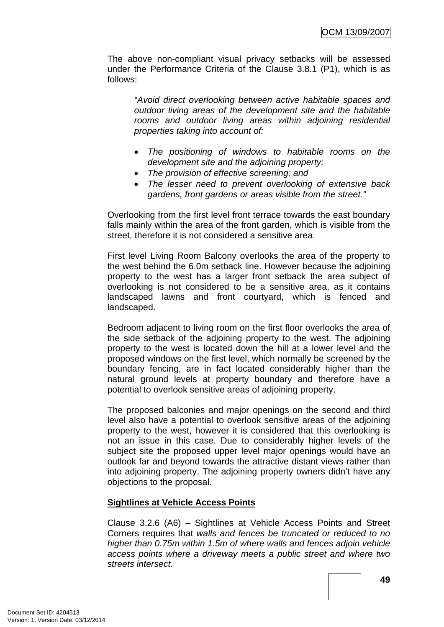The above non-compliant visual privacy setbacks will be assessed under the Performance Criteria of the Clause 3.8.1 (P1), which is as follows:

*"Avoid direct overlooking between active habitable spaces and outdoor living areas of the development site and the habitable rooms and outdoor living areas within adjoining residential properties taking into account of:* 

- *The positioning of windows to habitable rooms on the development site and the adjoining property;*
- *The provision of effective screening; and*
- *The lesser need to prevent overlooking of extensive back gardens, front gardens or areas visible from the street."*

Overlooking from the first level front terrace towards the east boundary falls mainly within the area of the front garden, which is visible from the street, therefore it is not considered a sensitive area.

First level Living Room Balcony overlooks the area of the property to the west behind the 6.0m setback line. However because the adjoining property to the west has a larger front setback the area subject of overlooking is not considered to be a sensitive area, as it contains landscaped lawns and front courtyard, which is fenced and landscaped.

Bedroom adjacent to living room on the first floor overlooks the area of the side setback of the adjoining property to the west. The adjoining property to the west is located down the hill at a lower level and the proposed windows on the first level, which normally be screened by the boundary fencing, are in fact located considerably higher than the natural ground levels at property boundary and therefore have a potential to overlook sensitive areas of adjoining property.

The proposed balconies and major openings on the second and third level also have a potential to overlook sensitive areas of the adjoining property to the west, however it is considered that this overlooking is not an issue in this case. Due to considerably higher levels of the subject site the proposed upper level major openings would have an outlook far and beyond towards the attractive distant views rather than into adjoining property. The adjoining property owners didn't have any objections to the proposal.

# **Sightlines at Vehicle Access Points**

Clause 3.2.6 (A6) – Sightlines at Vehicle Access Points and Street Corners requires that *walls and fences be truncated or reduced to no higher than 0.75m within 1.5m of where walls and fences adjoin vehicle access points where a driveway meets a public street and where two streets intersect.*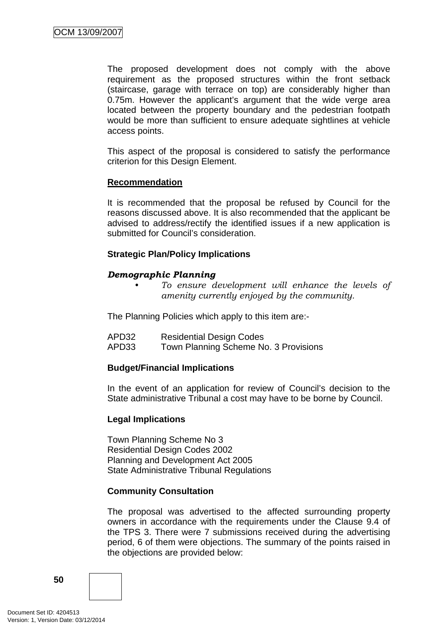The proposed development does not comply with the above requirement as the proposed structures within the front setback (staircase, garage with terrace on top) are considerably higher than 0.75m. However the applicant's argument that the wide verge area located between the property boundary and the pedestrian footpath would be more than sufficient to ensure adequate sightlines at vehicle access points.

This aspect of the proposal is considered to satisfy the performance criterion for this Design Element.

#### **Recommendation**

It is recommended that the proposal be refused by Council for the reasons discussed above. It is also recommended that the applicant be advised to address/rectify the identified issues if a new application is submitted for Council's consideration.

#### **Strategic Plan/Policy Implications**

#### *Demographic Planning*

*• To ensure development will enhance the levels of amenity currently enjoyed by the community.*

The Planning Policies which apply to this item are:-

| APD32 | <b>Residential Design Codes</b>       |
|-------|---------------------------------------|
| APD33 | Town Planning Scheme No. 3 Provisions |

#### **Budget/Financial Implications**

In the event of an application for review of Council's decision to the State administrative Tribunal a cost may have to be borne by Council.

#### **Legal Implications**

Town Planning Scheme No 3 Residential Design Codes 2002 Planning and Development Act 2005 State Administrative Tribunal Regulations

#### **Community Consultation**

The proposal was advertised to the affected surrounding property owners in accordance with the requirements under the Clause 9.4 of the TPS 3. There were 7 submissions received during the advertising period, 6 of them were objections. The summary of the points raised in the objections are provided below: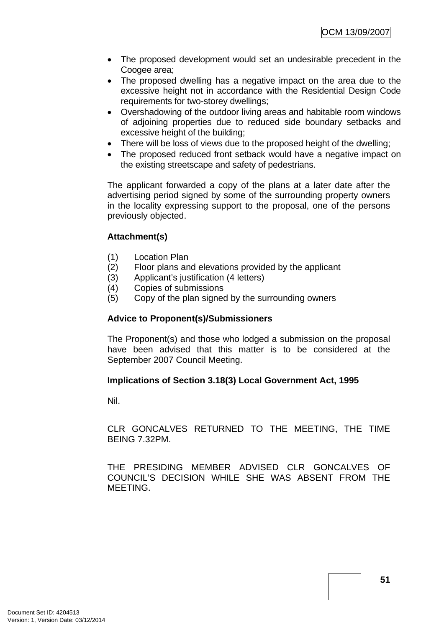- The proposed development would set an undesirable precedent in the Coogee area;
- The proposed dwelling has a negative impact on the area due to the excessive height not in accordance with the Residential Design Code requirements for two-storey dwellings;
- Overshadowing of the outdoor living areas and habitable room windows of adjoining properties due to reduced side boundary setbacks and excessive height of the building;
- There will be loss of views due to the proposed height of the dwelling;
- The proposed reduced front setback would have a negative impact on the existing streetscape and safety of pedestrians.

The applicant forwarded a copy of the plans at a later date after the advertising period signed by some of the surrounding property owners in the locality expressing support to the proposal, one of the persons previously objected.

# **Attachment(s)**

- (1) Location Plan
- (2) Floor plans and elevations provided by the applicant
- (3) Applicant's justification (4 letters)
- (4) Copies of submissions
- (5) Copy of the plan signed by the surrounding owners

### **Advice to Proponent(s)/Submissioners**

The Proponent(s) and those who lodged a submission on the proposal have been advised that this matter is to be considered at the September 2007 Council Meeting.

#### **Implications of Section 3.18(3) Local Government Act, 1995**

Nil.

CLR GONCALVES RETURNED TO THE MEETING, THE TIME BEING 7.32PM.

THE PRESIDING MEMBER ADVISED CLR GONCALVES OF COUNCIL'S DECISION WHILE SHE WAS ABSENT FROM THE MEETING.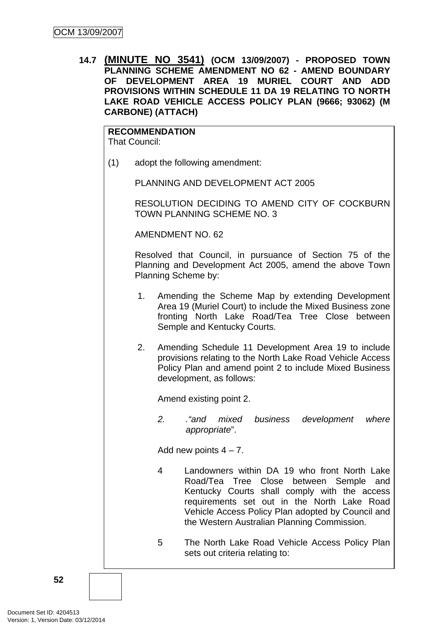**14.7 (MINUTE NO 3541) (OCM 13/09/2007) - PROPOSED TOWN PLANNING SCHEME AMENDMENT NO 62 - AMEND BOUNDARY OF DEVELOPMENT AREA 19 MURIEL COURT AND ADD PROVISIONS WITHIN SCHEDULE 11 DA 19 RELATING TO NORTH LAKE ROAD VEHICLE ACCESS POLICY PLAN (9666; 93062) (M CARBONE) (ATTACH)** 

**RECOMMENDATION** That Council:

(1) adopt the following amendment:

PLANNING AND DEVELOPMENT ACT 2005

RESOLUTION DECIDING TO AMEND CITY OF COCKBURN TOWN PLANNING SCHEME NO. 3

AMENDMENT NO. 62

Resolved that Council, in pursuance of Section 75 of the Planning and Development Act 2005, amend the above Town Planning Scheme by:

- 1. Amending the Scheme Map by extending Development Area 19 (Muriel Court) to include the Mixed Business zone fronting North Lake Road/Tea Tree Close between Semple and Kentucky Courts.
- 2. Amending Schedule 11 Development Area 19 to include provisions relating to the North Lake Road Vehicle Access Policy Plan and amend point 2 to include Mixed Business development, as follows:

Amend existing point 2.

*2. ."and mixed business development where appropriate*".

Add new points  $4 - 7$ .

4 Landowners within DA 19 who front North Lake Road/Tea Tree Close between Semple and Kentucky Courts shall comply with the access requirements set out in the North Lake Road Vehicle Access Policy Plan adopted by Council and the Western Australian Planning Commission.

5 The North Lake Road Vehicle Access Policy Plan sets out criteria relating to: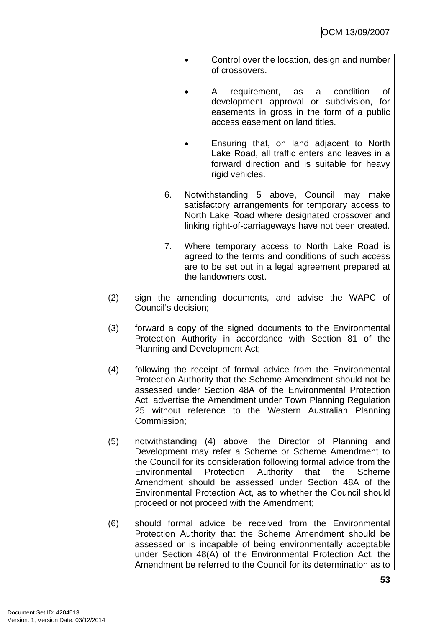- Control over the location, design and number of crossovers.
	- A requirement, as a condition of development approval or subdivision, for easements in gross in the form of a public access easement on land titles.
	- Ensuring that, on land adjacent to North Lake Road, all traffic enters and leaves in a forward direction and is suitable for heavy rigid vehicles.
- 6. Notwithstanding 5 above, Council may make satisfactory arrangements for temporary access to North Lake Road where designated crossover and linking right-of-carriageways have not been created.
- 7. Where temporary access to North Lake Road is agreed to the terms and conditions of such access are to be set out in a legal agreement prepared at the landowners cost.
- (2) sign the amending documents, and advise the WAPC of Council's decision;
- (3) forward a copy of the signed documents to the Environmental Protection Authority in accordance with Section 81 of the Planning and Development Act;
- (4) following the receipt of formal advice from the Environmental Protection Authority that the Scheme Amendment should not be assessed under Section 48A of the Environmental Protection Act, advertise the Amendment under Town Planning Regulation 25 without reference to the Western Australian Planning Commission;
- (5) notwithstanding (4) above, the Director of Planning and Development may refer a Scheme or Scheme Amendment to the Council for its consideration following formal advice from the Environmental Protection Authority that the Scheme Amendment should be assessed under Section 48A of the Environmental Protection Act, as to whether the Council should proceed or not proceed with the Amendment;
- (6) should formal advice be received from the Environmental Protection Authority that the Scheme Amendment should be assessed or is incapable of being environmentally acceptable under Section 48(A) of the Environmental Protection Act, the Amendment be referred to the Council for its determination as to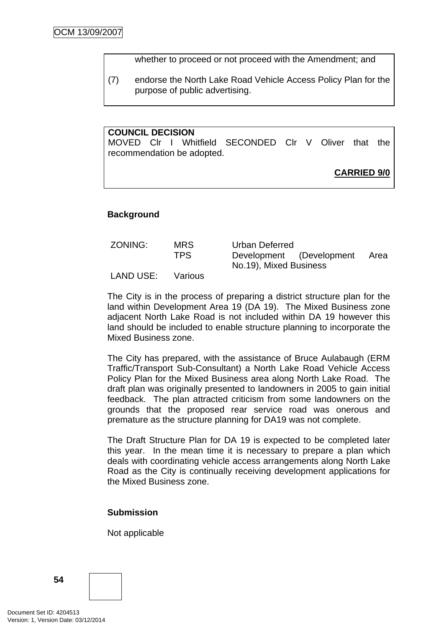whether to proceed or not proceed with the Amendment; and

(7) endorse the North Lake Road Vehicle Access Policy Plan for the purpose of public advertising.

#### **COUNCIL DECISION**

MOVED Clr I Whitfield SECONDED Clr V Oliver that the recommendation be adopted.

# **CARRIED 9/0**

#### **Background**

| ZONING:   | <b>MRS</b> | Urban Deferred         |                          |      |
|-----------|------------|------------------------|--------------------------|------|
|           | <b>TPS</b> |                        | Development (Development | Area |
|           |            | No.19), Mixed Business |                          |      |
| LAND USE: | Various    |                        |                          |      |

The City is in the process of preparing a district structure plan for the land within Development Area 19 (DA 19). The Mixed Business zone adjacent North Lake Road is not included within DA 19 however this land should be included to enable structure planning to incorporate the Mixed Business zone.

The City has prepared, with the assistance of Bruce Aulabaugh (ERM Traffic/Transport Sub-Consultant) a North Lake Road Vehicle Access Policy Plan for the Mixed Business area along North Lake Road. The draft plan was originally presented to landowners in 2005 to gain initial feedback. The plan attracted criticism from some landowners on the grounds that the proposed rear service road was onerous and premature as the structure planning for DA19 was not complete.

The Draft Structure Plan for DA 19 is expected to be completed later this year. In the mean time it is necessary to prepare a plan which deals with coordinating vehicle access arrangements along North Lake Road as the City is continually receiving development applications for the Mixed Business zone.

#### **Submission**

Not applicable

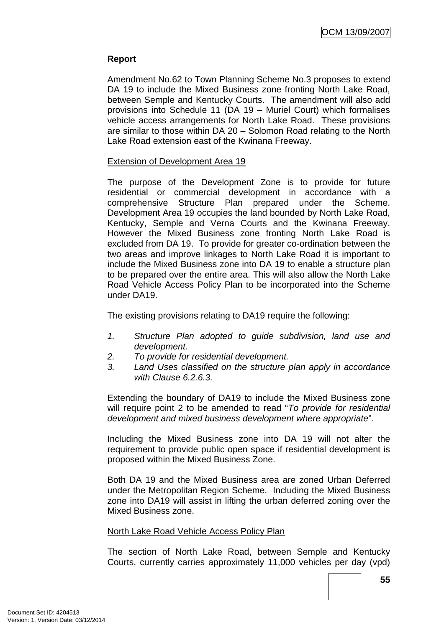### **Report**

Amendment No.62 to Town Planning Scheme No.3 proposes to extend DA 19 to include the Mixed Business zone fronting North Lake Road, between Semple and Kentucky Courts. The amendment will also add provisions into Schedule 11 (DA 19 – Muriel Court) which formalises vehicle access arrangements for North Lake Road. These provisions are similar to those within DA 20 – Solomon Road relating to the North Lake Road extension east of the Kwinana Freeway.

#### Extension of Development Area 19

The purpose of the Development Zone is to provide for future residential or commercial development in accordance with a comprehensive Structure Plan prepared under the Scheme. Development Area 19 occupies the land bounded by North Lake Road, Kentucky, Semple and Verna Courts and the Kwinana Freeway. However the Mixed Business zone fronting North Lake Road is excluded from DA 19. To provide for greater co-ordination between the two areas and improve linkages to North Lake Road it is important to include the Mixed Business zone into DA 19 to enable a structure plan to be prepared over the entire area. This will also allow the North Lake Road Vehicle Access Policy Plan to be incorporated into the Scheme under DA19.

The existing provisions relating to DA19 require the following:

- *1. Structure Plan adopted to guide subdivision, land use and development.*
- *2. To provide for residential development.*
- *3. Land Uses classified on the structure plan apply in accordance with Clause 6.2.6.3.*

Extending the boundary of DA19 to include the Mixed Business zone will require point 2 to be amended to read "*To provide for residential development and mixed business development where appropriate*".

Including the Mixed Business zone into DA 19 will not alter the requirement to provide public open space if residential development is proposed within the Mixed Business Zone.

Both DA 19 and the Mixed Business area are zoned Urban Deferred under the Metropolitan Region Scheme. Including the Mixed Business zone into DA19 will assist in lifting the urban deferred zoning over the Mixed Business zone.

#### North Lake Road Vehicle Access Policy Plan

The section of North Lake Road, between Semple and Kentucky Courts, currently carries approximately 11,000 vehicles per day (vpd)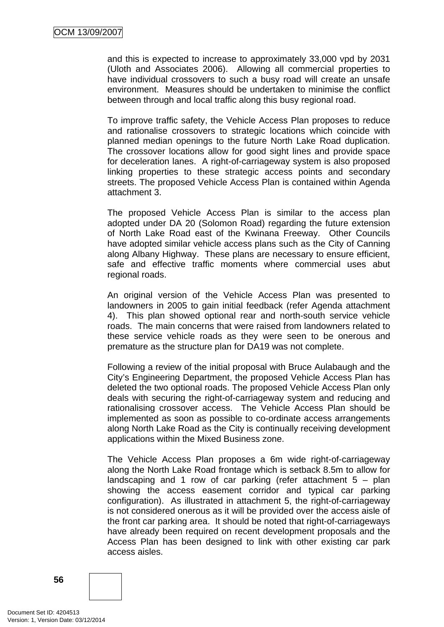and this is expected to increase to approximately 33,000 vpd by 2031 (Uloth and Associates 2006). Allowing all commercial properties to have individual crossovers to such a busy road will create an unsafe environment. Measures should be undertaken to minimise the conflict between through and local traffic along this busy regional road.

To improve traffic safety, the Vehicle Access Plan proposes to reduce and rationalise crossovers to strategic locations which coincide with planned median openings to the future North Lake Road duplication. The crossover locations allow for good sight lines and provide space for deceleration lanes. A right-of-carriageway system is also proposed linking properties to these strategic access points and secondary streets. The proposed Vehicle Access Plan is contained within Agenda attachment 3.

The proposed Vehicle Access Plan is similar to the access plan adopted under DA 20 (Solomon Road) regarding the future extension of North Lake Road east of the Kwinana Freeway. Other Councils have adopted similar vehicle access plans such as the City of Canning along Albany Highway. These plans are necessary to ensure efficient, safe and effective traffic moments where commercial uses abut regional roads.

An original version of the Vehicle Access Plan was presented to landowners in 2005 to gain initial feedback (refer Agenda attachment 4). This plan showed optional rear and north-south service vehicle roads. The main concerns that were raised from landowners related to these service vehicle roads as they were seen to be onerous and premature as the structure plan for DA19 was not complete.

Following a review of the initial proposal with Bruce Aulabaugh and the City's Engineering Department, the proposed Vehicle Access Plan has deleted the two optional roads. The proposed Vehicle Access Plan only deals with securing the right-of-carriageway system and reducing and rationalising crossover access. The Vehicle Access Plan should be implemented as soon as possible to co-ordinate access arrangements along North Lake Road as the City is continually receiving development applications within the Mixed Business zone.

The Vehicle Access Plan proposes a 6m wide right-of-carriageway along the North Lake Road frontage which is setback 8.5m to allow for landscaping and 1 row of car parking (refer attachment  $5 -$  plan showing the access easement corridor and typical car parking configuration). As illustrated in attachment 5, the right-of-carriageway is not considered onerous as it will be provided over the access aisle of the front car parking area. It should be noted that right-of-carriageways have already been required on recent development proposals and the Access Plan has been designed to link with other existing car park access aisles.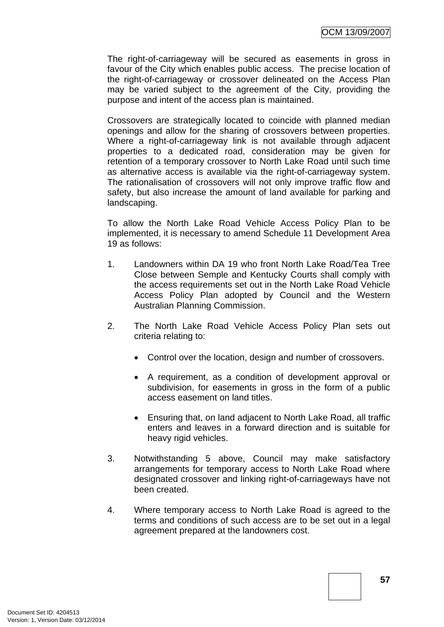The right-of-carriageway will be secured as easements in gross in favour of the City which enables public access. The precise location of the right-of-carriageway or crossover delineated on the Access Plan may be varied subject to the agreement of the City, providing the purpose and intent of the access plan is maintained.

Crossovers are strategically located to coincide with planned median openings and allow for the sharing of crossovers between properties. Where a right-of-carriageway link is not available through adjacent properties to a dedicated road, consideration may be given for retention of a temporary crossover to North Lake Road until such time as alternative access is available via the right-of-carriageway system. The rationalisation of crossovers will not only improve traffic flow and safety, but also increase the amount of land available for parking and landscaping.

To allow the North Lake Road Vehicle Access Policy Plan to be implemented, it is necessary to amend Schedule 11 Development Area 19 as follows:

- 1. Landowners within DA 19 who front North Lake Road/Tea Tree Close between Semple and Kentucky Courts shall comply with the access requirements set out in the North Lake Road Vehicle Access Policy Plan adopted by Council and the Western Australian Planning Commission.
- 2. The North Lake Road Vehicle Access Policy Plan sets out criteria relating to:
	- Control over the location, design and number of crossovers.
	- A requirement, as a condition of development approval or subdivision, for easements in gross in the form of a public access easement on land titles.
	- Ensuring that, on land adjacent to North Lake Road, all traffic enters and leaves in a forward direction and is suitable for heavy rigid vehicles.
- 3. Notwithstanding 5 above, Council may make satisfactory arrangements for temporary access to North Lake Road where designated crossover and linking right-of-carriageways have not been created.
- 4. Where temporary access to North Lake Road is agreed to the terms and conditions of such access are to be set out in a legal agreement prepared at the landowners cost.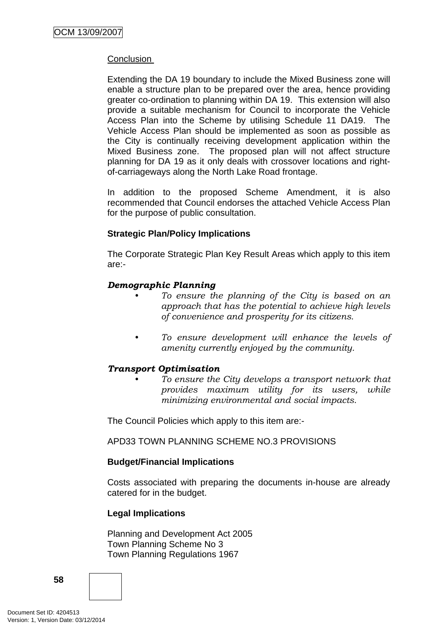### **Conclusion**

Extending the DA 19 boundary to include the Mixed Business zone will enable a structure plan to be prepared over the area, hence providing greater co-ordination to planning within DA 19. This extension will also provide a suitable mechanism for Council to incorporate the Vehicle Access Plan into the Scheme by utilising Schedule 11 DA19. The Vehicle Access Plan should be implemented as soon as possible as the City is continually receiving development application within the Mixed Business zone. The proposed plan will not affect structure planning for DA 19 as it only deals with crossover locations and rightof-carriageways along the North Lake Road frontage.

In addition to the proposed Scheme Amendment, it is also recommended that Council endorses the attached Vehicle Access Plan for the purpose of public consultation.

### **Strategic Plan/Policy Implications**

The Corporate Strategic Plan Key Result Areas which apply to this item are:-

### *Demographic Planning*

- *To ensure the planning of the City is based on an approach that has the potential to achieve high levels of convenience and prosperity for its citizens.*
- *To ensure development will enhance the levels of amenity currently enjoyed by the community.*

#### *Transport Optimisation*

*• To ensure the City develops a transport network that provides maximum utility for its users, while minimizing environmental and social impacts.* 

The Council Policies which apply to this item are:-

APD33 TOWN PLANNING SCHEME NO.3 PROVISIONS

#### **Budget/Financial Implications**

Costs associated with preparing the documents in-house are already catered for in the budget.

#### **Legal Implications**

Planning and Development Act 2005 Town Planning Scheme No 3 Town Planning Regulations 1967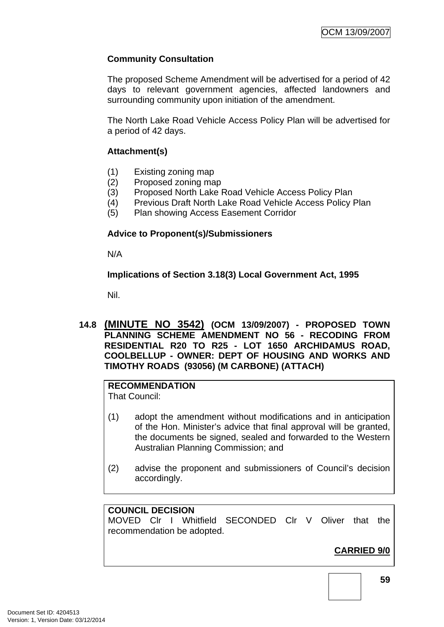# **Community Consultation**

The proposed Scheme Amendment will be advertised for a period of 42 days to relevant government agencies, affected landowners and surrounding community upon initiation of the amendment.

The North Lake Road Vehicle Access Policy Plan will be advertised for a period of 42 days.

# **Attachment(s)**

- (1) Existing zoning map
- (2) Proposed zoning map
- (3) Proposed North Lake Road Vehicle Access Policy Plan
- (4) Previous Draft North Lake Road Vehicle Access Policy Plan
- (5) Plan showing Access Easement Corridor

# **Advice to Proponent(s)/Submissioners**

N/A

# **Implications of Section 3.18(3) Local Government Act, 1995**

Nil.

**14.8 (MINUTE NO 3542) (OCM 13/09/2007) - PROPOSED TOWN PLANNING SCHEME AMENDMENT NO 56 - RECODING FROM RESIDENTIAL R20 TO R25 - LOT 1650 ARCHIDAMUS ROAD, COOLBELLUP - OWNER: DEPT OF HOUSING AND WORKS AND TIMOTHY ROADS (93056) (M CARBONE) (ATTACH)** 

# **RECOMMENDATION**

That Council:

- (1) adopt the amendment without modifications and in anticipation of the Hon. Minister's advice that final approval will be granted, the documents be signed, sealed and forwarded to the Western Australian Planning Commission; and
- (2) advise the proponent and submissioners of Council's decision accordingly.

# **COUNCIL DECISION**

MOVED Clr I Whitfield SECONDED Clr V Oliver that the recommendation be adopted.

# **CARRIED 9/0**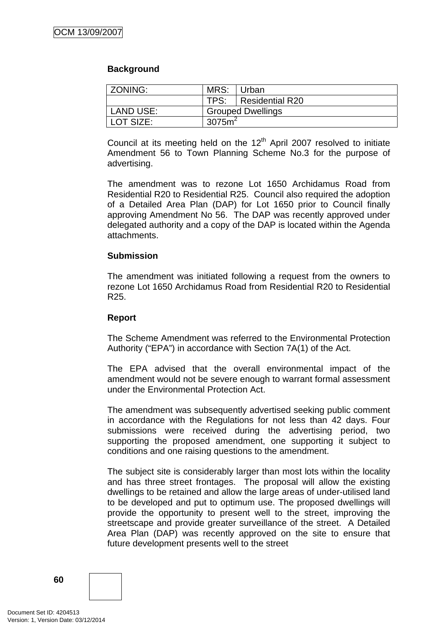### **Background**

| l ZONING: | MRS:                     | ⊟Urban.              |  |
|-----------|--------------------------|----------------------|--|
|           |                          | TPS: Residential R20 |  |
| LAND USE: | <b>Grouped Dwellings</b> |                      |  |
| LOT SIZE: | 3075m <sup>2</sup>       |                      |  |

Council at its meeting held on the  $12<sup>th</sup>$  April 2007 resolved to initiate Amendment 56 to Town Planning Scheme No.3 for the purpose of advertising.

The amendment was to rezone Lot 1650 Archidamus Road from Residential R20 to Residential R25. Council also required the adoption of a Detailed Area Plan (DAP) for Lot 1650 prior to Council finally approving Amendment No 56. The DAP was recently approved under delegated authority and a copy of the DAP is located within the Agenda attachments.

#### **Submission**

The amendment was initiated following a request from the owners to rezone Lot 1650 Archidamus Road from Residential R20 to Residential R25.

#### **Report**

The Scheme Amendment was referred to the Environmental Protection Authority ("EPA") in accordance with Section 7A(1) of the Act.

The EPA advised that the overall environmental impact of the amendment would not be severe enough to warrant formal assessment under the Environmental Protection Act.

The amendment was subsequently advertised seeking public comment in accordance with the Regulations for not less than 42 days. Four submissions were received during the advertising period, two supporting the proposed amendment, one supporting it subject to conditions and one raising questions to the amendment.

The subject site is considerably larger than most lots within the locality and has three street frontages. The proposal will allow the existing dwellings to be retained and allow the large areas of under-utilised land to be developed and put to optimum use. The proposed dwellings will provide the opportunity to present well to the street, improving the streetscape and provide greater surveillance of the street. A Detailed Area Plan (DAP) was recently approved on the site to ensure that future development presents well to the street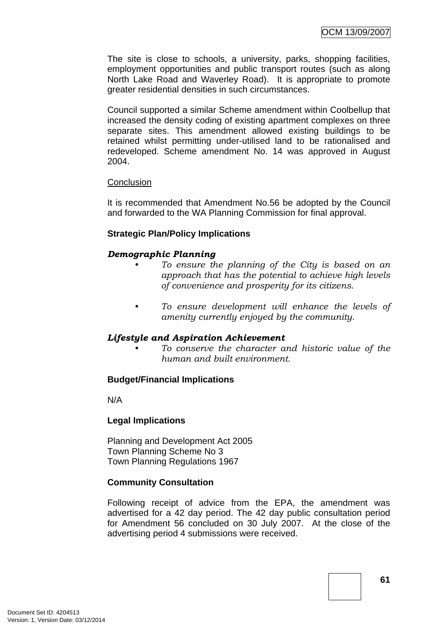The site is close to schools, a university, parks, shopping facilities, employment opportunities and public transport routes (such as along North Lake Road and Waverley Road). It is appropriate to promote greater residential densities in such circumstances.

Council supported a similar Scheme amendment within Coolbellup that increased the density coding of existing apartment complexes on three separate sites. This amendment allowed existing buildings to be retained whilst permitting under-utilised land to be rationalised and redeveloped. Scheme amendment No. 14 was approved in August 2004.

#### **Conclusion**

It is recommended that Amendment No.56 be adopted by the Council and forwarded to the WA Planning Commission for final approval.

#### **Strategic Plan/Policy Implications**

#### *Demographic Planning*

- *To ensure the planning of the City is based on an approach that has the potential to achieve high levels of convenience and prosperity for its citizens.*
- *To ensure development will enhance the levels of amenity currently enjoyed by the community.*

#### *Lifestyle and Aspiration Achievement*

*• To conserve the character and historic value of the human and built environment.* 

#### **Budget/Financial Implications**

N/A

#### **Legal Implications**

Planning and Development Act 2005 Town Planning Scheme No 3 Town Planning Regulations 1967

#### **Community Consultation**

Following receipt of advice from the EPA, the amendment was advertised for a 42 day period. The 42 day public consultation period for Amendment 56 concluded on 30 July 2007. At the close of the advertising period 4 submissions were received.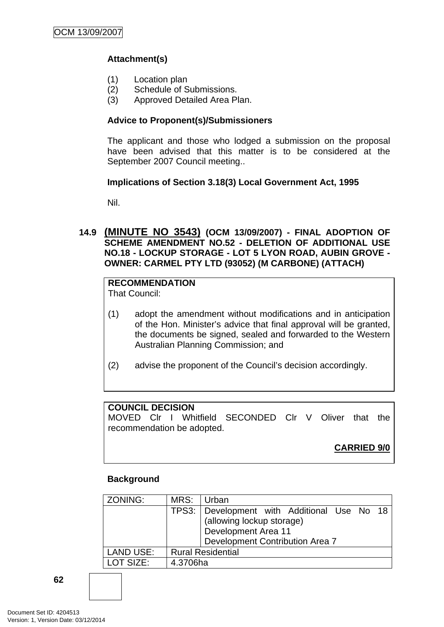### **Attachment(s)**

- (1) Location plan
- (2) Schedule of Submissions.
- (3) Approved Detailed Area Plan.

### **Advice to Proponent(s)/Submissioners**

The applicant and those who lodged a submission on the proposal have been advised that this matter is to be considered at the September 2007 Council meeting..

### **Implications of Section 3.18(3) Local Government Act, 1995**

Nil.

**14.9 (MINUTE NO 3543) (OCM 13/09/2007) - FINAL ADOPTION OF SCHEME AMENDMENT NO.52 - DELETION OF ADDITIONAL USE NO.18 - LOCKUP STORAGE - LOT 5 LYON ROAD, AUBIN GROVE - OWNER: CARMEL PTY LTD (93052) (M CARBONE) (ATTACH)** 

# **RECOMMENDATION**

That Council:

- (1) adopt the amendment without modifications and in anticipation of the Hon. Minister's advice that final approval will be granted, the documents be signed, sealed and forwarded to the Western Australian Planning Commission; and
- (2) advise the proponent of the Council's decision accordingly.

#### **COUNCIL DECISION**

MOVED Clr I Whitfield SECONDED Clr V Oliver that the recommendation be adopted.

# **CARRIED 9/0**

### **Background**

| ZONING:         | MRS: Urban               |                                                                                                                                    |  |
|-----------------|--------------------------|------------------------------------------------------------------------------------------------------------------------------------|--|
|                 |                          | TPS3: Development with Additional Use No 18<br>(allowing lockup storage)<br>Development Area 11<br>Development Contribution Area 7 |  |
| LAND USE:       | <b>Rural Residential</b> |                                                                                                                                    |  |
| <b>OT SIZE:</b> | 4.3706ha                 |                                                                                                                                    |  |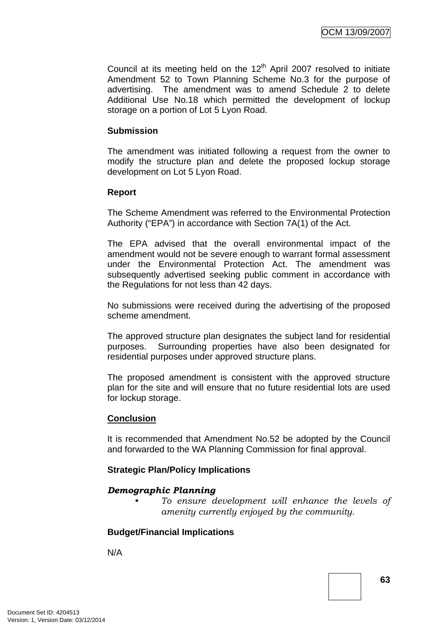Council at its meeting held on the  $12<sup>th</sup>$  April 2007 resolved to initiate Amendment 52 to Town Planning Scheme No.3 for the purpose of advertising. The amendment was to amend Schedule 2 to delete Additional Use No.18 which permitted the development of lockup storage on a portion of Lot 5 Lyon Road.

#### **Submission**

The amendment was initiated following a request from the owner to modify the structure plan and delete the proposed lockup storage development on Lot 5 Lyon Road.

#### **Report**

The Scheme Amendment was referred to the Environmental Protection Authority ("EPA") in accordance with Section 7A(1) of the Act.

The EPA advised that the overall environmental impact of the amendment would not be severe enough to warrant formal assessment under the Environmental Protection Act. The amendment was subsequently advertised seeking public comment in accordance with the Regulations for not less than 42 days.

No submissions were received during the advertising of the proposed scheme amendment.

The approved structure plan designates the subject land for residential purposes. Surrounding properties have also been designated for residential purposes under approved structure plans.

The proposed amendment is consistent with the approved structure plan for the site and will ensure that no future residential lots are used for lockup storage.

#### **Conclusion**

It is recommended that Amendment No.52 be adopted by the Council and forwarded to the WA Planning Commission for final approval.

#### **Strategic Plan/Policy Implications**

#### *Demographic Planning*

*• To ensure development will enhance the levels of amenity currently enjoyed by the community.*

#### **Budget/Financial Implications**

N/A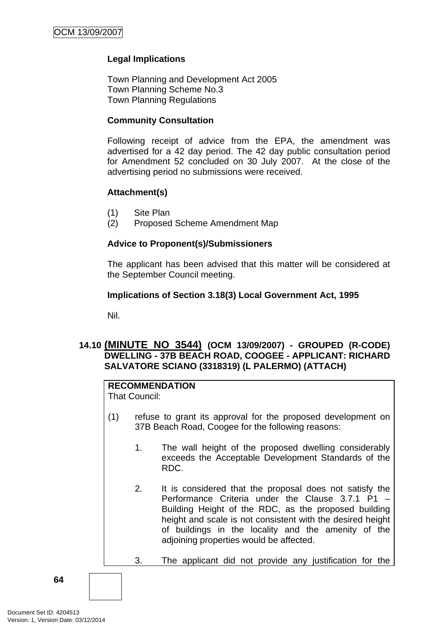### **Legal Implications**

Town Planning and Development Act 2005 Town Planning Scheme No.3 Town Planning Regulations

#### **Community Consultation**

Following receipt of advice from the EPA, the amendment was advertised for a 42 day period. The 42 day public consultation period for Amendment 52 concluded on 30 July 2007. At the close of the advertising period no submissions were received.

#### **Attachment(s)**

- (1) Site Plan
- (2) Proposed Scheme Amendment Map

#### **Advice to Proponent(s)/Submissioners**

The applicant has been advised that this matter will be considered at the September Council meeting.

#### **Implications of Section 3.18(3) Local Government Act, 1995**

Nil.

### **14.10 (MINUTE NO 3544) (OCM 13/09/2007) - GROUPED (R-CODE) DWELLING - 37B BEACH ROAD, COOGEE - APPLICANT: RICHARD SALVATORE SCIANO (3318319) (L PALERMO) (ATTACH)**

# **RECOMMENDATION**

That Council:

- (1) refuse to grant its approval for the proposed development on 37B Beach Road, Coogee for the following reasons:
	- 1. The wall height of the proposed dwelling considerably exceeds the Acceptable Development Standards of the RDC.
	- 2. It is considered that the proposal does not satisfy the Performance Criteria under the Clause 3.7.1 P1 – Building Height of the RDC, as the proposed building height and scale is not consistent with the desired height of buildings in the locality and the amenity of the adjoining properties would be affected.
	- 3. The applicant did not provide any justification for the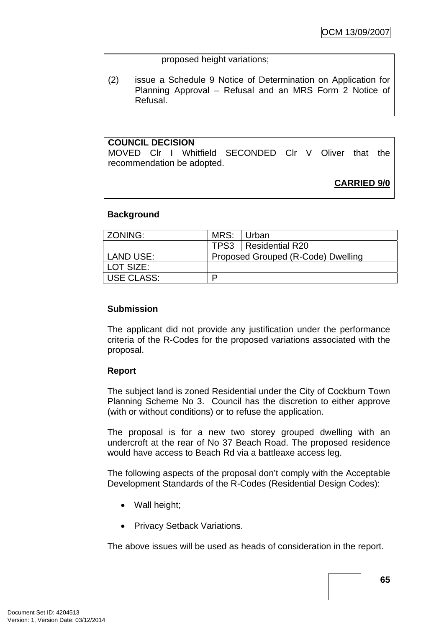#### proposed height variations;

(2) issue a Schedule 9 Notice of Determination on Application for Planning Approval – Refusal and an MRS Form 2 Notice of Refusal.

#### **COUNCIL DECISION**

MOVED Clr I Whitfield SECONDED Clr V Oliver that the recommendation be adopted.

**CARRIED 9/0**

#### **Background**

| l ZONING:   | MRS:                               | Urban                  |
|-------------|------------------------------------|------------------------|
|             |                                    | TPS3   Residential R20 |
| LAND USE:   | Proposed Grouped (R-Code) Dwelling |                        |
| l LOT SIZE: |                                    |                        |
| USE CLASS:  | D                                  |                        |

#### **Submission**

The applicant did not provide any justification under the performance criteria of the R-Codes for the proposed variations associated with the proposal.

#### **Report**

The subject land is zoned Residential under the City of Cockburn Town Planning Scheme No 3. Council has the discretion to either approve (with or without conditions) or to refuse the application.

The proposal is for a new two storey grouped dwelling with an undercroft at the rear of No 37 Beach Road. The proposed residence would have access to Beach Rd via a battleaxe access leg.

The following aspects of the proposal don't comply with the Acceptable Development Standards of the R-Codes (Residential Design Codes):

- Wall height;
- Privacy Setback Variations.

The above issues will be used as heads of consideration in the report.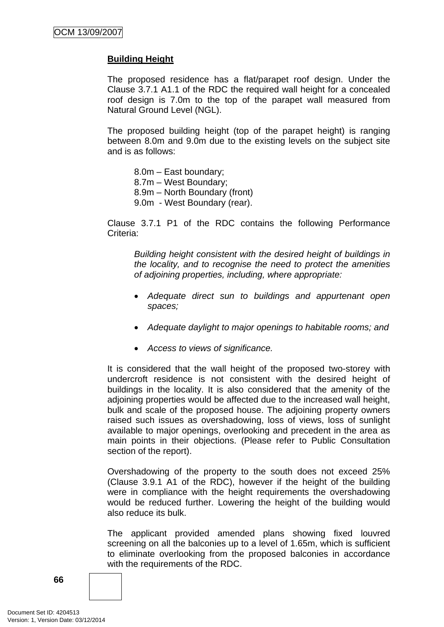### **Building Height**

The proposed residence has a flat/parapet roof design. Under the Clause 3.7.1 A1.1 of the RDC the required wall height for a concealed roof design is 7.0m to the top of the parapet wall measured from Natural Ground Level (NGL).

The proposed building height (top of the parapet height) is ranging between 8.0m and 9.0m due to the existing levels on the subject site and is as follows:

 8.0m – East boundary; 8.7m – West Boundary; 8.9m – North Boundary (front) 9.0m - West Boundary (rear).

Clause 3.7.1 P1 of the RDC contains the following Performance Criteria:

 *Building height consistent with the desired height of buildings in the locality, and to recognise the need to protect the amenities of adjoining properties, including, where appropriate:* 

- *Adequate direct sun to buildings and appurtenant open spaces;*
- *Adequate daylight to major openings to habitable rooms; and*
- *Access to views of significance.*

It is considered that the wall height of the proposed two-storey with undercroft residence is not consistent with the desired height of buildings in the locality. It is also considered that the amenity of the adjoining properties would be affected due to the increased wall height, bulk and scale of the proposed house. The adjoining property owners raised such issues as overshadowing, loss of views, loss of sunlight available to major openings, overlooking and precedent in the area as main points in their objections. (Please refer to Public Consultation section of the report).

Overshadowing of the property to the south does not exceed 25% (Clause 3.9.1 A1 of the RDC), however if the height of the building were in compliance with the height requirements the overshadowing would be reduced further. Lowering the height of the building would also reduce its bulk.

The applicant provided amended plans showing fixed louvred screening on all the balconies up to a level of 1.65m, which is sufficient to eliminate overlooking from the proposed balconies in accordance with the requirements of the RDC.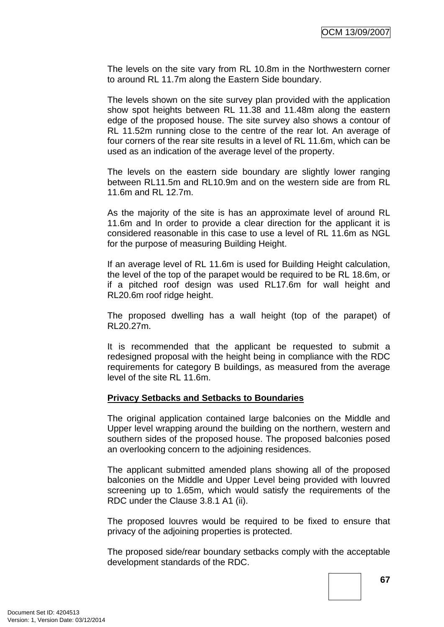The levels on the site vary from RL 10.8m in the Northwestern corner to around RL 11.7m along the Eastern Side boundary.

The levels shown on the site survey plan provided with the application show spot heights between RL 11.38 and 11.48m along the eastern edge of the proposed house. The site survey also shows a contour of RL 11.52m running close to the centre of the rear lot. An average of four corners of the rear site results in a level of RL 11.6m, which can be used as an indication of the average level of the property.

The levels on the eastern side boundary are slightly lower ranging between RL11.5m and RL10.9m and on the western side are from RL 11.6m and RL 12.7m.

As the majority of the site is has an approximate level of around RL 11.6m and In order to provide a clear direction for the applicant it is considered reasonable in this case to use a level of RL 11.6m as NGL for the purpose of measuring Building Height.

If an average level of RL 11.6m is used for Building Height calculation, the level of the top of the parapet would be required to be RL 18.6m, or if a pitched roof design was used RL17.6m for wall height and RL20.6m roof ridge height.

The proposed dwelling has a wall height (top of the parapet) of RL20.27m.

It is recommended that the applicant be requested to submit a redesigned proposal with the height being in compliance with the RDC requirements for category B buildings, as measured from the average level of the site RL 11.6m.

#### **Privacy Setbacks and Setbacks to Boundaries**

The original application contained large balconies on the Middle and Upper level wrapping around the building on the northern, western and southern sides of the proposed house. The proposed balconies posed an overlooking concern to the adjoining residences.

The applicant submitted amended plans showing all of the proposed balconies on the Middle and Upper Level being provided with louvred screening up to 1.65m, which would satisfy the requirements of the RDC under the Clause 3.8.1 A1 (ii).

The proposed louvres would be required to be fixed to ensure that privacy of the adjoining properties is protected.

The proposed side/rear boundary setbacks comply with the acceptable development standards of the RDC.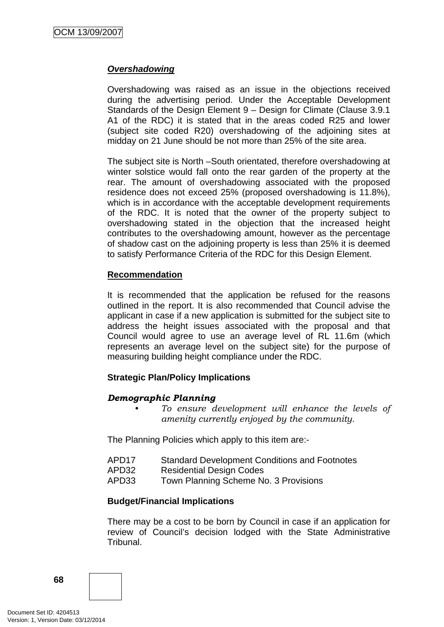### *Overshadowing*

Overshadowing was raised as an issue in the objections received during the advertising period. Under the Acceptable Development Standards of the Design Element 9 – Design for Climate (Clause 3.9.1 A1 of the RDC) it is stated that in the areas coded R25 and lower (subject site coded R20) overshadowing of the adjoining sites at midday on 21 June should be not more than 25% of the site area.

The subject site is North –South orientated, therefore overshadowing at winter solstice would fall onto the rear garden of the property at the rear. The amount of overshadowing associated with the proposed residence does not exceed 25% (proposed overshadowing is 11.8%), which is in accordance with the acceptable development requirements of the RDC. It is noted that the owner of the property subject to overshadowing stated in the objection that the increased height contributes to the overshadowing amount, however as the percentage of shadow cast on the adjoining property is less than 25% it is deemed to satisfy Performance Criteria of the RDC for this Design Element.

#### **Recommendation**

It is recommended that the application be refused for the reasons outlined in the report. It is also recommended that Council advise the applicant in case if a new application is submitted for the subject site to address the height issues associated with the proposal and that Council would agree to use an average level of RL 11.6m (which represents an average level on the subject site) for the purpose of measuring building height compliance under the RDC.

#### **Strategic Plan/Policy Implications**

#### *Demographic Planning*

*• To ensure development will enhance the levels of amenity currently enjoyed by the community.*

The Planning Policies which apply to this item are:-

- APD17 Standard Development Conditions and Footnotes
- APD32 Residential Design Codes
- APD33 Town Planning Scheme No. 3 Provisions

#### **Budget/Financial Implications**

There may be a cost to be born by Council in case if an application for review of Council's decision lodged with the State Administrative Tribunal.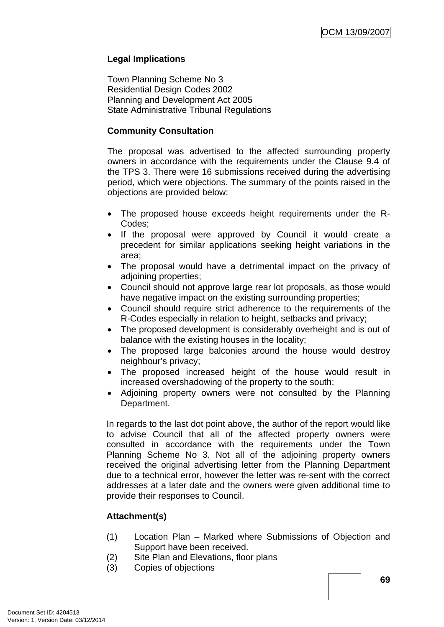## **Legal Implications**

Town Planning Scheme No 3 Residential Design Codes 2002 Planning and Development Act 2005 State Administrative Tribunal Regulations

#### **Community Consultation**

The proposal was advertised to the affected surrounding property owners in accordance with the requirements under the Clause 9.4 of the TPS 3. There were 16 submissions received during the advertising period, which were objections. The summary of the points raised in the objections are provided below:

- The proposed house exceeds height requirements under the R-Codes;
- If the proposal were approved by Council it would create a precedent for similar applications seeking height variations in the area;
- The proposal would have a detrimental impact on the privacy of adjoining properties;
- Council should not approve large rear lot proposals, as those would have negative impact on the existing surrounding properties;
- Council should require strict adherence to the requirements of the R-Codes especially in relation to height, setbacks and privacy;
- The proposed development is considerably overheight and is out of balance with the existing houses in the locality;
- The proposed large balconies around the house would destroy neighbour's privacy;
- The proposed increased height of the house would result in increased overshadowing of the property to the south;
- Adjoining property owners were not consulted by the Planning Department.

In regards to the last dot point above, the author of the report would like to advise Council that all of the affected property owners were consulted in accordance with the requirements under the Town Planning Scheme No 3. Not all of the adjoining property owners received the original advertising letter from the Planning Department due to a technical error, however the letter was re-sent with the correct addresses at a later date and the owners were given additional time to provide their responses to Council.

#### **Attachment(s)**

- (1) Location Plan Marked where Submissions of Objection and Support have been received.
- (2) Site Plan and Elevations, floor plans
- (3) Copies of objections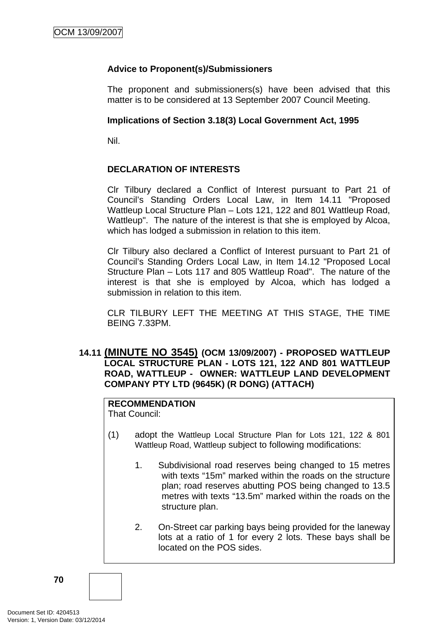### **Advice to Proponent(s)/Submissioners**

The proponent and submissioners(s) have been advised that this matter is to be considered at 13 September 2007 Council Meeting.

#### **Implications of Section 3.18(3) Local Government Act, 1995**

Nil.

#### **DECLARATION OF INTERESTS**

Clr Tilbury declared a Conflict of Interest pursuant to Part 21 of Council's Standing Orders Local Law, in Item 14.11 "Proposed Wattleup Local Structure Plan – Lots 121, 122 and 801 Wattleup Road, Wattleup". The nature of the interest is that she is employed by Alcoa, which has lodged a submission in relation to this item.

Clr Tilbury also declared a Conflict of Interest pursuant to Part 21 of Council's Standing Orders Local Law, in Item 14.12 "Proposed Local Structure Plan – Lots 117 and 805 Wattleup Road". The nature of the interest is that she is employed by Alcoa, which has lodged a submission in relation to this item.

CLR TILBURY LEFT THE MEETING AT THIS STAGE, THE TIME BEING 7.33PM.

#### **14.11 (MINUTE NO 3545) (OCM 13/09/2007) - PROPOSED WATTLEUP LOCAL STRUCTURE PLAN - LOTS 121, 122 AND 801 WATTLEUP ROAD, WATTLEUP - OWNER: WATTLEUP LAND DEVELOPMENT COMPANY PTY LTD (9645K) (R DONG) (ATTACH)**

# **RECOMMENDATION**

That Council:

- (1) adopt the Wattleup Local Structure Plan for Lots 121, 122 & 801 Wattleup Road, Wattleup subject to following modifications:
	- 1. Subdivisional road reserves being changed to 15 metres with texts "15m" marked within the roads on the structure plan; road reserves abutting POS being changed to 13.5 metres with texts "13.5m" marked within the roads on the structure plan.
	- 2. On-Street car parking bays being provided for the laneway lots at a ratio of 1 for every 2 lots. These bays shall be located on the POS sides.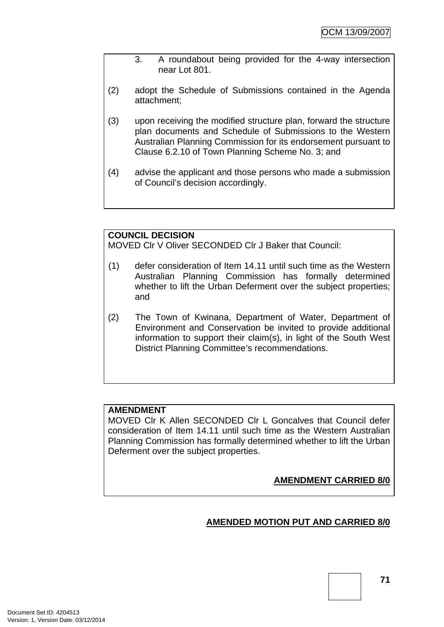- 3. A roundabout being provided for the 4-way intersection near Lot 801.
- (2) adopt the Schedule of Submissions contained in the Agenda attachment;
- (3) upon receiving the modified structure plan, forward the structure plan documents and Schedule of Submissions to the Western Australian Planning Commission for its endorsement pursuant to Clause 6.2.10 of Town Planning Scheme No. 3; and
- (4) advise the applicant and those persons who made a submission of Council's decision accordingly.

# **COUNCIL DECISION**

MOVED Clr V Oliver SECONDED Clr J Baker that Council:

- (1) defer consideration of Item 14.11 until such time as the Western Australian Planning Commission has formally determined whether to lift the Urban Deferment over the subject properties; and
- (2) The Town of Kwinana, Department of Water, Department of Environment and Conservation be invited to provide additional information to support their claim(s), in light of the South West District Planning Committee's recommendations.

# **AMENDMENT**

MOVED Clr K Allen SECONDED Clr L Goncalves that Council defer consideration of Item 14.11 until such time as the Western Australian Planning Commission has formally determined whether to lift the Urban Deferment over the subject properties.

# **AMENDMENT CARRIED 8/0**

# **AMENDED MOTION PUT AND CARRIED 8/0**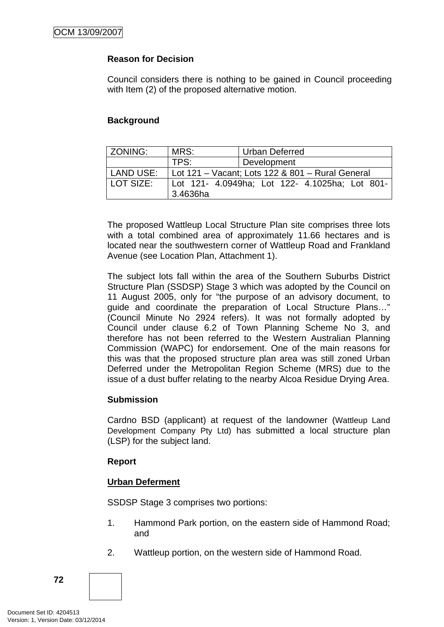# **Reason for Decision**

Council considers there is nothing to be gained in Council proceeding with Item (2) of the proposed alternative motion.

### **Background**

| ZONING:   | MRS:                                             | <b>Urban Deferred</b>                          |  |  |  |
|-----------|--------------------------------------------------|------------------------------------------------|--|--|--|
|           | TPS:                                             | Development                                    |  |  |  |
| LAND USE: | Lot 121 – Vacant; Lots 122 & 801 – Rural General |                                                |  |  |  |
| LOT SIZE: |                                                  | Lot 121- 4.0949ha; Lot 122- 4.1025ha; Lot 801- |  |  |  |
|           | 3.4636ha                                         |                                                |  |  |  |

The proposed Wattleup Local Structure Plan site comprises three lots with a total combined area of approximately 11.66 hectares and is located near the southwestern corner of Wattleup Road and Frankland Avenue (see Location Plan, Attachment 1).

The subject lots fall within the area of the Southern Suburbs District Structure Plan (SSDSP) Stage 3 which was adopted by the Council on 11 August 2005, only for "the purpose of an advisory document, to guide and coordinate the preparation of Local Structure Plans…" (Council Minute No 2924 refers). It was not formally adopted by Council under clause 6.2 of Town Planning Scheme No 3, and therefore has not been referred to the Western Australian Planning Commission (WAPC) for endorsement. One of the main reasons for this was that the proposed structure plan area was still zoned Urban Deferred under the Metropolitan Region Scheme (MRS) due to the issue of a dust buffer relating to the nearby Alcoa Residue Drying Area.

#### **Submission**

Cardno BSD (applicant) at request of the landowner (Wattleup Land Development Company Pty Ltd) has submitted a local structure plan (LSP) for the subject land.

#### **Report**

#### **Urban Deferment**

SSDSP Stage 3 comprises two portions:

- 1. Hammond Park portion, on the eastern side of Hammond Road; and
- 2. Wattleup portion, on the western side of Hammond Road.

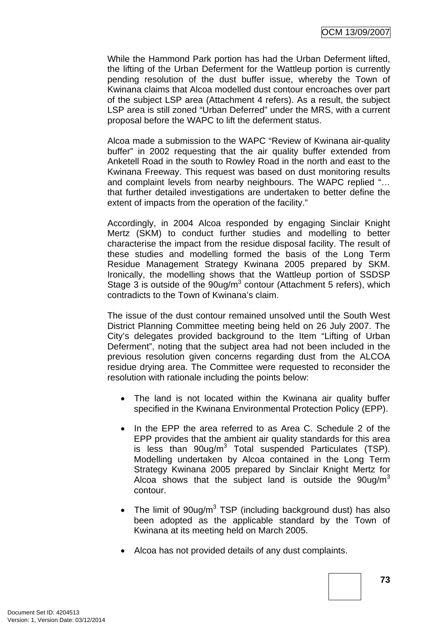While the Hammond Park portion has had the Urban Deferment lifted, the lifting of the Urban Deferment for the Wattleup portion is currently pending resolution of the dust buffer issue, whereby the Town of Kwinana claims that Alcoa modelled dust contour encroaches over part of the subject LSP area (Attachment 4 refers). As a result, the subject LSP area is still zoned "Urban Deferred" under the MRS, with a current proposal before the WAPC to lift the deferment status.

Alcoa made a submission to the WAPC "Review of Kwinana air-quality buffer" in 2002 requesting that the air quality buffer extended from Anketell Road in the south to Rowley Road in the north and east to the Kwinana Freeway. This request was based on dust monitoring results and complaint levels from nearby neighbours. The WAPC replied "… that further detailed investigations are undertaken to better define the extent of impacts from the operation of the facility."

Accordingly, in 2004 Alcoa responded by engaging Sinclair Knight Mertz (SKM) to conduct further studies and modelling to better characterise the impact from the residue disposal facility. The result of these studies and modelling formed the basis of the Long Term Residue Management Strategy Kwinana 2005 prepared by SKM. Ironically, the modelling shows that the Wattleup portion of SSDSP Stage  $3$  is outside of the  $90$ ug/m<sup>3</sup> contour (Attachment 5 refers), which contradicts to the Town of Kwinana's claim.

The issue of the dust contour remained unsolved until the South West District Planning Committee meeting being held on 26 July 2007. The City's delegates provided background to the Item "Lifting of Urban Deferment", noting that the subject area had not been included in the previous resolution given concerns regarding dust from the ALCOA residue drying area. The Committee were requested to reconsider the resolution with rationale including the points below:

- The land is not located within the Kwinana air quality buffer specified in the Kwinana Environmental Protection Policy (EPP).
- In the EPP the area referred to as Area C. Schedule 2 of the EPP provides that the ambient air quality standards for this area is less than  $90$ ug/m<sup>3</sup> Total suspended Particulates (TSP). Modelling undertaken by Alcoa contained in the Long Term Strategy Kwinana 2005 prepared by Sinclair Knight Mertz for Alcoa shows that the subject land is outside the  $90uq/m<sup>3</sup>$ contour.
- The limit of  $90u$ g/m<sup>3</sup> TSP (including background dust) has also been adopted as the applicable standard by the Town of Kwinana at its meeting held on March 2005.
- Alcoa has not provided details of any dust complaints.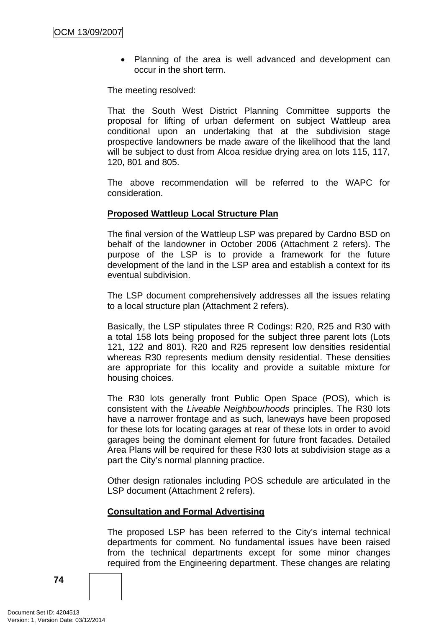• Planning of the area is well advanced and development can occur in the short term.

The meeting resolved:

That the South West District Planning Committee supports the proposal for lifting of urban deferment on subject Wattleup area conditional upon an undertaking that at the subdivision stage prospective landowners be made aware of the likelihood that the land will be subject to dust from Alcoa residue drying area on lots 115, 117, 120, 801 and 805.

The above recommendation will be referred to the WAPC for consideration.

### **Proposed Wattleup Local Structure Plan**

The final version of the Wattleup LSP was prepared by Cardno BSD on behalf of the landowner in October 2006 (Attachment 2 refers). The purpose of the LSP is to provide a framework for the future development of the land in the LSP area and establish a context for its eventual subdivision.

The LSP document comprehensively addresses all the issues relating to a local structure plan (Attachment 2 refers).

Basically, the LSP stipulates three R Codings: R20, R25 and R30 with a total 158 lots being proposed for the subject three parent lots (Lots 121, 122 and 801). R20 and R25 represent low densities residential whereas R30 represents medium density residential. These densities are appropriate for this locality and provide a suitable mixture for housing choices.

The R30 lots generally front Public Open Space (POS), which is consistent with the *Liveable Neighbourhoods* principles. The R30 lots have a narrower frontage and as such, laneways have been proposed for these lots for locating garages at rear of these lots in order to avoid garages being the dominant element for future front facades. Detailed Area Plans will be required for these R30 lots at subdivision stage as a part the City's normal planning practice.

Other design rationales including POS schedule are articulated in the LSP document (Attachment 2 refers).

# **Consultation and Formal Advertising**

The proposed LSP has been referred to the City's internal technical departments for comment. No fundamental issues have been raised from the technical departments except for some minor changes required from the Engineering department. These changes are relating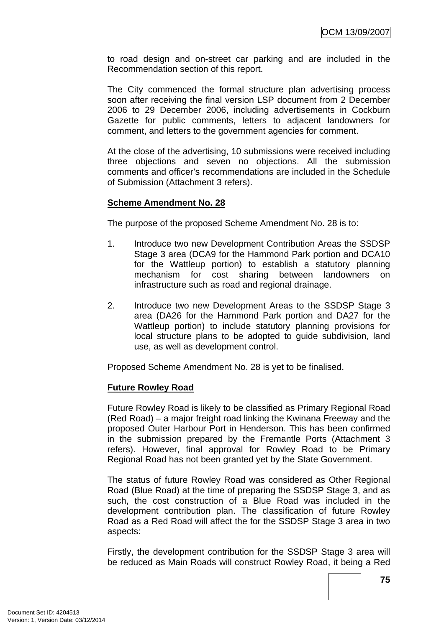to road design and on-street car parking and are included in the Recommendation section of this report.

The City commenced the formal structure plan advertising process soon after receiving the final version LSP document from 2 December 2006 to 29 December 2006, including advertisements in Cockburn Gazette for public comments, letters to adjacent landowners for comment, and letters to the government agencies for comment.

At the close of the advertising, 10 submissions were received including three objections and seven no objections. All the submission comments and officer's recommendations are included in the Schedule of Submission (Attachment 3 refers).

#### **Scheme Amendment No. 28**

The purpose of the proposed Scheme Amendment No. 28 is to:

- 1. Introduce two new Development Contribution Areas the SSDSP Stage 3 area (DCA9 for the Hammond Park portion and DCA10 for the Wattleup portion) to establish a statutory planning mechanism for cost sharing between landowners on infrastructure such as road and regional drainage.
- 2. Introduce two new Development Areas to the SSDSP Stage 3 area (DA26 for the Hammond Park portion and DA27 for the Wattleup portion) to include statutory planning provisions for local structure plans to be adopted to guide subdivision, land use, as well as development control.

Proposed Scheme Amendment No. 28 is yet to be finalised.

#### **Future Rowley Road**

Future Rowley Road is likely to be classified as Primary Regional Road (Red Road) – a major freight road linking the Kwinana Freeway and the proposed Outer Harbour Port in Henderson. This has been confirmed in the submission prepared by the Fremantle Ports (Attachment 3 refers). However, final approval for Rowley Road to be Primary Regional Road has not been granted yet by the State Government.

The status of future Rowley Road was considered as Other Regional Road (Blue Road) at the time of preparing the SSDSP Stage 3, and as such, the cost construction of a Blue Road was included in the development contribution plan. The classification of future Rowley Road as a Red Road will affect the for the SSDSP Stage 3 area in two aspects:

Firstly, the development contribution for the SSDSP Stage 3 area will be reduced as Main Roads will construct Rowley Road, it being a Red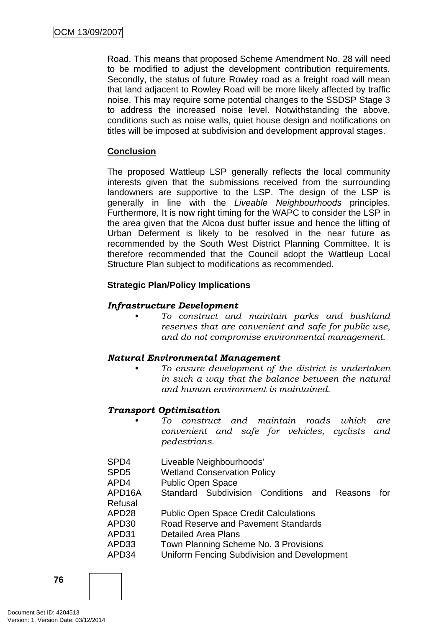Road. This means that proposed Scheme Amendment No. 28 will need to be modified to adjust the development contribution requirements. Secondly, the status of future Rowley road as a freight road will mean that land adjacent to Rowley Road will be more likely affected by traffic noise. This may require some potential changes to the SSDSP Stage 3 to address the increased noise level. Notwithstanding the above, conditions such as noise walls, quiet house design and notifications on titles will be imposed at subdivision and development approval stages.

### **Conclusion**

The proposed Wattleup LSP generally reflects the local community interests given that the submissions received from the surrounding landowners are supportive to the LSP. The design of the LSP is generally in line with the *Liveable Neighbourhoods* principles. Furthermore, It is now right timing for the WAPC to consider the LSP in the area given that the Alcoa dust buffer issue and hence the lifting of Urban Deferment is likely to be resolved in the near future as recommended by the South West District Planning Committee. It is therefore recommended that the Council adopt the Wattleup Local Structure Plan subject to modifications as recommended.

### **Strategic Plan/Policy Implications**

# *Infrastructure Development*

*• To construct and maintain parks and bushland reserves that are convenient and safe for public use, and do not compromise environmental management.* 

#### *Natural Environmental Management*

*• To ensure development of the district is undertaken in such a way that the balance between the natural and human environment is maintained.* 

# *Transport Optimisation*

*• To construct and maintain roads which are convenient and safe for vehicles, cyclists and pedestrians.* 

| SPD4 | Liveable Neighbourhoods' |
|------|--------------------------|
|------|--------------------------|

- SPD5 Wetland Conservation Policy
- APD4 Public Open Space
- APD16A Standard Subdivision Conditions and Reasons for Refusal
- APD28 Public Open Space Credit Calculations
- APD30 Road Reserve and Pavement Standards
- APD31 Detailed Area Plans
- APD33 Town Planning Scheme No. 3 Provisions
- APD34 Uniform Fencing Subdivision and Development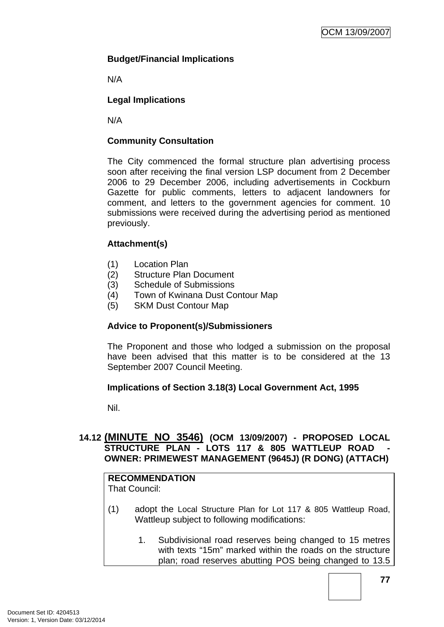### **Budget/Financial Implications**

N/A

# **Legal Implications**

N/A

# **Community Consultation**

The City commenced the formal structure plan advertising process soon after receiving the final version LSP document from 2 December 2006 to 29 December 2006, including advertisements in Cockburn Gazette for public comments, letters to adjacent landowners for comment, and letters to the government agencies for comment. 10 submissions were received during the advertising period as mentioned previously.

# **Attachment(s)**

- (1) Location Plan
- (2) Structure Plan Document
- (3) Schedule of Submissions
- (4) Town of Kwinana Dust Contour Map
- (5) SKM Dust Contour Map

# **Advice to Proponent(s)/Submissioners**

The Proponent and those who lodged a submission on the proposal have been advised that this matter is to be considered at the 13 September 2007 Council Meeting.

# **Implications of Section 3.18(3) Local Government Act, 1995**

Nil.

### **14.12 (MINUTE NO 3546) (OCM 13/09/2007) - PROPOSED LOCAL**  STRUCTURE PLAN - LOTS 117 & 805 WATTLEUP ROAD **OWNER: PRIMEWEST MANAGEMENT (9645J) (R DONG) (ATTACH)**

# **RECOMMENDATION**

That Council:

- (1) adopt the Local Structure Plan for Lot 117 & 805 Wattleup Road, Wattleup subject to following modifications:
	- 1. Subdivisional road reserves being changed to 15 metres with texts "15m" marked within the roads on the structure plan; road reserves abutting POS being changed to 13.5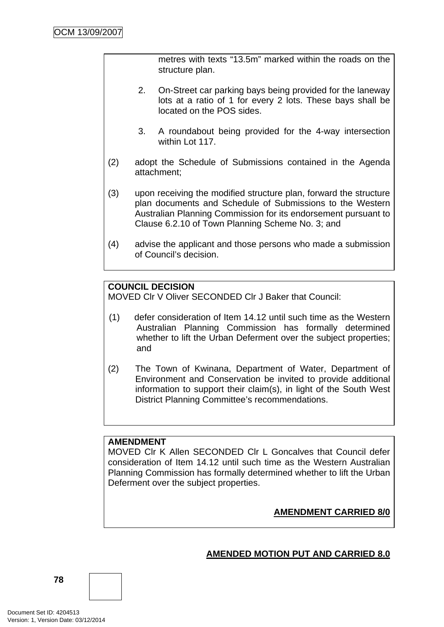metres with texts "13.5m" marked within the roads on the structure plan.

- 2. On-Street car parking bays being provided for the laneway lots at a ratio of 1 for every 2 lots. These bays shall be located on the POS sides.
- 3. A roundabout being provided for the 4-way intersection within Lot 117.
- (2) adopt the Schedule of Submissions contained in the Agenda attachment;
- (3) upon receiving the modified structure plan, forward the structure plan documents and Schedule of Submissions to the Western Australian Planning Commission for its endorsement pursuant to Clause 6.2.10 of Town Planning Scheme No. 3; and
- (4) advise the applicant and those persons who made a submission of Council's decision.

# **COUNCIL DECISION**

MOVED Clr V Oliver SECONDED Clr J Baker that Council:

- (1) defer consideration of Item 14.12 until such time as the Western Australian Planning Commission has formally determined whether to lift the Urban Deferment over the subject properties; and
- (2) The Town of Kwinana, Department of Water, Department of Environment and Conservation be invited to provide additional information to support their claim(s), in light of the South West District Planning Committee's recommendations.

# **AMENDMENT**

MOVED Clr K Allen SECONDED Clr L Goncalves that Council defer consideration of Item 14.12 until such time as the Western Australian Planning Commission has formally determined whether to lift the Urban Deferment over the subject properties.

# **AMENDMENT CARRIED 8/0**

# **AMENDED MOTION PUT AND CARRIED 8.0**

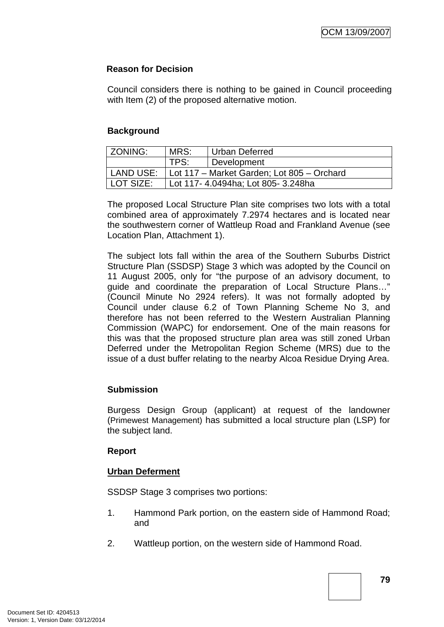#### **Reason for Decision**

Council considers there is nothing to be gained in Council proceeding with Item (2) of the proposed alternative motion.

#### **Background**

| ZONING:   | MRS:                                       | Urban Deferred |  |
|-----------|--------------------------------------------|----------------|--|
|           | TPS:                                       | Development    |  |
| LAND USE: | Lot 117 - Market Garden; Lot 805 - Orchard |                |  |
| LOT SIZE: | Lot 117- 4.0494ha; Lot 805- 3.248ha        |                |  |

The proposed Local Structure Plan site comprises two lots with a total combined area of approximately 7.2974 hectares and is located near the southwestern corner of Wattleup Road and Frankland Avenue (see Location Plan, Attachment 1).

The subject lots fall within the area of the Southern Suburbs District Structure Plan (SSDSP) Stage 3 which was adopted by the Council on 11 August 2005, only for "the purpose of an advisory document, to guide and coordinate the preparation of Local Structure Plans…" (Council Minute No 2924 refers). It was not formally adopted by Council under clause 6.2 of Town Planning Scheme No 3, and therefore has not been referred to the Western Australian Planning Commission (WAPC) for endorsement. One of the main reasons for this was that the proposed structure plan area was still zoned Urban Deferred under the Metropolitan Region Scheme (MRS) due to the issue of a dust buffer relating to the nearby Alcoa Residue Drying Area.

#### **Submission**

Burgess Design Group (applicant) at request of the landowner (Primewest Management) has submitted a local structure plan (LSP) for the subject land.

#### **Report**

#### **Urban Deferment**

SSDSP Stage 3 comprises two portions:

- 1. Hammond Park portion, on the eastern side of Hammond Road; and
- 2. Wattleup portion, on the western side of Hammond Road.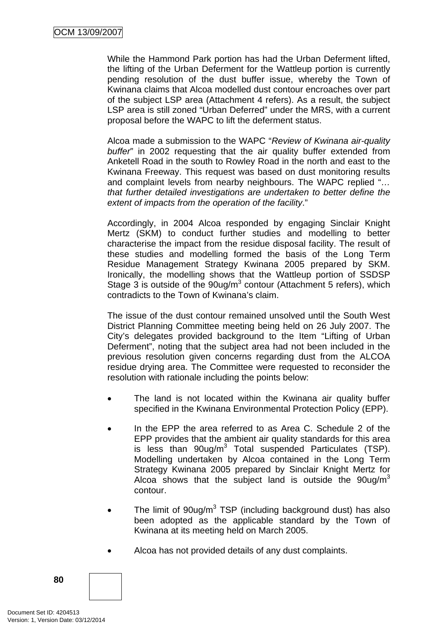While the Hammond Park portion has had the Urban Deferment lifted, the lifting of the Urban Deferment for the Wattleup portion is currently pending resolution of the dust buffer issue, whereby the Town of Kwinana claims that Alcoa modelled dust contour encroaches over part of the subject LSP area (Attachment 4 refers). As a result, the subject LSP area is still zoned "Urban Deferred" under the MRS, with a current proposal before the WAPC to lift the deferment status.

Alcoa made a submission to the WAPC "*Review of Kwinana air-quality buffer*" in 2002 requesting that the air quality buffer extended from Anketell Road in the south to Rowley Road in the north and east to the Kwinana Freeway. This request was based on dust monitoring results and complaint levels from nearby neighbours. The WAPC replied "*… that further detailed investigations are undertaken to better define the extent of impacts from the operation of the facility*."

Accordingly, in 2004 Alcoa responded by engaging Sinclair Knight Mertz (SKM) to conduct further studies and modelling to better characterise the impact from the residue disposal facility. The result of these studies and modelling formed the basis of the Long Term Residue Management Strategy Kwinana 2005 prepared by SKM. Ironically, the modelling shows that the Wattleup portion of SSDSP Stage  $3$  is outside of the  $90$ ug/m<sup>3</sup> contour (Attachment 5 refers), which contradicts to the Town of Kwinana's claim.

The issue of the dust contour remained unsolved until the South West District Planning Committee meeting being held on 26 July 2007. The City's delegates provided background to the Item "Lifting of Urban Deferment", noting that the subject area had not been included in the previous resolution given concerns regarding dust from the ALCOA residue drying area. The Committee were requested to reconsider the resolution with rationale including the points below:

- The land is not located within the Kwinana air quality buffer specified in the Kwinana Environmental Protection Policy (EPP).
- In the EPP the area referred to as Area C. Schedule 2 of the EPP provides that the ambient air quality standards for this area is less than  $90$ ug/m<sup>3</sup> Total suspended Particulates (TSP). Modelling undertaken by Alcoa contained in the Long Term Strategy Kwinana 2005 prepared by Sinclair Knight Mertz for Alcoa shows that the subject land is outside the  $90uq/m<sup>3</sup>$ contour.
- The limit of  $90u$ g/m<sup>3</sup> TSP (including background dust) has also been adopted as the applicable standard by the Town of Kwinana at its meeting held on March 2005.
- Alcoa has not provided details of any dust complaints.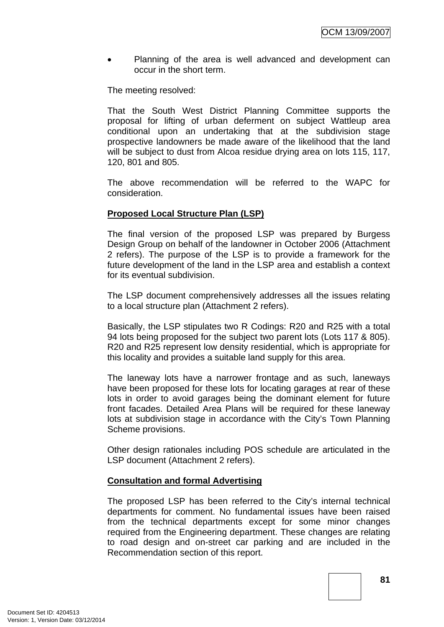• Planning of the area is well advanced and development can occur in the short term.

The meeting resolved:

That the South West District Planning Committee supports the proposal for lifting of urban deferment on subject Wattleup area conditional upon an undertaking that at the subdivision stage prospective landowners be made aware of the likelihood that the land will be subject to dust from Alcoa residue drying area on lots 115, 117, 120, 801 and 805.

The above recommendation will be referred to the WAPC for consideration.

# **Proposed Local Structure Plan (LSP)**

The final version of the proposed LSP was prepared by Burgess Design Group on behalf of the landowner in October 2006 (Attachment 2 refers). The purpose of the LSP is to provide a framework for the future development of the land in the LSP area and establish a context for its eventual subdivision.

The LSP document comprehensively addresses all the issues relating to a local structure plan (Attachment 2 refers).

Basically, the LSP stipulates two R Codings: R20 and R25 with a total 94 lots being proposed for the subject two parent lots (Lots 117 & 805). R20 and R25 represent low density residential, which is appropriate for this locality and provides a suitable land supply for this area.

The laneway lots have a narrower frontage and as such, laneways have been proposed for these lots for locating garages at rear of these lots in order to avoid garages being the dominant element for future front facades. Detailed Area Plans will be required for these laneway lots at subdivision stage in accordance with the City's Town Planning Scheme provisions.

Other design rationales including POS schedule are articulated in the LSP document (Attachment 2 refers).

#### **Consultation and formal Advertising**

The proposed LSP has been referred to the City's internal technical departments for comment. No fundamental issues have been raised from the technical departments except for some minor changes required from the Engineering department. These changes are relating to road design and on-street car parking and are included in the Recommendation section of this report.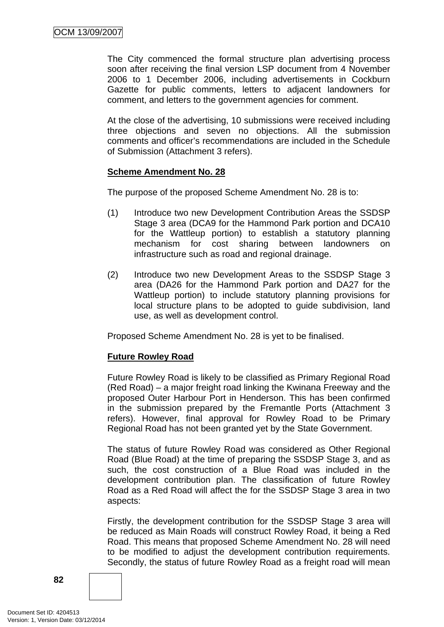The City commenced the formal structure plan advertising process soon after receiving the final version LSP document from 4 November 2006 to 1 December 2006, including advertisements in Cockburn Gazette for public comments, letters to adjacent landowners for comment, and letters to the government agencies for comment.

At the close of the advertising, 10 submissions were received including three objections and seven no objections. All the submission comments and officer's recommendations are included in the Schedule of Submission (Attachment 3 refers).

#### **Scheme Amendment No. 28**

The purpose of the proposed Scheme Amendment No. 28 is to:

- (1) Introduce two new Development Contribution Areas the SSDSP Stage 3 area (DCA9 for the Hammond Park portion and DCA10 for the Wattleup portion) to establish a statutory planning mechanism for cost sharing between landowners on infrastructure such as road and regional drainage.
- (2) Introduce two new Development Areas to the SSDSP Stage 3 area (DA26 for the Hammond Park portion and DA27 for the Wattleup portion) to include statutory planning provisions for local structure plans to be adopted to guide subdivision, land use, as well as development control.

Proposed Scheme Amendment No. 28 is yet to be finalised.

#### **Future Rowley Road**

Future Rowley Road is likely to be classified as Primary Regional Road (Red Road) – a major freight road linking the Kwinana Freeway and the proposed Outer Harbour Port in Henderson. This has been confirmed in the submission prepared by the Fremantle Ports (Attachment 3 refers). However, final approval for Rowley Road to be Primary Regional Road has not been granted yet by the State Government.

The status of future Rowley Road was considered as Other Regional Road (Blue Road) at the time of preparing the SSDSP Stage 3, and as such, the cost construction of a Blue Road was included in the development contribution plan. The classification of future Rowley Road as a Red Road will affect the for the SSDSP Stage 3 area in two aspects:

Firstly, the development contribution for the SSDSP Stage 3 area will be reduced as Main Roads will construct Rowley Road, it being a Red Road. This means that proposed Scheme Amendment No. 28 will need to be modified to adjust the development contribution requirements. Secondly, the status of future Rowley Road as a freight road will mean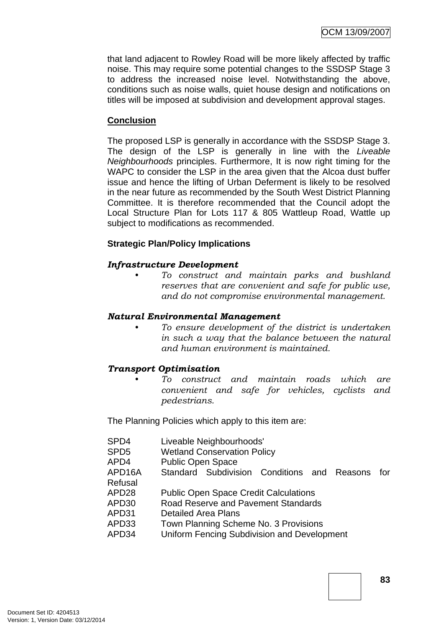that land adjacent to Rowley Road will be more likely affected by traffic noise. This may require some potential changes to the SSDSP Stage 3 to address the increased noise level. Notwithstanding the above, conditions such as noise walls, quiet house design and notifications on titles will be imposed at subdivision and development approval stages.

### **Conclusion**

The proposed LSP is generally in accordance with the SSDSP Stage 3. The design of the LSP is generally in line with the *Liveable Neighbourhoods* principles. Furthermore, It is now right timing for the WAPC to consider the LSP in the area given that the Alcoa dust buffer issue and hence the lifting of Urban Deferment is likely to be resolved in the near future as recommended by the South West District Planning Committee. It is therefore recommended that the Council adopt the Local Structure Plan for Lots 117 & 805 Wattleup Road, Wattle up subject to modifications as recommended.

### **Strategic Plan/Policy Implications**

### *Infrastructure Development*

*• To construct and maintain parks and bushland reserves that are convenient and safe for public use, and do not compromise environmental management.* 

#### *Natural Environmental Management*

*• To ensure development of the district is undertaken in such a way that the balance between the natural and human environment is maintained.* 

#### *Transport Optimisation*

*• To construct and maintain roads which are convenient and safe for vehicles, cyclists and pedestrians.* 

The Planning Policies which apply to this item are:

| SPD4             | Liveable Neighbourhoods'                             |  |  |  |  |
|------------------|------------------------------------------------------|--|--|--|--|
| SPD <sub>5</sub> | <b>Wetland Conservation Policy</b>                   |  |  |  |  |
| APD4             | <b>Public Open Space</b>                             |  |  |  |  |
| APD16A           | Standard Subdivision Conditions and Reasons<br>tor – |  |  |  |  |
| Refusal          |                                                      |  |  |  |  |
| APD28            | <b>Public Open Space Credit Calculations</b>         |  |  |  |  |
| APD30            | <b>Road Reserve and Pavement Standards</b>           |  |  |  |  |
| APD31            | <b>Detailed Area Plans</b>                           |  |  |  |  |
| APD33            | Town Planning Scheme No. 3 Provisions                |  |  |  |  |
| APD34            | Uniform Fencing Subdivision and Development          |  |  |  |  |
|                  |                                                      |  |  |  |  |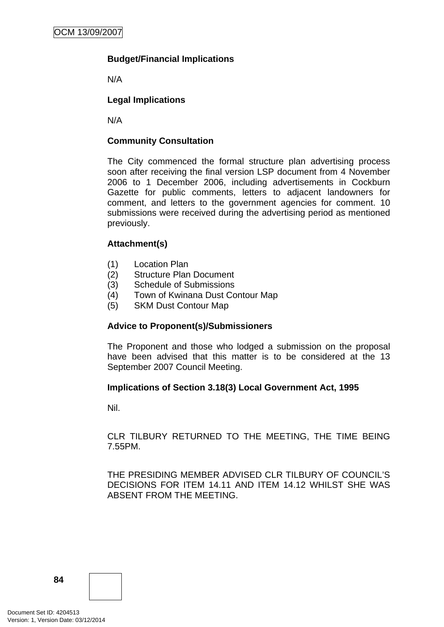# **Budget/Financial Implications**

N/A

## **Legal Implications**

N/A

### **Community Consultation**

The City commenced the formal structure plan advertising process soon after receiving the final version LSP document from 4 November 2006 to 1 December 2006, including advertisements in Cockburn Gazette for public comments, letters to adjacent landowners for comment, and letters to the government agencies for comment. 10 submissions were received during the advertising period as mentioned previously.

### **Attachment(s)**

- (1) Location Plan
- (2) Structure Plan Document
- (3) Schedule of Submissions
- (4) Town of Kwinana Dust Contour Map
- (5) SKM Dust Contour Map

#### **Advice to Proponent(s)/Submissioners**

The Proponent and those who lodged a submission on the proposal have been advised that this matter is to be considered at the 13 September 2007 Council Meeting.

#### **Implications of Section 3.18(3) Local Government Act, 1995**

Nil.

CLR TILBURY RETURNED TO THE MEETING, THE TIME BEING 7.55PM.

THE PRESIDING MEMBER ADVISED CLR TILBURY OF COUNCIL'S DECISIONS FOR ITEM 14.11 AND ITEM 14.12 WHILST SHE WAS ABSENT FROM THE MEETING.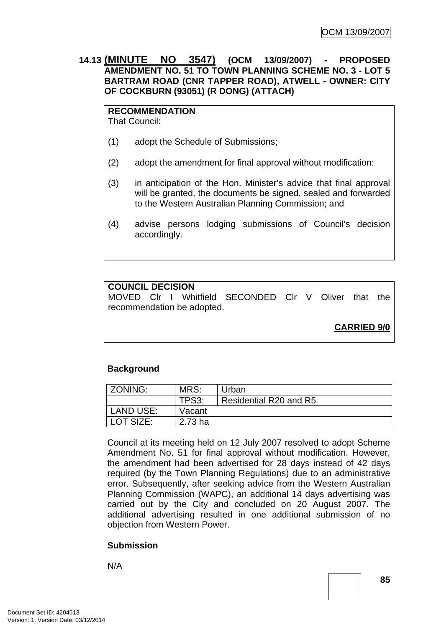### **14.13 (MINUTE NO 3547) (OCM 13/09/2007) - PROPOSED AMENDMENT NO. 51 TO TOWN PLANNING SCHEME NO. 3 - LOT 5 BARTRAM ROAD (CNR TAPPER ROAD), ATWELL - OWNER: CITY OF COCKBURN (93051) (R DONG) (ATTACH)**

#### **RECOMMENDATION**

That Council:

- (1) adopt the Schedule of Submissions;
- (2) adopt the amendment for final approval without modification:
- (3) in anticipation of the Hon. Minister's advice that final approval will be granted, the documents be signed, sealed and forwarded to the Western Australian Planning Commission; and
- (4) advise persons lodging submissions of Council's decision accordingly.

### **COUNCIL DECISION**

MOVED Clr I Whitfield SECONDED Clr V Oliver that the recommendation be adopted.

**CARRIED 9/0**

#### **Background**

| ZONING:          | MRS:    | Urban                  |
|------------------|---------|------------------------|
|                  | TPS3:   | Residential R20 and R5 |
| <b>LAND USE:</b> | Vacant  |                        |
| LOT SIZE:        | 2.73 ha |                        |

Council at its meeting held on 12 July 2007 resolved to adopt Scheme Amendment No. 51 for final approval without modification. However, the amendment had been advertised for 28 days instead of 42 days required (by the Town Planning Regulations) due to an administrative error. Subsequently, after seeking advice from the Western Australian Planning Commission (WAPC), an additional 14 days advertising was carried out by the City and concluded on 20 August 2007. The additional advertising resulted in one additional submission of no objection from Western Power.

#### **Submission**

N/A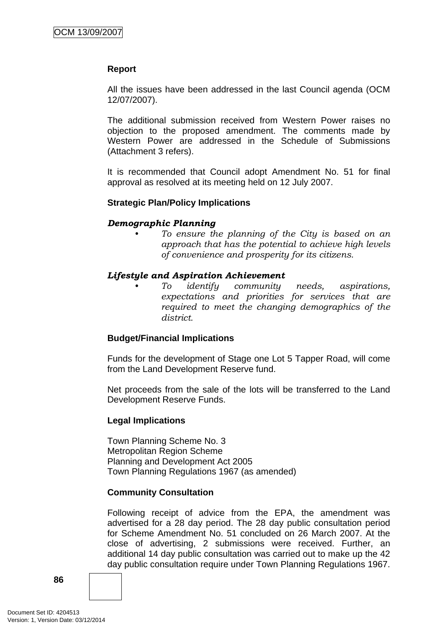#### **Report**

All the issues have been addressed in the last Council agenda (OCM 12/07/2007).

The additional submission received from Western Power raises no objection to the proposed amendment. The comments made by Western Power are addressed in the Schedule of Submissions (Attachment 3 refers).

It is recommended that Council adopt Amendment No. 51 for final approval as resolved at its meeting held on 12 July 2007.

#### **Strategic Plan/Policy Implications**

#### *Demographic Planning*

*• To ensure the planning of the City is based on an approach that has the potential to achieve high levels of convenience and prosperity for its citizens.* 

#### *Lifestyle and Aspiration Achievement*

*• To identify community needs, aspirations, expectations and priorities for services that are required to meet the changing demographics of the district.* 

#### **Budget/Financial Implications**

Funds for the development of Stage one Lot 5 Tapper Road, will come from the Land Development Reserve fund.

Net proceeds from the sale of the lots will be transferred to the Land Development Reserve Funds.

#### **Legal Implications**

Town Planning Scheme No. 3 Metropolitan Region Scheme Planning and Development Act 2005 Town Planning Regulations 1967 (as amended)

#### **Community Consultation**

Following receipt of advice from the EPA, the amendment was advertised for a 28 day period. The 28 day public consultation period for Scheme Amendment No. 51 concluded on 26 March 2007. At the close of advertising, 2 submissions were received. Further, an additional 14 day public consultation was carried out to make up the 42 day public consultation require under Town Planning Regulations 1967.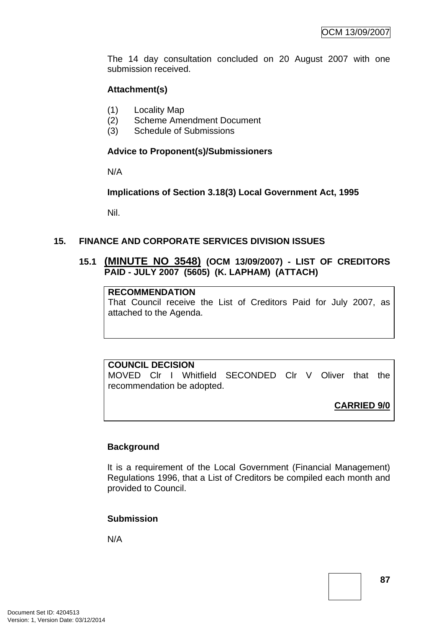The 14 day consultation concluded on 20 August 2007 with one submission received.

## **Attachment(s)**

- (1) Locality Map
- (2) Scheme Amendment Document
- (3) Schedule of Submissions

#### **Advice to Proponent(s)/Submissioners**

N/A

**Implications of Section 3.18(3) Local Government Act, 1995**

Nil.

#### **15. FINANCE AND CORPORATE SERVICES DIVISION ISSUES**

### **15.1 (MINUTE NO 3548) (OCM 13/09/2007) - LIST OF CREDITORS PAID - JULY 2007 (5605) (K. LAPHAM) (ATTACH)**

# **RECOMMENDATION**

That Council receive the List of Creditors Paid for July 2007, as attached to the Agenda.

### **COUNCIL DECISION** MOVED Clr I Whitfield SECONDED Clr V Oliver that the recommendation be adopted.

# **CARRIED 9/0**

#### **Background**

It is a requirement of the Local Government (Financial Management) Regulations 1996, that a List of Creditors be compiled each month and provided to Council.

#### **Submission**

N/A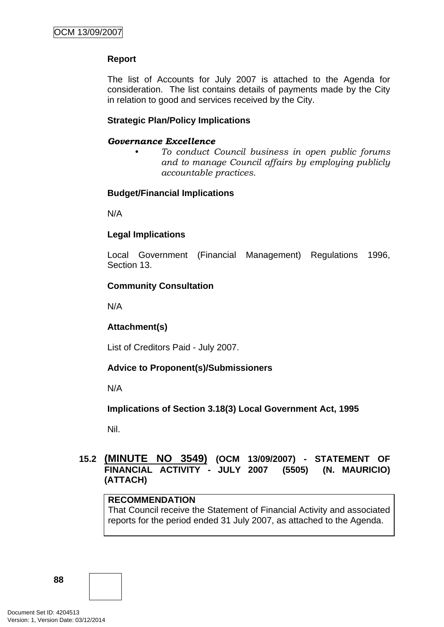## **Report**

The list of Accounts for July 2007 is attached to the Agenda for consideration. The list contains details of payments made by the City in relation to good and services received by the City.

### **Strategic Plan/Policy Implications**

#### *Governance Excellence*

*• To conduct Council business in open public forums and to manage Council affairs by employing publicly accountable practices.* 

#### **Budget/Financial Implications**

N/A

#### **Legal Implications**

Local Government (Financial Management) Regulations 1996, Section 13.

#### **Community Consultation**

N/A

#### **Attachment(s)**

List of Creditors Paid - July 2007.

#### **Advice to Proponent(s)/Submissioners**

N/A

#### **Implications of Section 3.18(3) Local Government Act, 1995**

Nil.

### **15.2 (MINUTE NO 3549) (OCM 13/09/2007) - STATEMENT OF FINANCIAL ACTIVITY - JULY 2007 (5505) (N. MAURICIO) (ATTACH)**

#### **RECOMMENDATION**

That Council receive the Statement of Financial Activity and associated reports for the period ended 31 July 2007, as attached to the Agenda.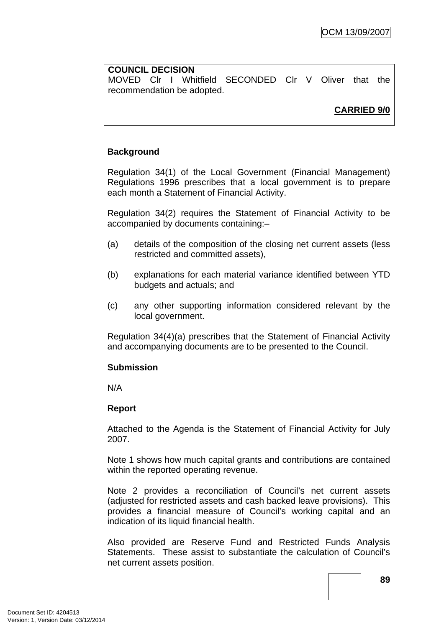#### **COUNCIL DECISION**

MOVED Clr I Whitfield SECONDED Clr V Oliver that the recommendation be adopted.

**CARRIED 9/0**

### **Background**

Regulation 34(1) of the Local Government (Financial Management) Regulations 1996 prescribes that a local government is to prepare each month a Statement of Financial Activity.

Regulation 34(2) requires the Statement of Financial Activity to be accompanied by documents containing:–

- (a) details of the composition of the closing net current assets (less restricted and committed assets),
- (b) explanations for each material variance identified between YTD budgets and actuals; and
- (c) any other supporting information considered relevant by the local government.

Regulation 34(4)(a) prescribes that the Statement of Financial Activity and accompanying documents are to be presented to the Council.

#### **Submission**

N/A

#### **Report**

Attached to the Agenda is the Statement of Financial Activity for July 2007.

Note 1 shows how much capital grants and contributions are contained within the reported operating revenue.

Note 2 provides a reconciliation of Council's net current assets (adjusted for restricted assets and cash backed leave provisions). This provides a financial measure of Council's working capital and an indication of its liquid financial health.

Also provided are Reserve Fund and Restricted Funds Analysis Statements. These assist to substantiate the calculation of Council's net current assets position.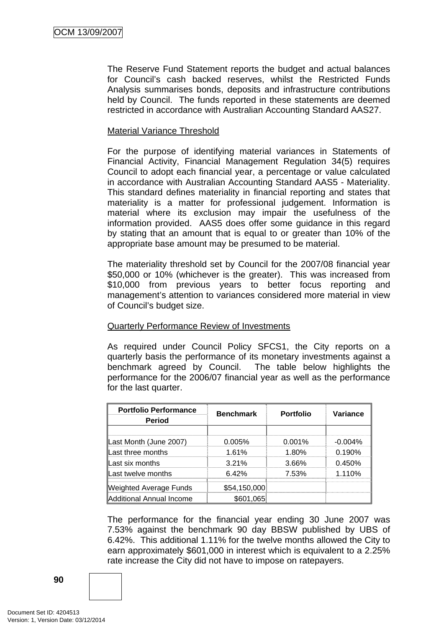The Reserve Fund Statement reports the budget and actual balances for Council's cash backed reserves, whilst the Restricted Funds Analysis summarises bonds, deposits and infrastructure contributions held by Council. The funds reported in these statements are deemed restricted in accordance with Australian Accounting Standard AAS27.

#### Material Variance Threshold

For the purpose of identifying material variances in Statements of Financial Activity, Financial Management Regulation 34(5) requires Council to adopt each financial year, a percentage or value calculated in accordance with Australian Accounting Standard AAS5 - Materiality. This standard defines materiality in financial reporting and states that materiality is a matter for professional judgement. Information is material where its exclusion may impair the usefulness of the information provided. AAS5 does offer some guidance in this regard by stating that an amount that is equal to or greater than 10% of the appropriate base amount may be presumed to be material.

The materiality threshold set by Council for the 2007/08 financial year \$50,000 or 10% (whichever is the greater). This was increased from \$10,000 from previous years to better focus reporting and management's attention to variances considered more material in view of Council's budget size.

#### Quarterly Performance Review of Investments

As required under Council Policy SFCS1, the City reports on a quarterly basis the performance of its monetary investments against a benchmark agreed by Council. The table below highlights the performance for the 2006/07 financial year as well as the performance for the last quarter.

| <b>Portfolio Performance</b><br><b>Period</b> | <b>Benchmark</b> | <b>Portfolio</b> | Variance   |
|-----------------------------------------------|------------------|------------------|------------|
|                                               |                  |                  |            |
| Last Month (June 2007)                        | 0.005%           | $0.001\%$        | $-0.004\%$ |
| Last three months                             | 1.61%            | 1.80%            | 0.190%     |
| Last six months                               | 3.21%            | 3.66%            | 0.450%     |
| Last twelve months                            | 6.42%            | 7.53%            | 1.110%     |
| <b>Weighted Average Funds</b>                 | \$54,150,000     |                  |            |
| <b>Additional Annual Income</b>               | \$601,065        |                  |            |

The performance for the financial year ending 30 June 2007 was 7.53% against the benchmark 90 day BBSW published by UBS of 6.42%. This additional 1.11% for the twelve months allowed the City to earn approximately \$601,000 in interest which is equivalent to a 2.25% rate increase the City did not have to impose on ratepayers.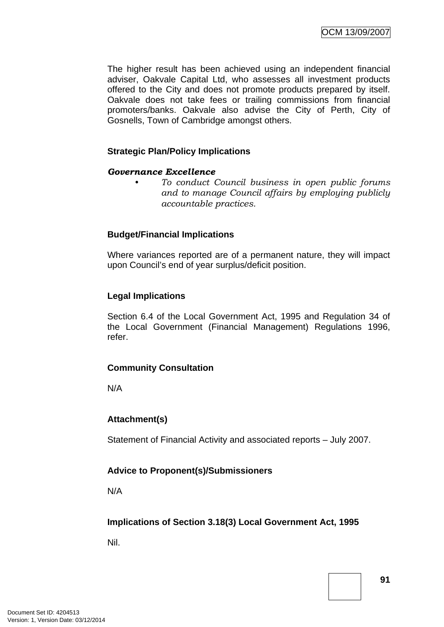The higher result has been achieved using an independent financial adviser, Oakvale Capital Ltd, who assesses all investment products offered to the City and does not promote products prepared by itself. Oakvale does not take fees or trailing commissions from financial promoters/banks. Oakvale also advise the City of Perth, City of Gosnells, Town of Cambridge amongst others.

### **Strategic Plan/Policy Implications**

#### *Governance Excellence*

*• To conduct Council business in open public forums and to manage Council affairs by employing publicly accountable practices.* 

### **Budget/Financial Implications**

Where variances reported are of a permanent nature, they will impact upon Council's end of year surplus/deficit position.

### **Legal Implications**

Section 6.4 of the Local Government Act, 1995 and Regulation 34 of the Local Government (Financial Management) Regulations 1996, refer.

#### **Community Consultation**

N/A

#### **Attachment(s)**

Statement of Financial Activity and associated reports – July 2007.

#### **Advice to Proponent(s)/Submissioners**

N/A

# **Implications of Section 3.18(3) Local Government Act, 1995**

Nil.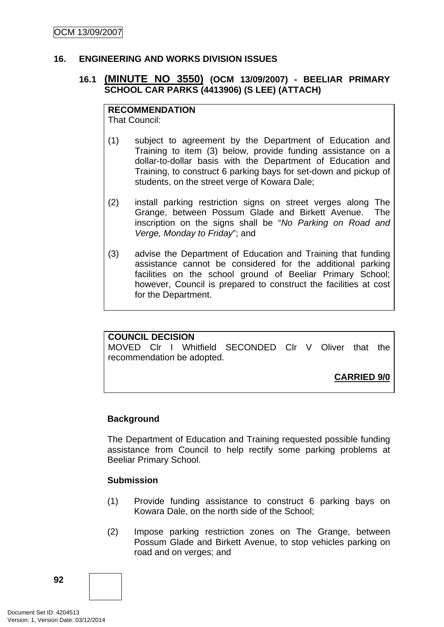#### **16. ENGINEERING AND WORKS DIVISION ISSUES**

### **16.1 (MINUTE NO 3550) (OCM 13/09/2007) - BEELIAR PRIMARY SCHOOL CAR PARKS (4413906) (S LEE) (ATTACH)**

#### **RECOMMENDATION**

That Council:

- (1) subject to agreement by the Department of Education and Training to item (3) below, provide funding assistance on a dollar-to-dollar basis with the Department of Education and Training, to construct 6 parking bays for set-down and pickup of students, on the street verge of Kowara Dale;
- (2) install parking restriction signs on street verges along The Grange, between Possum Glade and Birkett Avenue. The inscription on the signs shall be "*No Parking on Road and Verge, Monday to Friday*"; and
- (3) advise the Department of Education and Training that funding assistance cannot be considered for the additional parking facilities on the school ground of Beeliar Primary School; however, Council is prepared to construct the facilities at cost for the Department.

#### **COUNCIL DECISION**

MOVED Clr I Whitfield SECONDED Clr V Oliver that the recommendation be adopted.

**CARRIED 9/0**

#### **Background**

The Department of Education and Training requested possible funding assistance from Council to help rectify some parking problems at Beeliar Primary School.

#### **Submission**

- (1) Provide funding assistance to construct 6 parking bays on Kowara Dale, on the north side of the School;
- (2) Impose parking restriction zones on The Grange, between Possum Glade and Birkett Avenue, to stop vehicles parking on road and on verges; and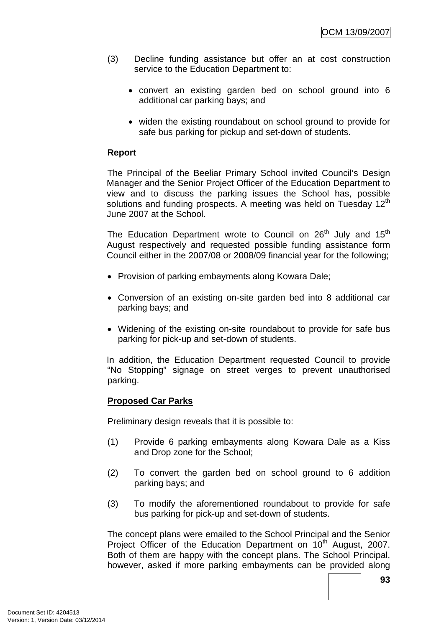- (3) Decline funding assistance but offer an at cost construction service to the Education Department to:
	- convert an existing garden bed on school ground into 6 additional car parking bays; and
	- widen the existing roundabout on school ground to provide for safe bus parking for pickup and set-down of students.

### **Report**

The Principal of the Beeliar Primary School invited Council's Design Manager and the Senior Project Officer of the Education Department to view and to discuss the parking issues the School has, possible solutions and funding prospects. A meeting was held on Tuesday 12<sup>th</sup> June 2007 at the School.

The Education Department wrote to Council on  $26<sup>th</sup>$  July and  $15<sup>th</sup>$ August respectively and requested possible funding assistance form Council either in the 2007/08 or 2008/09 financial year for the following;

- Provision of parking embayments along Kowara Dale;
- Conversion of an existing on-site garden bed into 8 additional car parking bays; and
- Widening of the existing on-site roundabout to provide for safe bus parking for pick-up and set-down of students.

In addition, the Education Department requested Council to provide "No Stopping" signage on street verges to prevent unauthorised parking.

# **Proposed Car Parks**

Preliminary design reveals that it is possible to:

- (1) Provide 6 parking embayments along Kowara Dale as a Kiss and Drop zone for the School;
- (2) To convert the garden bed on school ground to 6 addition parking bays; and
- (3) To modify the aforementioned roundabout to provide for safe bus parking for pick-up and set-down of students.

 The concept plans were emailed to the School Principal and the Senior Project Officer of the Education Department on 10<sup>th</sup> August, 2007. Both of them are happy with the concept plans. The School Principal, however, asked if more parking embayments can be provided along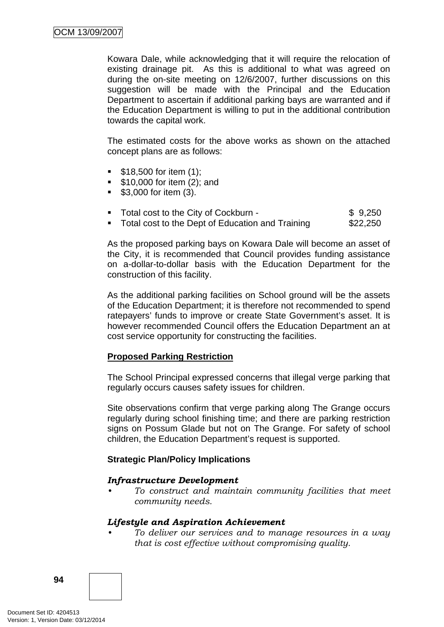Kowara Dale, while acknowledging that it will require the relocation of existing drainage pit. As this is additional to what was agreed on during the on-site meeting on 12/6/2007, further discussions on this suggestion will be made with the Principal and the Education Department to ascertain if additional parking bays are warranted and if the Education Department is willing to put in the additional contribution towards the capital work.

 The estimated costs for the above works as shown on the attached concept plans are as follows:

- $\bullet$  \$18,500 for item (1);
- **510,000 for item (2); and**
- $\bullet$  \$3,000 for item (3).
- Total cost to the City of Cockburn \$ 9,250
- Total cost to the Dept of Education and Training \$22,250

 As the proposed parking bays on Kowara Dale will become an asset of the City, it is recommended that Council provides funding assistance on a-dollar-to-dollar basis with the Education Department for the construction of this facility.

 As the additional parking facilities on School ground will be the assets of the Education Department; it is therefore not recommended to spend ratepayers' funds to improve or create State Government's asset. It is however recommended Council offers the Education Department an at cost service opportunity for constructing the facilities.

#### **Proposed Parking Restriction**

 The School Principal expressed concerns that illegal verge parking that regularly occurs causes safety issues for children.

 Site observations confirm that verge parking along The Grange occurs regularly during school finishing time; and there are parking restriction signs on Possum Glade but not on The Grange. For safety of school children, the Education Department's request is supported.

#### **Strategic Plan/Policy Implications**

#### *Infrastructure Development*

*• To construct and maintain community facilities that meet community needs.* 

#### *Lifestyle and Aspiration Achievement*

*• To deliver our services and to manage resources in a way that is cost effective without compromising quality.* 

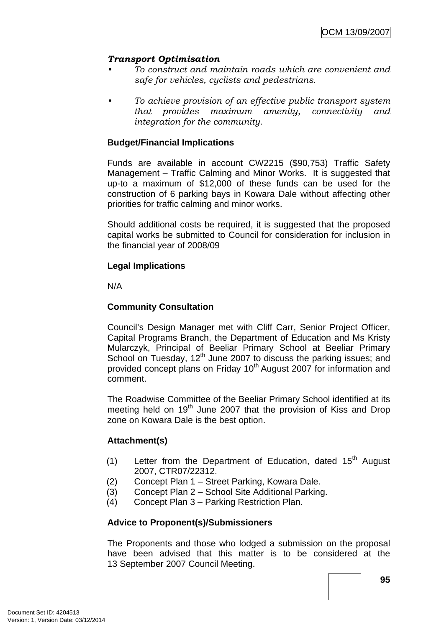# *Transport Optimisation*

- *To construct and maintain roads which are convenient and safe for vehicles, cyclists and pedestrians.*
- *To achieve provision of an effective public transport system that provides maximum amenity, connectivity and integration for the community.*

## **Budget/Financial Implications**

Funds are available in account CW2215 (\$90,753) Traffic Safety Management – Traffic Calming and Minor Works. It is suggested that up-to a maximum of \$12,000 of these funds can be used for the construction of 6 parking bays in Kowara Dale without affecting other priorities for traffic calming and minor works.

Should additional costs be required, it is suggested that the proposed capital works be submitted to Council for consideration for inclusion in the financial year of 2008/09

### **Legal Implications**

N/A

### **Community Consultation**

Council's Design Manager met with Cliff Carr, Senior Project Officer, Capital Programs Branch, the Department of Education and Ms Kristy Mularczyk, Principal of Beeliar Primary School at Beeliar Primary School on Tuesday, 12<sup>th</sup> June 2007 to discuss the parking issues; and provided concept plans on Friday 10<sup>th</sup> August 2007 for information and comment.

The Roadwise Committee of the Beeliar Primary School identified at its meeting held on 19<sup>th</sup> June 2007 that the provision of Kiss and Drop zone on Kowara Dale is the best option.

# **Attachment(s)**

- (1) Letter from the Department of Education, dated  $15<sup>th</sup>$  August 2007, CTR07/22312.
- (2) Concept Plan 1 Street Parking, Kowara Dale.
- (3) Concept Plan 2 School Site Additional Parking.
- (4) Concept Plan 3 Parking Restriction Plan.

#### **Advice to Proponent(s)/Submissioners**

The Proponents and those who lodged a submission on the proposal have been advised that this matter is to be considered at the 13 September 2007 Council Meeting.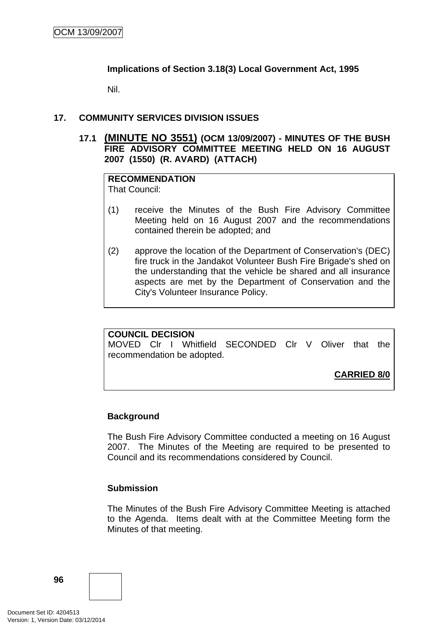### **Implications of Section 3.18(3) Local Government Act, 1995**

Nil.

#### **17. COMMUNITY SERVICES DIVISION ISSUES**

#### **17.1 (MINUTE NO 3551) (OCM 13/09/2007) - MINUTES OF THE BUSH FIRE ADVISORY COMMITTEE MEETING HELD ON 16 AUGUST 2007 (1550) (R. AVARD) (ATTACH)**

# **RECOMMENDATION**

That Council:

- (1) receive the Minutes of the Bush Fire Advisory Committee Meeting held on 16 August 2007 and the recommendations contained therein be adopted; and
- (2) approve the location of the Department of Conservation's (DEC) fire truck in the Jandakot Volunteer Bush Fire Brigade's shed on the understanding that the vehicle be shared and all insurance aspects are met by the Department of Conservation and the City's Volunteer Insurance Policy.

### **COUNCIL DECISION**

MOVED Clr I Whitfield SECONDED Clr V Oliver that the recommendation be adopted.

**CARRIED 8/0**

#### **Background**

The Bush Fire Advisory Committee conducted a meeting on 16 August 2007. The Minutes of the Meeting are required to be presented to Council and its recommendations considered by Council.

#### **Submission**

The Minutes of the Bush Fire Advisory Committee Meeting is attached to the Agenda. Items dealt with at the Committee Meeting form the Minutes of that meeting.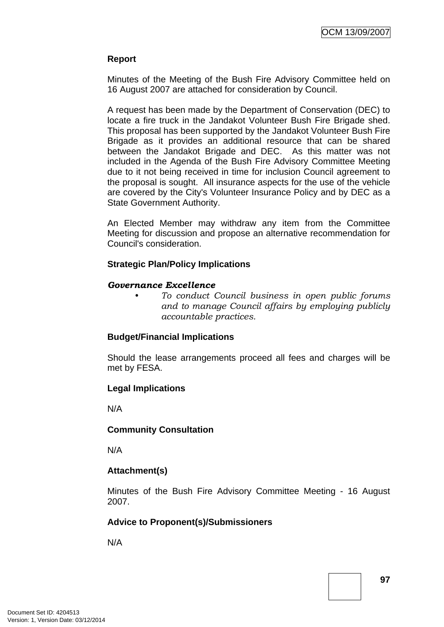### **Report**

Minutes of the Meeting of the Bush Fire Advisory Committee held on 16 August 2007 are attached for consideration by Council.

A request has been made by the Department of Conservation (DEC) to locate a fire truck in the Jandakot Volunteer Bush Fire Brigade shed. This proposal has been supported by the Jandakot Volunteer Bush Fire Brigade as it provides an additional resource that can be shared between the Jandakot Brigade and DEC. As this matter was not included in the Agenda of the Bush Fire Advisory Committee Meeting due to it not being received in time for inclusion Council agreement to the proposal is sought. All insurance aspects for the use of the vehicle are covered by the City's Volunteer Insurance Policy and by DEC as a State Government Authority.

An Elected Member may withdraw any item from the Committee Meeting for discussion and propose an alternative recommendation for Council's consideration.

### **Strategic Plan/Policy Implications**

#### *Governance Excellence*

*• To conduct Council business in open public forums and to manage Council affairs by employing publicly accountable practices.* 

#### **Budget/Financial Implications**

Should the lease arrangements proceed all fees and charges will be met by FESA.

#### **Legal Implications**

N/A

#### **Community Consultation**

N/A

# **Attachment(s)**

Minutes of the Bush Fire Advisory Committee Meeting - 16 August 2007.

# **Advice to Proponent(s)/Submissioners**

N/A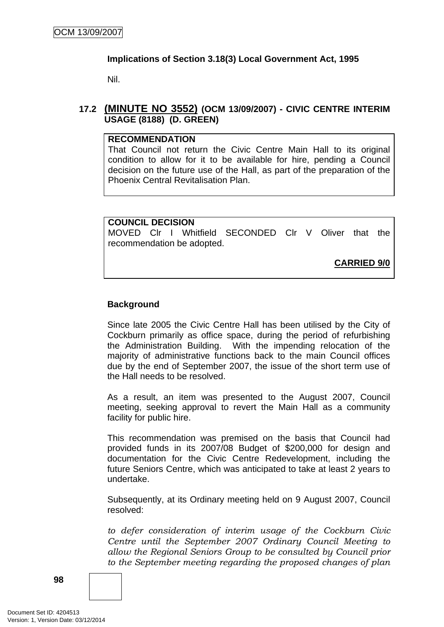### **Implications of Section 3.18(3) Local Government Act, 1995**

Nil.

### **17.2 (MINUTE NO 3552) (OCM 13/09/2007) - CIVIC CENTRE INTERIM USAGE (8188) (D. GREEN)**

#### **RECOMMENDATION**

That Council not return the Civic Centre Main Hall to its original condition to allow for it to be available for hire, pending a Council decision on the future use of the Hall, as part of the preparation of the Phoenix Central Revitalisation Plan.

#### **COUNCIL DECISION**

MOVED Clr I Whitfield SECONDED Clr V Oliver that the recommendation be adopted.

**CARRIED 9/0**

### **Background**

Since late 2005 the Civic Centre Hall has been utilised by the City of Cockburn primarily as office space, during the period of refurbishing the Administration Building. With the impending relocation of the majority of administrative functions back to the main Council offices due by the end of September 2007, the issue of the short term use of the Hall needs to be resolved.

As a result, an item was presented to the August 2007, Council meeting, seeking approval to revert the Main Hall as a community facility for public hire.

This recommendation was premised on the basis that Council had provided funds in its 2007/08 Budget of \$200,000 for design and documentation for the Civic Centre Redevelopment, including the future Seniors Centre, which was anticipated to take at least 2 years to undertake.

Subsequently, at its Ordinary meeting held on 9 August 2007, Council resolved:

*to defer consideration of interim usage of the Cockburn Civic Centre until the September 2007 Ordinary Council Meeting to allow the Regional Seniors Group to be consulted by Council prior to the September meeting regarding the proposed changes of plan*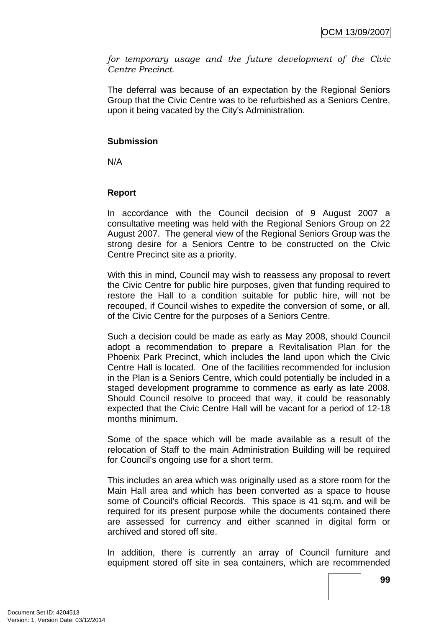*for temporary usage and the future development of the Civic Centre Precinct.*

The deferral was because of an expectation by the Regional Seniors Group that the Civic Centre was to be refurbished as a Seniors Centre, upon it being vacated by the City's Administration.

#### **Submission**

N/A

#### **Report**

In accordance with the Council decision of 9 August 2007 a consultative meeting was held with the Regional Seniors Group on 22 August 2007. The general view of the Regional Seniors Group was the strong desire for a Seniors Centre to be constructed on the Civic Centre Precinct site as a priority.

With this in mind, Council may wish to reassess any proposal to revert the Civic Centre for public hire purposes, given that funding required to restore the Hall to a condition suitable for public hire, will not be recouped, if Council wishes to expedite the conversion of some, or all, of the Civic Centre for the purposes of a Seniors Centre.

Such a decision could be made as early as May 2008, should Council adopt a recommendation to prepare a Revitalisation Plan for the Phoenix Park Precinct, which includes the land upon which the Civic Centre Hall is located. One of the facilities recommended for inclusion in the Plan is a Seniors Centre, which could potentially be included in a staged development programme to commence as early as late 2008. Should Council resolve to proceed that way, it could be reasonably expected that the Civic Centre Hall will be vacant for a period of 12-18 months minimum.

Some of the space which will be made available as a result of the relocation of Staff to the main Administration Building will be required for Council's ongoing use for a short term.

This includes an area which was originally used as a store room for the Main Hall area and which has been converted as a space to house some of Council's official Records. This space is 41 sq.m. and will be required for its present purpose while the documents contained there are assessed for currency and either scanned in digital form or archived and stored off site.

In addition, there is currently an array of Council furniture and equipment stored off site in sea containers, which are recommended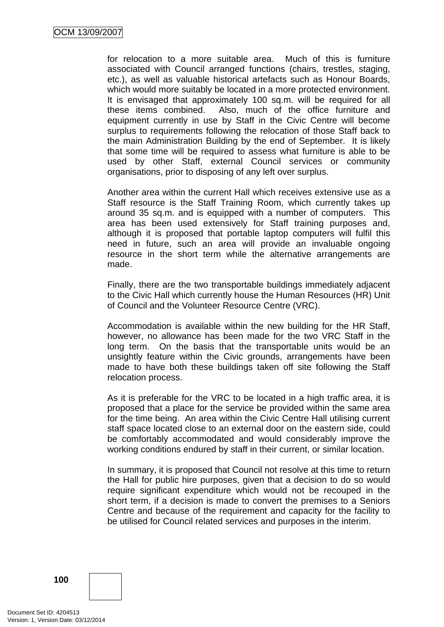for relocation to a more suitable area. Much of this is furniture associated with Council arranged functions (chairs, trestles, staging, etc.), as well as valuable historical artefacts such as Honour Boards, which would more suitably be located in a more protected environment. It is envisaged that approximately 100 sq.m. will be required for all these items combined. Also, much of the office furniture and equipment currently in use by Staff in the Civic Centre will become surplus to requirements following the relocation of those Staff back to the main Administration Building by the end of September. It is likely that some time will be required to assess what furniture is able to be used by other Staff, external Council services or community organisations, prior to disposing of any left over surplus.

Another area within the current Hall which receives extensive use as a Staff resource is the Staff Training Room, which currently takes up around 35 sq.m. and is equipped with a number of computers. This area has been used extensively for Staff training purposes and, although it is proposed that portable laptop computers will fulfil this need in future, such an area will provide an invaluable ongoing resource in the short term while the alternative arrangements are made.

Finally, there are the two transportable buildings immediately adjacent to the Civic Hall which currently house the Human Resources (HR) Unit of Council and the Volunteer Resource Centre (VRC).

Accommodation is available within the new building for the HR Staff, however, no allowance has been made for the two VRC Staff in the long term. On the basis that the transportable units would be an unsightly feature within the Civic grounds, arrangements have been made to have both these buildings taken off site following the Staff relocation process.

As it is preferable for the VRC to be located in a high traffic area, it is proposed that a place for the service be provided within the same area for the time being. An area within the Civic Centre Hall utilising current staff space located close to an external door on the eastern side, could be comfortably accommodated and would considerably improve the working conditions endured by staff in their current, or similar location.

In summary, it is proposed that Council not resolve at this time to return the Hall for public hire purposes, given that a decision to do so would require significant expenditure which would not be recouped in the short term, if a decision is made to convert the premises to a Seniors Centre and because of the requirement and capacity for the facility to be utilised for Council related services and purposes in the interim.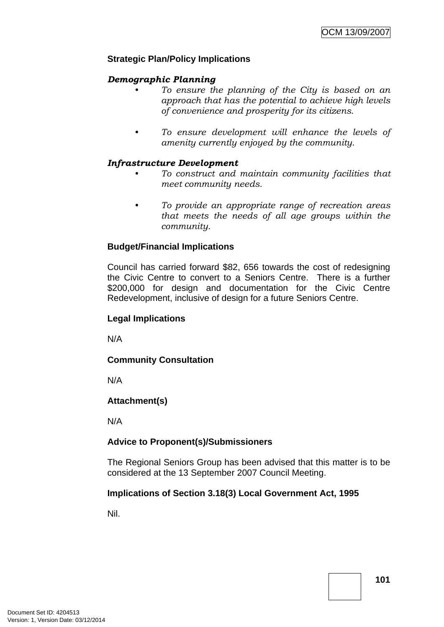# **Strategic Plan/Policy Implications**

# *Demographic Planning*

- *To ensure the planning of the City is based on an approach that has the potential to achieve high levels of convenience and prosperity for its citizens.*
- *To ensure development will enhance the levels of amenity currently enjoyed by the community.*

# *Infrastructure Development*

- *To construct and maintain community facilities that meet community needs.*
- *To provide an appropriate range of recreation areas that meets the needs of all age groups within the community.*

# **Budget/Financial Implications**

Council has carried forward \$82, 656 towards the cost of redesigning the Civic Centre to convert to a Seniors Centre. There is a further \$200,000 for design and documentation for the Civic Centre Redevelopment, inclusive of design for a future Seniors Centre.

# **Legal Implications**

N/A

# **Community Consultation**

N/A

# **Attachment(s)**

N/A

# **Advice to Proponent(s)/Submissioners**

The Regional Seniors Group has been advised that this matter is to be considered at the 13 September 2007 Council Meeting.

# **Implications of Section 3.18(3) Local Government Act, 1995**

Nil.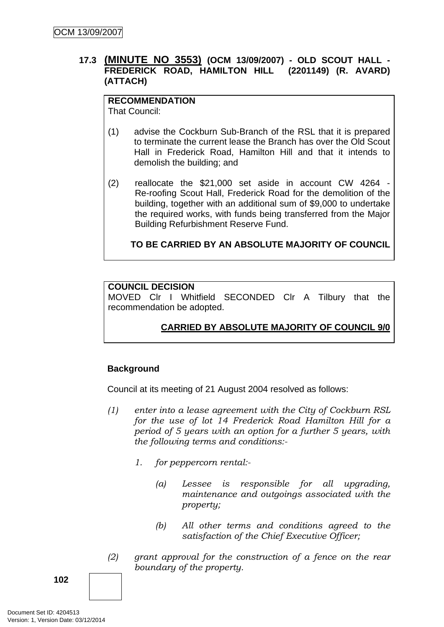## **17.3 (MINUTE NO 3553) (OCM 13/09/2007) - OLD SCOUT HALL - FREDERICK ROAD, HAMILTON HILL (2201149) (R. AVARD) (ATTACH)**

# **RECOMMENDATION**

That Council:

- (1) advise the Cockburn Sub-Branch of the RSL that it is prepared to terminate the current lease the Branch has over the Old Scout Hall in Frederick Road, Hamilton Hill and that it intends to demolish the building; and
- (2) reallocate the \$21,000 set aside in account CW 4264 Re-roofing Scout Hall, Frederick Road for the demolition of the building, together with an additional sum of \$9,000 to undertake the required works, with funds being transferred from the Major Building Refurbishment Reserve Fund.

**TO BE CARRIED BY AN ABSOLUTE MAJORITY OF COUNCIL**

# **COUNCIL DECISION**

MOVED Clr I Whitfield SECONDED Clr A Tilbury that the recommendation be adopted.

# **CARRIED BY ABSOLUTE MAJORITY OF COUNCIL 9/0**

# **Background**

Council at its meeting of 21 August 2004 resolved as follows:

- *(1) enter into a lease agreement with the City of Cockburn RSL for the use of lot 14 Frederick Road Hamilton Hill for a period of 5 years with an option for a further 5 years, with the following terms and conditions:-* 
	- *1. for peppercorn rental:-* 
		- *(a) Lessee is responsible for all upgrading, maintenance and outgoings associated with the property;*
		- *(b) All other terms and conditions agreed to the satisfaction of the Chief Executive Officer;*
- *(2) grant approval for the construction of a fence on the rear boundary of the property.*

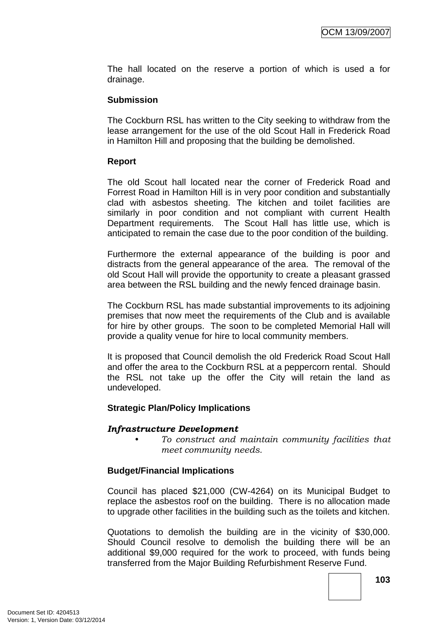The hall located on the reserve a portion of which is used a for drainage.

#### **Submission**

The Cockburn RSL has written to the City seeking to withdraw from the lease arrangement for the use of the old Scout Hall in Frederick Road in Hamilton Hill and proposing that the building be demolished.

#### **Report**

The old Scout hall located near the corner of Frederick Road and Forrest Road in Hamilton Hill is in very poor condition and substantially clad with asbestos sheeting. The kitchen and toilet facilities are similarly in poor condition and not compliant with current Health Department requirements. The Scout Hall has little use, which is anticipated to remain the case due to the poor condition of the building.

Furthermore the external appearance of the building is poor and distracts from the general appearance of the area. The removal of the old Scout Hall will provide the opportunity to create a pleasant grassed area between the RSL building and the newly fenced drainage basin.

The Cockburn RSL has made substantial improvements to its adjoining premises that now meet the requirements of the Club and is available for hire by other groups. The soon to be completed Memorial Hall will provide a quality venue for hire to local community members.

It is proposed that Council demolish the old Frederick Road Scout Hall and offer the area to the Cockburn RSL at a peppercorn rental. Should the RSL not take up the offer the City will retain the land as undeveloped.

#### **Strategic Plan/Policy Implications**

#### *Infrastructure Development*

*• To construct and maintain community facilities that meet community needs.* 

#### **Budget/Financial Implications**

Council has placed \$21,000 (CW-4264) on its Municipal Budget to replace the asbestos roof on the building. There is no allocation made to upgrade other facilities in the building such as the toilets and kitchen.

Quotations to demolish the building are in the vicinity of \$30,000. Should Council resolve to demolish the building there will be an additional \$9,000 required for the work to proceed, with funds being transferred from the Major Building Refurbishment Reserve Fund.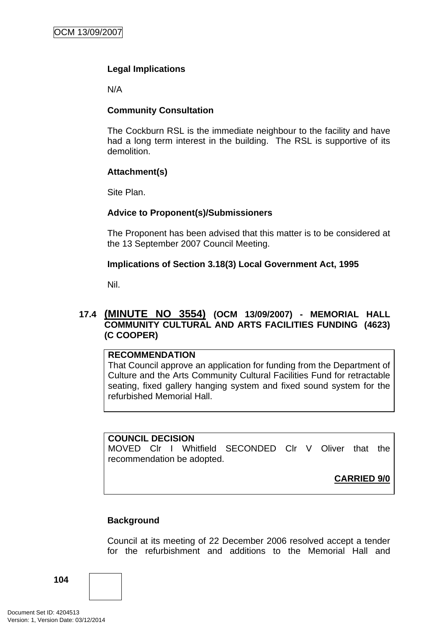## **Legal Implications**

N/A

### **Community Consultation**

The Cockburn RSL is the immediate neighbour to the facility and have had a long term interest in the building. The RSL is supportive of its demolition.

### **Attachment(s)**

Site Plan.

#### **Advice to Proponent(s)/Submissioners**

The Proponent has been advised that this matter is to be considered at the 13 September 2007 Council Meeting.

### **Implications of Section 3.18(3) Local Government Act, 1995**

Nil.

### **17.4 (MINUTE NO 3554) (OCM 13/09/2007) - MEMORIAL HALL COMMUNITY CULTURAL AND ARTS FACILITIES FUNDING (4623) (C COOPER)**

# **RECOMMENDATION**

That Council approve an application for funding from the Department of Culture and the Arts Community Cultural Facilities Fund for retractable seating, fixed gallery hanging system and fixed sound system for the refurbished Memorial Hall.

### **COUNCIL DECISION**

MOVED Clr I Whitfield SECONDED Clr V Oliver that the recommendation be adopted.

**CARRIED 9/0**

# **Background**

Council at its meeting of 22 December 2006 resolved accept a tender for the refurbishment and additions to the Memorial Hall and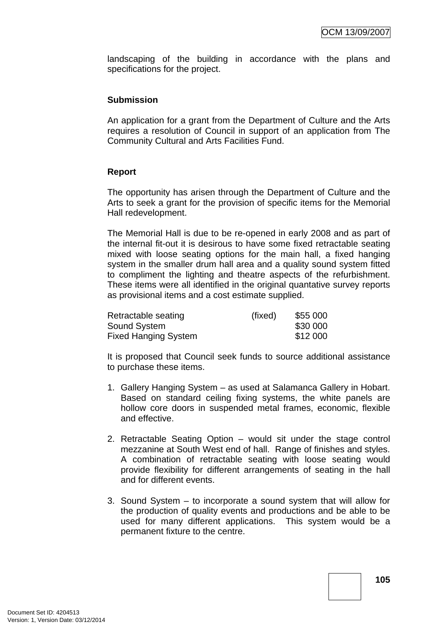landscaping of the building in accordance with the plans and specifications for the project.

#### **Submission**

An application for a grant from the Department of Culture and the Arts requires a resolution of Council in support of an application from The Community Cultural and Arts Facilities Fund.

### **Report**

The opportunity has arisen through the Department of Culture and the Arts to seek a grant for the provision of specific items for the Memorial Hall redevelopment.

The Memorial Hall is due to be re-opened in early 2008 and as part of the internal fit-out it is desirous to have some fixed retractable seating mixed with loose seating options for the main hall, a fixed hanging system in the smaller drum hall area and a quality sound system fitted to compliment the lighting and theatre aspects of the refurbishment. These items were all identified in the original quantative survey reports as provisional items and a cost estimate supplied.

| Retractable seating         | (fixed) | \$55 000 |
|-----------------------------|---------|----------|
| <b>Sound System</b>         |         | \$30 000 |
| <b>Fixed Hanging System</b> |         | \$12 000 |

It is proposed that Council seek funds to source additional assistance to purchase these items.

- 1. Gallery Hanging System as used at Salamanca Gallery in Hobart. Based on standard ceiling fixing systems, the white panels are hollow core doors in suspended metal frames, economic, flexible and effective.
- 2. Retractable Seating Option would sit under the stage control mezzanine at South West end of hall. Range of finishes and styles. A combination of retractable seating with loose seating would provide flexibility for different arrangements of seating in the hall and for different events.
- 3. Sound System to incorporate a sound system that will allow for the production of quality events and productions and be able to be used for many different applications. This system would be a permanent fixture to the centre.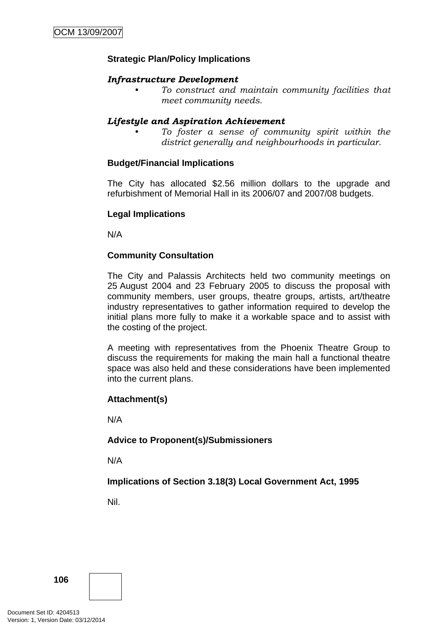## **Strategic Plan/Policy Implications**

### *Infrastructure Development*

*• To construct and maintain community facilities that meet community needs.* 

#### *Lifestyle and Aspiration Achievement*

*• To foster a sense of community spirit within the district generally and neighbourhoods in particular.* 

#### **Budget/Financial Implications**

The City has allocated \$2.56 million dollars to the upgrade and refurbishment of Memorial Hall in its 2006/07 and 2007/08 budgets.

#### **Legal Implications**

N/A

### **Community Consultation**

The City and Palassis Architects held two community meetings on 25 August 2004 and 23 February 2005 to discuss the proposal with community members, user groups, theatre groups, artists, art/theatre industry representatives to gather information required to develop the initial plans more fully to make it a workable space and to assist with the costing of the project.

A meeting with representatives from the Phoenix Theatre Group to discuss the requirements for making the main hall a functional theatre space was also held and these considerations have been implemented into the current plans.

### **Attachment(s)**

N/A

### **Advice to Proponent(s)/Submissioners**

N/A

**Implications of Section 3.18(3) Local Government Act, 1995**

Nil.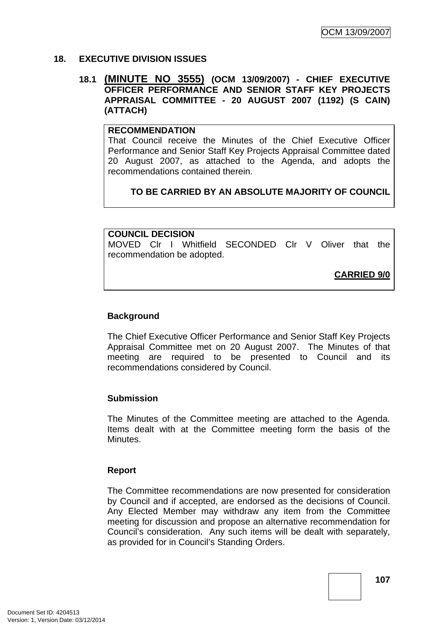### **18. EXECUTIVE DIVISION ISSUES**

### **18.1 (MINUTE NO 3555) (OCM 13/09/2007) - CHIEF EXECUTIVE OFFICER PERFORMANCE AND SENIOR STAFF KEY PROJECTS APPRAISAL COMMITTEE - 20 AUGUST 2007 (1192) (S CAIN) (ATTACH)**

## **RECOMMENDATION**

That Council receive the Minutes of the Chief Executive Officer Performance and Senior Staff Key Projects Appraisal Committee dated 20 August 2007, as attached to the Agenda, and adopts the recommendations contained therein.

# **TO BE CARRIED BY AN ABSOLUTE MAJORITY OF COUNCIL**

## **COUNCIL DECISION**

MOVED Clr I Whitfield SECONDED Clr V Oliver that the recommendation be adopted.

**CARRIED 9/0**

# **Background**

The Chief Executive Officer Performance and Senior Staff Key Projects Appraisal Committee met on 20 August 2007. The Minutes of that meeting are required to be presented to Council and its recommendations considered by Council.

### **Submission**

The Minutes of the Committee meeting are attached to the Agenda. Items dealt with at the Committee meeting form the basis of the **Minutes** 

### **Report**

The Committee recommendations are now presented for consideration by Council and if accepted, are endorsed as the decisions of Council. Any Elected Member may withdraw any item from the Committee meeting for discussion and propose an alternative recommendation for Council's consideration. Any such items will be dealt with separately, as provided for in Council's Standing Orders.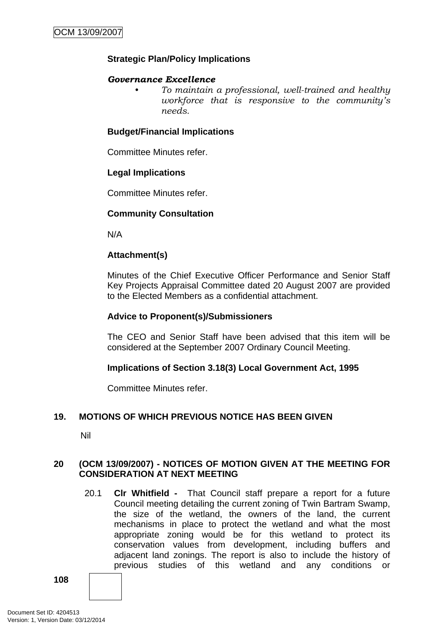# **Strategic Plan/Policy Implications**

#### *Governance Excellence*

*• To maintain a professional, well-trained and healthy workforce that is responsive to the community's needs.* 

#### **Budget/Financial Implications**

Committee Minutes refer.

#### **Legal Implications**

Committee Minutes refer.

### **Community Consultation**

N/A

### **Attachment(s)**

Minutes of the Chief Executive Officer Performance and Senior Staff Key Projects Appraisal Committee dated 20 August 2007 are provided to the Elected Members as a confidential attachment.

#### **Advice to Proponent(s)/Submissioners**

The CEO and Senior Staff have been advised that this item will be considered at the September 2007 Ordinary Council Meeting.

### **Implications of Section 3.18(3) Local Government Act, 1995**

Committee Minutes refer.

### **19. MOTIONS OF WHICH PREVIOUS NOTICE HAS BEEN GIVEN**

Nil

#### **20 (OCM 13/09/2007) - NOTICES OF MOTION GIVEN AT THE MEETING FOR CONSIDERATION AT NEXT MEETING**

20.1 **Clr Whitfield -** That Council staff prepare a report for a future Council meeting detailing the current zoning of Twin Bartram Swamp, the size of the wetland, the owners of the land, the current mechanisms in place to protect the wetland and what the most appropriate zoning would be for this wetland to protect its conservation values from development, including buffers and adjacent land zonings. The report is also to include the history of previous studies of this wetland and any conditions or

**108**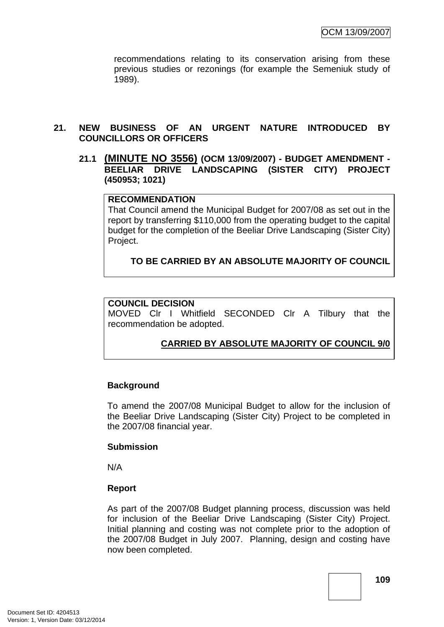recommendations relating to its conservation arising from these previous studies or rezonings (for example the Semeniuk study of 1989).

### **21. NEW BUSINESS OF AN URGENT NATURE INTRODUCED BY COUNCILLORS OR OFFICERS**

**21.1 (MINUTE NO 3556) (OCM 13/09/2007) - BUDGET AMENDMENT - BEELIAR DRIVE LANDSCAPING (SISTER CITY) PROJECT (450953; 1021)** 

#### **RECOMMENDATION**

That Council amend the Municipal Budget for 2007/08 as set out in the report by transferring \$110,000 from the operating budget to the capital budget for the completion of the Beeliar Drive Landscaping (Sister City) Project.

### **TO BE CARRIED BY AN ABSOLUTE MAJORITY OF COUNCIL**

### **COUNCIL DECISION**

MOVED Clr I Whitfield SECONDED Clr A Tilbury that the recommendation be adopted.

# **CARRIED BY ABSOLUTE MAJORITY OF COUNCIL 9/0**

### **Background**

To amend the 2007/08 Municipal Budget to allow for the inclusion of the Beeliar Drive Landscaping (Sister City) Project to be completed in the 2007/08 financial year.

#### **Submission**

N/A

### **Report**

As part of the 2007/08 Budget planning process, discussion was held for inclusion of the Beeliar Drive Landscaping (Sister City) Project. Initial planning and costing was not complete prior to the adoption of the 2007/08 Budget in July 2007. Planning, design and costing have now been completed.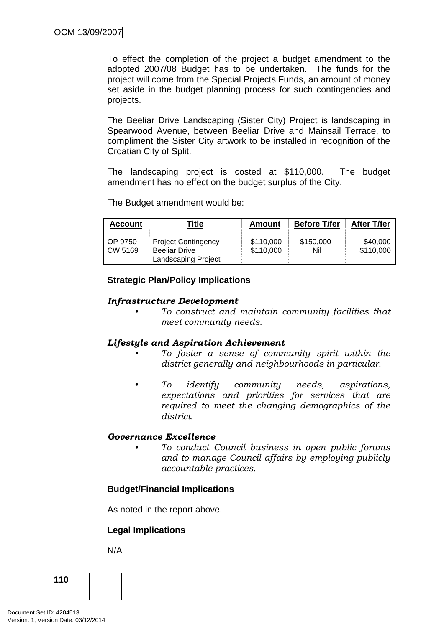To effect the completion of the project a budget amendment to the adopted 2007/08 Budget has to be undertaken. The funds for the project will come from the Special Projects Funds, an amount of money set aside in the budget planning process for such contingencies and projects.

The Beeliar Drive Landscaping (Sister City) Project is landscaping in Spearwood Avenue, between Beeliar Drive and Mainsail Terrace, to compliment the Sister City artwork to be installed in recognition of the Croatian City of Split.

The landscaping project is costed at \$110,000. The budget amendment has no effect on the budget surplus of the City.

The Budget amendment would be:

| <b>Account</b> | Title                      | Amount    | <b>Before T/fer</b> | <b>After T/fer</b> |
|----------------|----------------------------|-----------|---------------------|--------------------|
|                |                            |           |                     |                    |
| LOP 9750       | <b>Project Contingency</b> | \$110,000 | \$150,000           | \$40,000           |
| CW 5169        | <b>Beeliar Drive</b>       | \$110,000 | Nil                 | \$110,000          |
|                | <b>Landscaping Project</b> |           |                     |                    |

### **Strategic Plan/Policy Implications**

### *Infrastructure Development*

*• To construct and maintain community facilities that meet community needs.* 

### *Lifestyle and Aspiration Achievement*

- *To foster a sense of community spirit within the district generally and neighbourhoods in particular.*
- *To identify community needs, aspirations, expectations and priorities for services that are required to meet the changing demographics of the district.*

### *Governance Excellence*

*• To conduct Council business in open public forums and to manage Council affairs by employing publicly accountable practices.* 

### **Budget/Financial Implications**

As noted in the report above.

### **Legal Implications**

N/A

**110**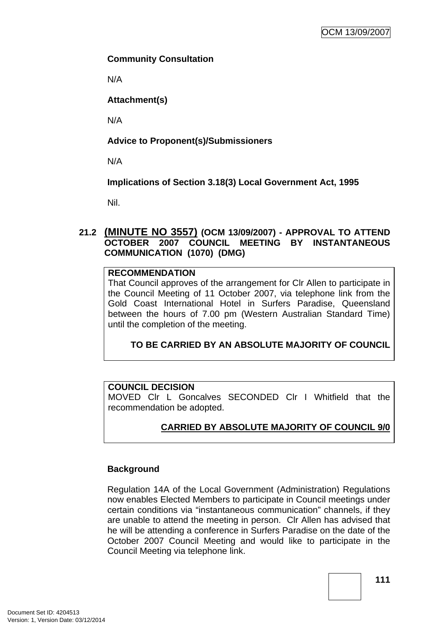## **Community Consultation**

N/A

**Attachment(s)**

N/A

# **Advice to Proponent(s)/Submissioners**

N/A

**Implications of Section 3.18(3) Local Government Act, 1995**

Nil.

## **21.2 (MINUTE NO 3557) (OCM 13/09/2007) - APPROVAL TO ATTEND OCTOBER 2007 COUNCIL MEETING BY INSTANTANEOUS COMMUNICATION (1070) (DMG)**

# **RECOMMENDATION**

That Council approves of the arrangement for Clr Allen to participate in the Council Meeting of 11 October 2007, via telephone link from the Gold Coast International Hotel in Surfers Paradise, Queensland between the hours of 7.00 pm (Western Australian Standard Time) until the completion of the meeting.

# **TO BE CARRIED BY AN ABSOLUTE MAJORITY OF COUNCIL**

# **COUNCIL DECISION**

MOVED Clr L Goncalves SECONDED Clr I Whitfield that the recommendation be adopted.

# **CARRIED BY ABSOLUTE MAJORITY OF COUNCIL 9/0**

# **Background**

Regulation 14A of the Local Government (Administration) Regulations now enables Elected Members to participate in Council meetings under certain conditions via "instantaneous communication" channels, if they are unable to attend the meeting in person. Clr Allen has advised that he will be attending a conference in Surfers Paradise on the date of the October 2007 Council Meeting and would like to participate in the Council Meeting via telephone link.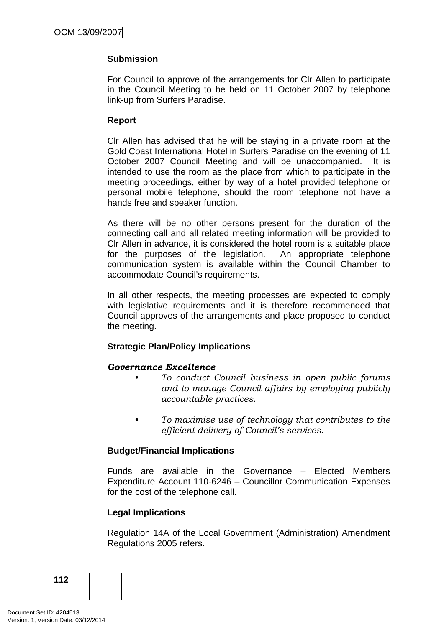## **Submission**

For Council to approve of the arrangements for Clr Allen to participate in the Council Meeting to be held on 11 October 2007 by telephone link-up from Surfers Paradise.

### **Report**

Clr Allen has advised that he will be staying in a private room at the Gold Coast International Hotel in Surfers Paradise on the evening of 11 October 2007 Council Meeting and will be unaccompanied. It is intended to use the room as the place from which to participate in the meeting proceedings, either by way of a hotel provided telephone or personal mobile telephone, should the room telephone not have a hands free and speaker function.

As there will be no other persons present for the duration of the connecting call and all related meeting information will be provided to Clr Allen in advance, it is considered the hotel room is a suitable place for the purposes of the legislation. An appropriate telephone communication system is available within the Council Chamber to accommodate Council's requirements.

In all other respects, the meeting processes are expected to comply with legislative requirements and it is therefore recommended that Council approves of the arrangements and place proposed to conduct the meeting.

### **Strategic Plan/Policy Implications**

### *Governance Excellence*

- *To conduct Council business in open public forums and to manage Council affairs by employing publicly accountable practices.*
- *To maximise use of technology that contributes to the efficient delivery of Council's services.*

### **Budget/Financial Implications**

Funds are available in the Governance – Elected Members Expenditure Account 110-6246 – Councillor Communication Expenses for the cost of the telephone call.

# **Legal Implications**

Regulation 14A of the Local Government (Administration) Amendment Regulations 2005 refers.

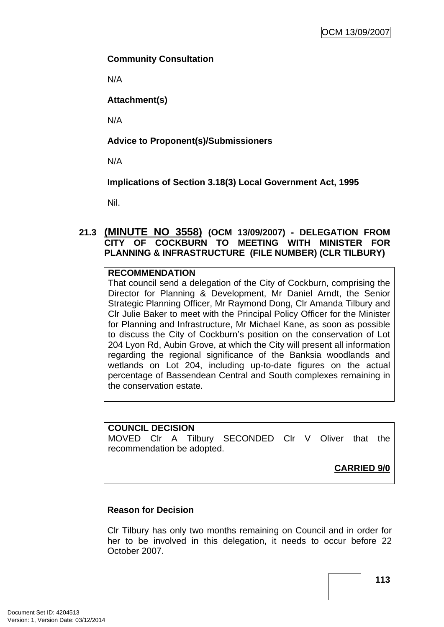## **Community Consultation**

N/A

**Attachment(s)**

N/A

# **Advice to Proponent(s)/Submissioners**

N/A

**Implications of Section 3.18(3) Local Government Act, 1995**

Nil.

## **21.3 (MINUTE NO 3558) (OCM 13/09/2007) - DELEGATION FROM CITY OF COCKBURN TO MEETING WITH MINISTER FOR PLANNING & INFRASTRUCTURE (FILE NUMBER) (CLR TILBURY)**

## **RECOMMENDATION**

That council send a delegation of the City of Cockburn, comprising the Director for Planning & Development, Mr Daniel Arndt, the Senior Strategic Planning Officer, Mr Raymond Dong, Clr Amanda Tilbury and Clr Julie Baker to meet with the Principal Policy Officer for the Minister for Planning and Infrastructure, Mr Michael Kane, as soon as possible to discuss the City of Cockburn's position on the conservation of Lot 204 Lyon Rd, Aubin Grove, at which the City will present all information regarding the regional significance of the Banksia woodlands and wetlands on Lot 204, including up-to-date figures on the actual percentage of Bassendean Central and South complexes remaining in the conservation estate.

# **COUNCIL DECISION**

MOVED Clr A Tilbury SECONDED Clr V Oliver that the recommendation be adopted.

**CARRIED 9/0**

# **Reason for Decision**

Clr Tilbury has only two months remaining on Council and in order for her to be involved in this delegation, it needs to occur before 22 October 2007.